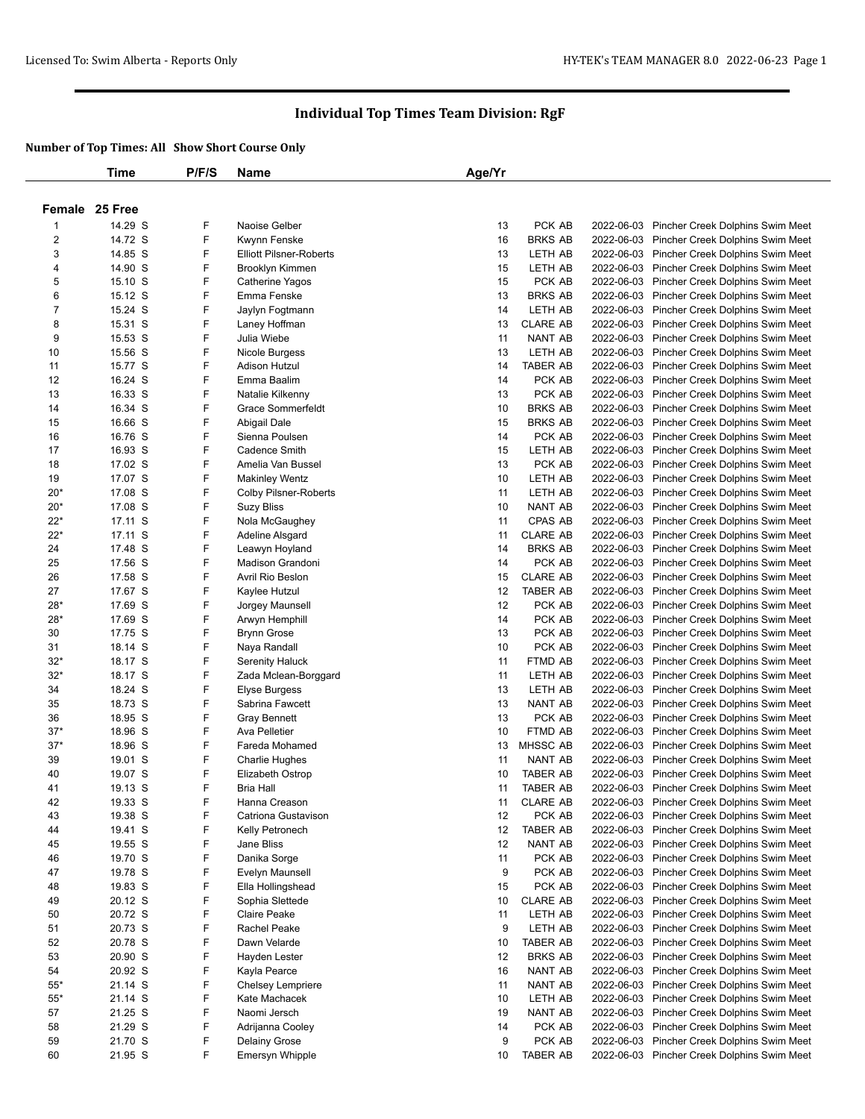|                  | Time               | P/F/S  | Name                                      | Age/Yr   |                            |                          |                                                                      |
|------------------|--------------------|--------|-------------------------------------------|----------|----------------------------|--------------------------|----------------------------------------------------------------------|
|                  |                    |        |                                           |          |                            |                          |                                                                      |
|                  | Female 25 Free     |        |                                           |          |                            |                          |                                                                      |
| 1                | 14.29 S            | F      | Naoise Gelber                             | 13       | PCK AB                     | 2022-06-03               | Pincher Creek Dolphins Swim Meet                                     |
| 2                | 14.72 S            | F      | Kwynn Fenske                              | 16       | <b>BRKS AB</b>             |                          | 2022-06-03 Pincher Creek Dolphins Swim Meet                          |
| 3                | 14.85 S            | F      | <b>Elliott Pilsner-Roberts</b>            | 13       | LETH AB                    | 2022-06-03               | Pincher Creek Dolphins Swim Meet                                     |
| 4                | 14.90 S            | F      | <b>Brooklyn Kimmen</b>                    | 15       | LETH AB                    | 2022-06-03               | Pincher Creek Dolphins Swim Meet                                     |
| 5                | 15.10 S            | F      | Catherine Yagos                           | 15       | PCK AB                     |                          | 2022-06-03 Pincher Creek Dolphins Swim Meet                          |
| 6                | 15.12 S            | F      | Emma Fenske                               | 13       | <b>BRKS AB</b>             | 2022-06-03               | Pincher Creek Dolphins Swim Meet                                     |
| $\boldsymbol{7}$ | 15.24 S            | F      | Jaylyn Fogtmann                           | 14       | LETH AB                    | 2022-06-03               | Pincher Creek Dolphins Swim Meet                                     |
| 8                | 15.31 S            | F      | Laney Hoffman                             | 13       | <b>CLARE AB</b>            | 2022-06-03               | Pincher Creek Dolphins Swim Meet                                     |
| 9                | 15.53 S            | F      | Julia Wiebe                               | 11       | NANT AB                    | 2022-06-03               | Pincher Creek Dolphins Swim Meet                                     |
| 10<br>11         | 15.56 S<br>15.77 S | F<br>F | Nicole Burgess<br>Adison Hutzul           | 13<br>14 | LETH AB<br><b>TABER AB</b> | 2022-06-03               | Pincher Creek Dolphins Swim Meet                                     |
| 12               | 16.24 S            | F      | Emma Baalim                               | 14       | PCK AB                     | 2022-06-03<br>2022-06-03 | Pincher Creek Dolphins Swim Meet<br>Pincher Creek Dolphins Swim Meet |
| 13               | 16.33 S            | F      | Natalie Kilkenny                          | 13       | PCK AB                     | 2022-06-03               | Pincher Creek Dolphins Swim Meet                                     |
| 14               | 16.34 S            | F      | <b>Grace Sommerfeldt</b>                  | 10       | <b>BRKS AB</b>             | 2022-06-03               | Pincher Creek Dolphins Swim Meet                                     |
| 15               | 16.66 S            | F      | Abigail Dale                              | 15       | <b>BRKS AB</b>             | 2022-06-03               | Pincher Creek Dolphins Swim Meet                                     |
| 16               | 16.76 S            | F      | Sienna Poulsen                            | 14       | PCK AB                     | 2022-06-03               | Pincher Creek Dolphins Swim Meet                                     |
| 17               | 16.93 S            | F      | <b>Cadence Smith</b>                      | 15       | LETH AB                    | 2022-06-03               | Pincher Creek Dolphins Swim Meet                                     |
| 18               | 17.02 S            | F      | Amelia Van Bussel                         | 13       | PCK AB                     | 2022-06-03               | Pincher Creek Dolphins Swim Meet                                     |
| 19               | 17.07 S            | F      | <b>Makinley Wentz</b>                     | 10       | LETH AB                    | 2022-06-03               | Pincher Creek Dolphins Swim Meet                                     |
| $20*$            | 17.08 S            | F      | <b>Colby Pilsner-Roberts</b>              | 11       | LETH AB                    | 2022-06-03               | Pincher Creek Dolphins Swim Meet                                     |
| $20*$            | 17.08 S            | F      | Suzy Bliss                                | 10       | <b>NANT AB</b>             | 2022-06-03               | Pincher Creek Dolphins Swim Meet                                     |
| $22*$            | 17.11 S            | F      | Nola McGaughey                            | 11       | CPAS AB                    | 2022-06-03               | Pincher Creek Dolphins Swim Meet                                     |
| $22*$            | 17.11 S            | F      | Adeline Alsgard                           | 11       | <b>CLARE AB</b>            | 2022-06-03               | Pincher Creek Dolphins Swim Meet                                     |
| 24               | 17.48 S            | F      | Leawyn Hoyland                            | 14       | <b>BRKS AB</b>             | 2022-06-03               | Pincher Creek Dolphins Swim Meet                                     |
| 25               | 17.56 S            | F      | Madison Grandoni                          | 14       | PCK AB                     | 2022-06-03               | Pincher Creek Dolphins Swim Meet                                     |
| 26               | 17.58 S            | F      | Avril Rio Beslon                          | 15       | <b>CLARE AB</b>            | 2022-06-03               | Pincher Creek Dolphins Swim Meet                                     |
| 27               | 17.67 S            | F      | Kaylee Hutzul                             | 12       | <b>TABER AB</b>            | 2022-06-03               | Pincher Creek Dolphins Swim Meet                                     |
| $28*$            | 17.69 S            | F      | Jorgey Maunsell                           | 12       | PCK AB                     | 2022-06-03               | Pincher Creek Dolphins Swim Meet                                     |
| $28*$            | 17.69 S            | F      | Arwyn Hemphill                            | 14       | PCK AB                     | 2022-06-03               | Pincher Creek Dolphins Swim Meet                                     |
| 30               | 17.75 S            | F      | <b>Brynn Grose</b>                        | 13       | PCK AB                     | 2022-06-03               | Pincher Creek Dolphins Swim Meet                                     |
| 31               | 18.14 S            | F      | Naya Randall                              | 10       | PCK AB                     | 2022-06-03               | Pincher Creek Dolphins Swim Meet                                     |
| $32*$            | 18.17 S            | F      | <b>Serenity Haluck</b>                    | 11       | FTMD AB                    | 2022-06-03               | Pincher Creek Dolphins Swim Meet                                     |
| $32*$            | 18.17 S            | F<br>F | Zada Mclean-Borggard                      | 11       | LETH AB                    | 2022-06-03               | Pincher Creek Dolphins Swim Meet                                     |
| 34<br>35         | 18.24 S<br>18.73 S | F      | Elyse Burgess<br>Sabrina Fawcett          | 13<br>13 | LETH AB<br>NANT AB         | 2022-06-03<br>2022-06-03 | Pincher Creek Dolphins Swim Meet<br>Pincher Creek Dolphins Swim Meet |
| 36               | 18.95 S            | F      | <b>Gray Bennett</b>                       | 13       | PCK AB                     | 2022-06-03               | Pincher Creek Dolphins Swim Meet                                     |
| $37*$            | 18.96 S            | F      | Ava Pelletier                             | 10       | FTMD AB                    |                          | 2022-06-03 Pincher Creek Dolphins Swim Meet                          |
| $37*$            | 18.96 S            | F      | Fareda Mohamed                            | 13       | <b>MHSSC AB</b>            | 2022-06-03               | Pincher Creek Dolphins Swim Meet                                     |
| 39               | 19.01 S            | F      | <b>Charlie Hughes</b>                     | 11       | NANT AB                    | 2022-06-03               | Pincher Creek Dolphins Swim Meet                                     |
| 40               | 19.07 S            | F      | Elizabeth Ostrop                          | 10       | <b>TABER AB</b>            |                          | 2022-06-03 Pincher Creek Dolphins Swim Meet                          |
| 41               | 19.13 S            | F      | Bria Hall                                 | 11       | <b>TABER AB</b>            |                          | 2022-06-03 Pincher Creek Dolphins Swim Meet                          |
| 42               | 19.33 S            | F      | Hanna Creason                             | 11       | <b>CLARE AB</b>            |                          | 2022-06-03 Pincher Creek Dolphins Swim Meet                          |
| 43               | 19.38 S            | F      | Catriona Gustavison                       | 12       | PCK AB                     |                          | 2022-06-03 Pincher Creek Dolphins Swim Meet                          |
| 44               | 19.41 S            | F      | Kelly Petronech                           | 12       | <b>TABER AB</b>            |                          | 2022-06-03 Pincher Creek Dolphins Swim Meet                          |
| 45               | 19.55 S            | F      | Jane Bliss                                | 12       | NANT AB                    |                          | 2022-06-03 Pincher Creek Dolphins Swim Meet                          |
| 46               | 19.70 S            | F      | Danika Sorge                              | 11       | PCK AB                     |                          | 2022-06-03 Pincher Creek Dolphins Swim Meet                          |
| 47               | 19.78 S            | F      | Evelyn Maunsell                           | 9        | PCK AB                     |                          | 2022-06-03 Pincher Creek Dolphins Swim Meet                          |
| 48               | 19.83 S            | F      | Ella Hollingshead                         | 15       | PCK AB                     | 2022-06-03               | Pincher Creek Dolphins Swim Meet                                     |
| 49               | 20.12 S            | F      | Sophia Slettede                           | 10       | <b>CLARE AB</b>            | 2022-06-03               | Pincher Creek Dolphins Swim Meet                                     |
| 50               | 20.72 S            | F      | Claire Peake                              | 11       | LETH AB                    | 2022-06-03               | Pincher Creek Dolphins Swim Meet                                     |
| 51               | 20.73 S            | F      | Rachel Peake                              | 9        | LETH AB                    | 2022-06-03               | Pincher Creek Dolphins Swim Meet                                     |
| 52               | 20.78 S            | F      | Dawn Velarde                              | 10       | <b>TABER AB</b>            | 2022-06-03               | Pincher Creek Dolphins Swim Meet                                     |
| 53               | 20.90 S            | F      | Hayden Lester                             | 12       | <b>BRKS AB</b>             | 2022-06-03               | Pincher Creek Dolphins Swim Meet                                     |
| 54<br>$55*$      | 20.92 S            | F<br>F | Kayla Pearce                              | 16       | NANT AB<br>NANT AB         | 2022-06-03<br>2022-06-03 | Pincher Creek Dolphins Swim Meet                                     |
| $55*$            | 21.14 S<br>21.14 S | F      | <b>Chelsey Lempriere</b><br>Kate Machacek | 11<br>10 | LETH AB                    | 2022-06-03               | Pincher Creek Dolphins Swim Meet<br>Pincher Creek Dolphins Swim Meet |
| 57               | 21.25 S            | F      | Naomi Jersch                              | 19       | NANT AB                    | 2022-06-03               | Pincher Creek Dolphins Swim Meet                                     |
| 58               | 21.29 S            | F      | Adrijanna Cooley                          | 14       | PCK AB                     | 2022-06-03               | Pincher Creek Dolphins Swim Meet                                     |
| 59               | 21.70 S            | F      | Delainy Grose                             | 9        | PCK AB                     | 2022-06-03               | Pincher Creek Dolphins Swim Meet                                     |
| 60               | 21.95 S            | F      | <b>Emersyn Whipple</b>                    | 10       | <b>TABER AB</b>            |                          | 2022-06-03 Pincher Creek Dolphins Swim Meet                          |
|                  |                    |        |                                           |          |                            |                          |                                                                      |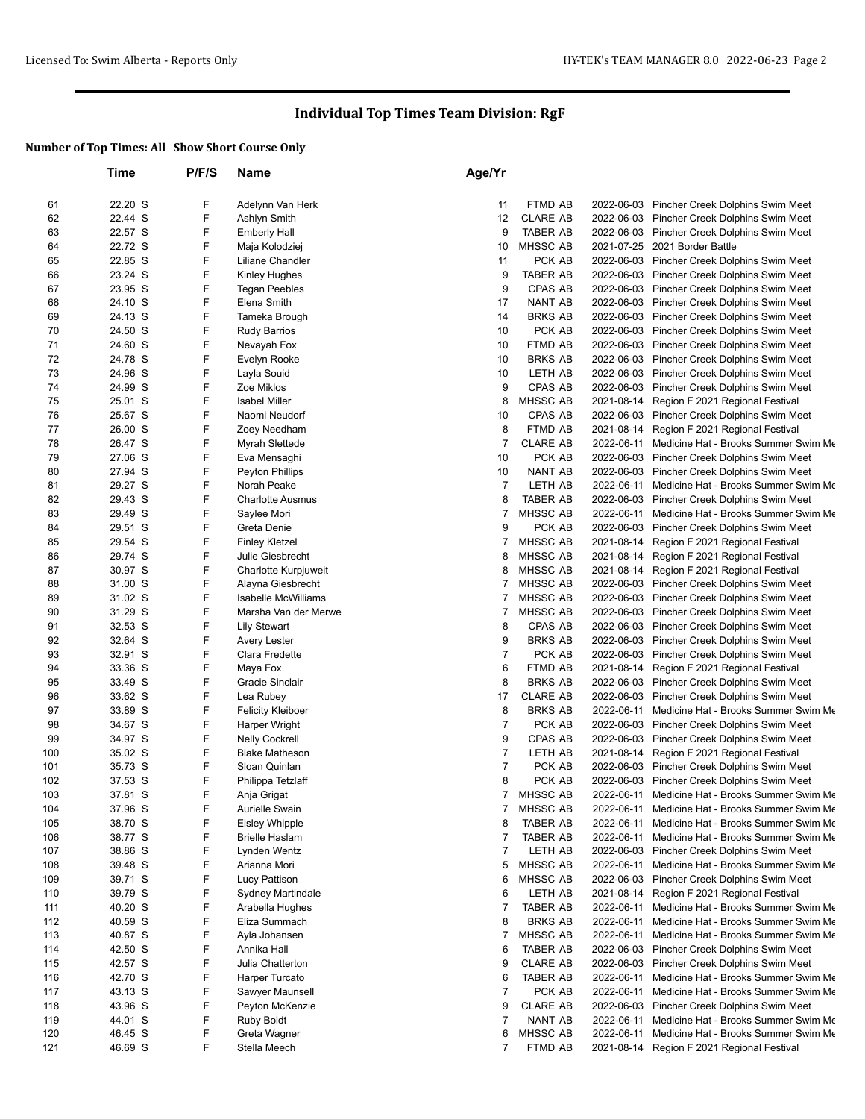|     | Time               | P/F/S  | <b>Name</b>                 | Age/Yr         |                 |            |                                                 |
|-----|--------------------|--------|-----------------------------|----------------|-----------------|------------|-------------------------------------------------|
|     |                    |        |                             |                |                 |            |                                                 |
| 61  | 22.20 S            | F      | Adelynn Van Herk            | 11             | FTMD AB         |            | 2022-06-03 Pincher Creek Dolphins Swim Meet     |
| 62  | 22.44 S            | F      | Ashlyn Smith                | 12             | <b>CLARE AB</b> |            | 2022-06-03 Pincher Creek Dolphins Swim Meet     |
| 63  | 22.57 S            | F      | <b>Emberly Hall</b>         | 9              | <b>TABER AB</b> | 2022-06-03 | Pincher Creek Dolphins Swim Meet                |
| 64  | 22.72 S            | F      | Maja Kolodziej              | 10             | MHSSC AB        |            | 2021-07-25 2021 Border Battle                   |
| 65  | 22.85 S            | F      | Liliane Chandler            | 11             | PCK AB          |            | 2022-06-03 Pincher Creek Dolphins Swim Meet     |
| 66  | 23.24 S            | F      | Kinley Hughes               | 9              | <b>TABER AB</b> | 2022-06-03 | Pincher Creek Dolphins Swim Meet                |
| 67  | 23.95 S            | F      | <b>Tegan Peebles</b>        | 9              | CPAS AB         |            | 2022-06-03 Pincher Creek Dolphins Swim Meet     |
| 68  | 24.10 S            | F      | Elena Smith                 | 17             | <b>NANT AB</b>  |            | 2022-06-03 Pincher Creek Dolphins Swim Meet     |
| 69  | 24.13 S            | F      | Tameka Brough               | 14             | <b>BRKS AB</b>  |            | 2022-06-03 Pincher Creek Dolphins Swim Meet     |
| 70  | 24.50 S            | F      | Rudy Barrios                | 10             | PCK AB          |            | 2022-06-03 Pincher Creek Dolphins Swim Meet     |
| 71  | 24.60 S            | F      | Nevayah Fox                 | 10             | FTMD AB         |            | 2022-06-03 Pincher Creek Dolphins Swim Meet     |
| 72  | 24.78 S            | F      | Evelyn Rooke                | 10             | <b>BRKS AB</b>  |            | 2022-06-03 Pincher Creek Dolphins Swim Meet     |
| 73  | 24.96 S            | F      | Layla Souid                 | 10             | LETH AB         |            | 2022-06-03 Pincher Creek Dolphins Swim Meet     |
| 74  | 24.99 S            | F      | Zoe Miklos                  | 9              | <b>CPAS AB</b>  |            | 2022-06-03 Pincher Creek Dolphins Swim Meet     |
| 75  | 25.01 S            | F      | <b>Isabel Miller</b>        | 8              | MHSSC AB        |            | 2021-08-14 Region F 2021 Regional Festival      |
| 76  | 25.67 S            | F      | Naomi Neudorf               | 10             | CPAS AB         |            | 2022-06-03 Pincher Creek Dolphins Swim Meet     |
| 77  | 26.00 S            | F      | Zoey Needham                | 8              | FTMD AB         | 2021-08-14 | Region F 2021 Regional Festival                 |
| 78  | 26.47 S            | F      | Myrah Slettede              | $\overline{7}$ | <b>CLARE AB</b> |            | 2022-06-11 Medicine Hat - Brooks Summer Swim Me |
| 79  | 27.06 S            | F      | Eva Mensaghi                | 10             | PCK AB          |            | 2022-06-03 Pincher Creek Dolphins Swim Meet     |
| 80  | 27.94 S            | F      | <b>Peyton Phillips</b>      | 10             | NANT AB         | 2022-06-03 | Pincher Creek Dolphins Swim Meet                |
| 81  | 29.27 S            | F      | Norah Peake                 | $\overline{7}$ | LETH AB         | 2022-06-11 | Medicine Hat - Brooks Summer Swim Me            |
| 82  | 29.43 S            | F      | <b>Charlotte Ausmus</b>     | 8              | <b>TABER AB</b> |            | 2022-06-03 Pincher Creek Dolphins Swim Meet     |
| 83  | 29.49 S            | F      | Saylee Mori                 | $\overline{7}$ | <b>MHSSC AB</b> | 2022-06-11 | Medicine Hat - Brooks Summer Swim Me            |
| 84  | 29.51 S            | F      | Greta Denie                 | 9              | PCK AB          |            | 2022-06-03 Pincher Creek Dolphins Swim Meet     |
| 85  | 29.54 S            | F      | <b>Finley Kletzel</b>       | 7              | MHSSC AB        | 2021-08-14 | Region F 2021 Regional Festival                 |
| 86  | 29.74 S            | F      | Julie Giesbrecht            | 8              | MHSSC AB        | 2021-08-14 | Region F 2021 Regional Festival                 |
| 87  | 30.97 S            | F      | <b>Charlotte Kurpjuweit</b> | 8              | MHSSC AB        | 2021-08-14 | Region F 2021 Regional Festival                 |
| 88  | 31.00 S            | F      | Alayna Giesbrecht           | 7              | MHSSC AB        |            | 2022-06-03 Pincher Creek Dolphins Swim Meet     |
| 89  | 31.02 S            | F      | Isabelle McWilliams         | 7              | MHSSC AB        |            | 2022-06-03 Pincher Creek Dolphins Swim Meet     |
| 90  | 31.29 S            | F      | Marsha Van der Merwe        | 7              | <b>MHSSC AB</b> |            | 2022-06-03 Pincher Creek Dolphins Swim Meet     |
| 91  | 32.53 S            | F      | <b>Lily Stewart</b>         | 8              | CPAS AB         |            | 2022-06-03 Pincher Creek Dolphins Swim Meet     |
| 92  | 32.64 S            | F      | Avery Lester                | 9              | <b>BRKS AB</b>  |            | 2022-06-03 Pincher Creek Dolphins Swim Meet     |
| 93  | 32.91 S            | F      | Clara Fredette              | $\overline{7}$ | PCK AB          |            | 2022-06-03 Pincher Creek Dolphins Swim Meet     |
| 94  | 33.36 S            | F      | Maya Fox                    | 6              | FTMD AB         | 2021-08-14 |                                                 |
| 95  | 33.49 S            | F      | Gracie Sinclair             | 8              | <b>BRKS AB</b>  |            | Region F 2021 Regional Festival                 |
| 96  | 33.62 S            | F      |                             | 17             | <b>CLARE AB</b> |            | 2022-06-03 Pincher Creek Dolphins Swim Meet     |
| 97  | 33.89 S            | F      | Lea Rubey                   | 8              | <b>BRKS AB</b>  |            | 2022-06-03 Pincher Creek Dolphins Swim Meet     |
|     |                    | F      | <b>Felicity Kleiboer</b>    | $\overline{7}$ | PCK AB          | 2022-06-11 | Medicine Hat - Brooks Summer Swim Me            |
| 98  | 34.67 S<br>34.97 S | F      | Harper Wright               |                |                 |            | 2022-06-03 Pincher Creek Dolphins Swim Meet     |
| 99  |                    | F      | <b>Nelly Cockrell</b>       | 9              | CPAS AB         |            | 2022-06-03 Pincher Creek Dolphins Swim Meet     |
| 100 | 35.02 S            |        | <b>Blake Matheson</b>       | $\overline{7}$ | LETH AB         | 2021-08-14 | Region F 2021 Regional Festival                 |
| 101 | 35.73 S            | F      | Sloan Quinlan               | $\overline{7}$ | PCK AB          | 2022-06-03 | Pincher Creek Dolphins Swim Meet                |
| 102 | 37.53 S            | F<br>F | Philippa Tetzlaff           | 8              | PCK AB          | 2022-06-03 | Pincher Creek Dolphins Swim Meet                |
| 103 | 37.81 S            |        | Anja Grigat                 | $\overline{7}$ | <b>MHSSC AB</b> |            | 2022-06-11 Medicine Hat - Brooks Summer Swim Me |
| 104 | 37.96 S            | F      | Aurielle Swain              | 7              | <b>MHSSC AB</b> | 2022-06-11 | Medicine Hat - Brooks Summer Swim Me            |
| 105 | 38.70 S            | F      | <b>Eisley Whipple</b>       | 8              | <b>TABER AB</b> | 2022-06-11 | Medicine Hat - Brooks Summer Swim Me            |
| 106 | 38.77 S            | F      | <b>Brielle Haslam</b>       | 7              | <b>TABER AB</b> | 2022-06-11 | Medicine Hat - Brooks Summer Swim Me            |
| 107 | 38.86 S            | F      | Lynden Wentz                | $\overline{7}$ | LETH AB         |            | 2022-06-03 Pincher Creek Dolphins Swim Meet     |
| 108 | 39.48 S            | F      | Arianna Mori                | 5              | MHSSC AB        | 2022-06-11 | Medicine Hat - Brooks Summer Swim Me            |
| 109 | 39.71 S            | F      | Lucy Pattison               | 6              | MHSSC AB        |            | 2022-06-03 Pincher Creek Dolphins Swim Meet     |
| 110 | 39.79 S            | F      | <b>Sydney Martindale</b>    | 6              | LETH AB         |            | 2021-08-14 Region F 2021 Regional Festival      |
| 111 | 40.20 S            | F      | Arabella Hughes             | $\overline{7}$ | TABER AB        | 2022-06-11 | Medicine Hat - Brooks Summer Swim Me            |
| 112 | 40.59 S            | F      | Eliza Summach               | 8              | <b>BRKS AB</b>  | 2022-06-11 | Medicine Hat - Brooks Summer Swim Me            |
| 113 | 40.87 S            | F      | Ayla Johansen               | 7              | MHSSC AB        |            | 2022-06-11 Medicine Hat - Brooks Summer Swim Me |
| 114 | 42.50 S            | F      | Annika Hall                 | 6              | <b>TABER AB</b> |            | 2022-06-03 Pincher Creek Dolphins Swim Meet     |
| 115 | 42.57 S            | F      | Julia Chatterton            | 9              | <b>CLARE AB</b> |            | 2022-06-03 Pincher Creek Dolphins Swim Meet     |
| 116 | 42.70 S            | F      | Harper Turcato              | 6              | <b>TABER AB</b> |            | 2022-06-11 Medicine Hat - Brooks Summer Swim Me |
| 117 | 43.13 S            | F      | Sawyer Maunsell             | $\overline{7}$ | PCK AB          | 2022-06-11 | Medicine Hat - Brooks Summer Swim Me            |
| 118 | 43.96 S            | F      | Peyton McKenzie             | 9              | <b>CLARE AB</b> | 2022-06-03 | Pincher Creek Dolphins Swim Meet                |
| 119 | 44.01 S            | F      | <b>Ruby Boldt</b>           | $\overline{7}$ | NANT AB         | 2022-06-11 | Medicine Hat - Brooks Summer Swim Me            |
| 120 | 46.45 S            | F      | Greta Wagner                | 6              | MHSSC AB        | 2022-06-11 | Medicine Hat - Brooks Summer Swim Me            |
| 121 | 46.69 S            | F      | Stella Meech                | 7              | FTMD AB         |            | 2021-08-14 Region F 2021 Regional Festival      |
|     |                    |        |                             |                |                 |            |                                                 |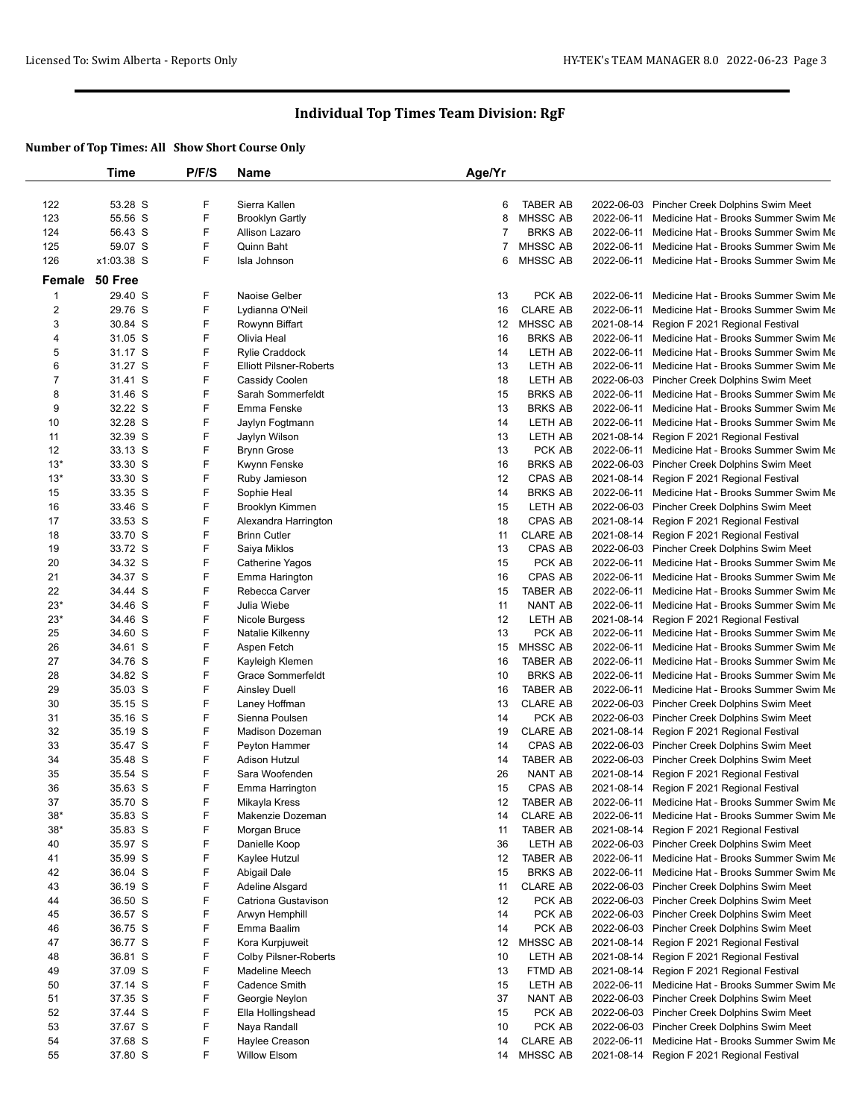|                         | Time       | P/F/S | <b>Name</b>                    | Age/Yr          |                 |            |                                                 |
|-------------------------|------------|-------|--------------------------------|-----------------|-----------------|------------|-------------------------------------------------|
|                         |            |       |                                |                 |                 |            |                                                 |
| 122                     | 53.28 S    | F     | Sierra Kallen                  | 6               | <b>TABER AB</b> |            | 2022-06-03 Pincher Creek Dolphins Swim Meet     |
| 123                     | 55.56 S    | F     | <b>Brooklyn Gartly</b>         | 8               | <b>MHSSC AB</b> |            | 2022-06-11 Medicine Hat - Brooks Summer Swim Me |
| 124                     | 56.43 S    | F     | Allison Lazaro                 | 7               | <b>BRKS AB</b>  | 2022-06-11 | Medicine Hat - Brooks Summer Swim Me            |
| 125                     | 59.07 S    | F     | Quinn Baht                     | 7               | MHSSC AB        | 2022-06-11 | Medicine Hat - Brooks Summer Swim Me            |
| 126                     | x1:03.38 S | F     | Isla Johnson                   | 6               | <b>MHSSC AB</b> | 2022-06-11 | Medicine Hat - Brooks Summer Swim Me            |
| Female                  | 50 Free    |       |                                |                 |                 |            |                                                 |
| $\overline{1}$          | 29.40 S    | F     | Naoise Gelber                  | 13              | PCK AB          | 2022-06-11 | Medicine Hat - Brooks Summer Swim Me            |
| $\overline{\mathbf{c}}$ | 29.76 S    | F     | Lydianna O'Neil                | 16              | <b>CLARE AB</b> | 2022-06-11 | Medicine Hat - Brooks Summer Swim Me            |
| 3                       | 30.84 S    | F     | Rowynn Biffart                 | 12              | MHSSC AB        | 2021-08-14 | Region F 2021 Regional Festival                 |
| 4                       | 31.05 S    | F     | Olivia Heal                    | 16              | <b>BRKS AB</b>  | 2022-06-11 | Medicine Hat - Brooks Summer Swim Me            |
| 5                       | 31.17 S    | F     | <b>Rylie Craddock</b>          | 14              | LETH AB         | 2022-06-11 | Medicine Hat - Brooks Summer Swim Me            |
| 6                       | 31.27 S    | F     | <b>Elliott Pilsner-Roberts</b> | 13              | LETH AB         | 2022-06-11 | Medicine Hat - Brooks Summer Swim Me            |
| $\overline{7}$          | 31.41 S    | F     | Cassidy Coolen                 | 18              | LETH AB         |            | 2022-06-03 Pincher Creek Dolphins Swim Meet     |
| 8                       | 31.46 S    | F     | Sarah Sommerfeldt              | 15              | <b>BRKS AB</b>  | 2022-06-11 | Medicine Hat - Brooks Summer Swim Me            |
| 9                       | 32.22 S    | F     | Emma Fenske                    | 13              | <b>BRKS AB</b>  | 2022-06-11 | Medicine Hat - Brooks Summer Swim Me            |
| 10                      | 32.28 S    | F     | Jaylyn Fogtmann                | 14              | LETH AB         | 2022-06-11 | Medicine Hat - Brooks Summer Swim Me            |
| 11                      | 32.39 S    | F     | Jaylyn Wilson                  | 13              | LETH AB         | 2021-08-14 | Region F 2021 Regional Festival                 |
| 12                      | 33.13 S    | F     | <b>Brynn Grose</b>             | 13              | PCK AB          | 2022-06-11 | Medicine Hat - Brooks Summer Swim Me            |
| $13*$                   | 33.30 S    | F     | Kwynn Fenske                   | 16              | <b>BRKS AB</b>  |            | 2022-06-03 Pincher Creek Dolphins Swim Meet     |
| $13*$                   | 33.30 S    | F     | Ruby Jamieson                  | 12              | <b>CPAS AB</b>  | 2021-08-14 | Region F 2021 Regional Festival                 |
| 15                      | 33.35 S    | F     | Sophie Heal                    | 14              | <b>BRKS AB</b>  | 2022-06-11 | Medicine Hat - Brooks Summer Swim Me            |
| 16                      | 33.46 S    | F     | Brooklyn Kimmen                | 15              | LETH AB         |            | 2022-06-03 Pincher Creek Dolphins Swim Meet     |
| 17                      | 33.53 S    | F     | Alexandra Harrington           | 18              | CPAS AB         | 2021-08-14 | Region F 2021 Regional Festival                 |
| 18                      | 33.70 S    | F     | <b>Brinn Cutler</b>            | 11              | <b>CLARE AB</b> | 2021-08-14 | Region F 2021 Regional Festival                 |
| 19                      | 33.72 S    | F     | Saiya Miklos                   | 13              | CPAS AB         |            | 2022-06-03 Pincher Creek Dolphins Swim Meet     |
| 20                      | 34.32 S    | F     | Catherine Yagos                | 15              | PCK AB          | 2022-06-11 | Medicine Hat - Brooks Summer Swim Me            |
| 21                      | 34.37 S    | F     | Emma Harington                 | 16              | CPAS AB         | 2022-06-11 | Medicine Hat - Brooks Summer Swim Me            |
| 22                      | 34.44 S    | F     | Rebecca Carver                 | 15              | <b>TABER AB</b> | 2022-06-11 | Medicine Hat - Brooks Summer Swim Me            |
| $23*$                   | 34.46 S    | F     | Julia Wiebe                    | 11              | NANT AB         |            | 2022-06-11 Medicine Hat - Brooks Summer Swim Me |
| $23*$                   | 34.46 S    | F     | Nicole Burgess                 | 12              | LETH AB         | 2021-08-14 | Region F 2021 Regional Festival                 |
| 25                      | 34.60 S    | F     | Natalie Kilkenny               | 13              | PCK AB          | 2022-06-11 | Medicine Hat - Brooks Summer Swim Me            |
| 26                      | 34.61 S    | F     | Aspen Fetch                    | 15              | MHSSC AB        |            | 2022-06-11 Medicine Hat - Brooks Summer Swim Me |
| 27                      | 34.76 S    | F     | Kayleigh Klemen                | 16              | <b>TABER AB</b> | 2022-06-11 | Medicine Hat - Brooks Summer Swim Me            |
| 28                      | 34.82 S    | F     | <b>Grace Sommerfeldt</b>       | 10              | <b>BRKS AB</b>  | 2022-06-11 | Medicine Hat - Brooks Summer Swim Me            |
| 29                      | 35.03 S    | F     | <b>Ainsley Duell</b>           | 16              | <b>TABER AB</b> | 2022-06-11 | Medicine Hat - Brooks Summer Swim Me            |
| 30                      | 35.15 S    | F     | Laney Hoffman                  | 13              | <b>CLARE AB</b> |            | 2022-06-03 Pincher Creek Dolphins Swim Meet     |
| 31                      | 35.16 S    | F     | Sienna Poulsen                 | 14              | PCK AB          |            | 2022-06-03 Pincher Creek Dolphins Swim Meet     |
| 32                      | 35.19 S    | F     | Madison Dozeman                | 19              | <b>CLARE AB</b> |            | 2021-08-14 Region F 2021 Regional Festival      |
| 33                      | 35.47 S    | F     | Peyton Hammer                  | 14              | CPAS AB         |            | 2022-06-03 Pincher Creek Dolphins Swim Meet     |
| 34                      | 35.48 S    | F     | <b>Adison Hutzul</b>           | 14              | <b>TABER AB</b> |            | 2022-06-03 Pincher Creek Dolphins Swim Meet     |
| 35                      | 35.54 S    | F     | Sara Woofenden                 | 26              | NANT AB         | 2021-08-14 | Region F 2021 Regional Festival                 |
| 36                      | 35.63 S    | F     | Emma Harrington                | 15              | <b>CPAS AB</b>  |            | 2021-08-14 Region F 2021 Regional Festival      |
| 37                      | 35.70 S    | F     | Mikayla Kress                  |                 | 12 TABER AB     |            | 2022-06-11 Medicine Hat - Brooks Summer Swim Me |
| $38*$                   | 35.83 S    | F     | Makenzie Dozeman               | 14              | <b>CLARE AB</b> |            | 2022-06-11 Medicine Hat - Brooks Summer Swim Me |
| $38*$                   | 35.83 S    | F     | Morgan Bruce                   | 11              | <b>TABER AB</b> | 2021-08-14 | Region F 2021 Regional Festival                 |
| 40                      | 35.97 S    | F     | Danielle Koop                  | 36              | LETH AB         |            | 2022-06-03 Pincher Creek Dolphins Swim Meet     |
| 41                      | 35.99 S    | F     | Kaylee Hutzul                  | 12              | <b>TABER AB</b> |            | 2022-06-11 Medicine Hat - Brooks Summer Swim Me |
| 42                      | 36.04 S    | F     | Abigail Dale                   | 15              | <b>BRKS AB</b>  | 2022-06-11 | Medicine Hat - Brooks Summer Swim Me            |
| 43                      | 36.19 S    | F     | Adeline Alsgard                | 11              | <b>CLARE AB</b> | 2022-06-03 | Pincher Creek Dolphins Swim Meet                |
| 44                      | 36.50 S    | F     | Catriona Gustavison            | 12              | PCK AB          |            | 2022-06-03 Pincher Creek Dolphins Swim Meet     |
| 45                      | 36.57 S    | F     | Arwyn Hemphill                 | 14              | PCK AB          |            | 2022-06-03 Pincher Creek Dolphins Swim Meet     |
| 46                      | 36.75 S    | F     | Emma Baalim                    | 14              | PCK AB          | 2022-06-03 | Pincher Creek Dolphins Swim Meet                |
| 47                      | 36.77 S    | F     | Kora Kurpjuweit                | 12 <sup>°</sup> | MHSSC AB        | 2021-08-14 | Region F 2021 Regional Festival                 |
| 48                      | 36.81 S    | F     | <b>Colby Pilsner-Roberts</b>   | 10              | LETH AB         | 2021-08-14 | Region F 2021 Regional Festival                 |
| 49                      | 37.09 S    | F     | Madeline Meech                 | 13              | FTMD AB         | 2021-08-14 | Region F 2021 Regional Festival                 |
| 50                      | 37.14 S    | F     | Cadence Smith                  | 15              | LETH AB         | 2022-06-11 | Medicine Hat - Brooks Summer Swim Me            |
| 51                      | 37.35 S    | F     | Georgie Neylon                 | 37              | NANT AB         |            | 2022-06-03 Pincher Creek Dolphins Swim Meet     |
| 52                      | 37.44 S    | F     | Ella Hollingshead              | 15              | PCK AB          |            | 2022-06-03 Pincher Creek Dolphins Swim Meet     |
| 53                      | 37.67 S    | F     | Naya Randall                   | 10              | PCK AB          |            | 2022-06-03 Pincher Creek Dolphins Swim Meet     |
| 54                      | 37.68 S    | F     | Haylee Creason                 | 14              | <b>CLARE AB</b> | 2022-06-11 | Medicine Hat - Brooks Summer Swim Me            |
| 55                      | 37.80 S    | F     | <b>Willow Elsom</b>            | 14              | MHSSC AB        | 2021-08-14 | Region F 2021 Regional Festival                 |
|                         |            |       |                                |                 |                 |            |                                                 |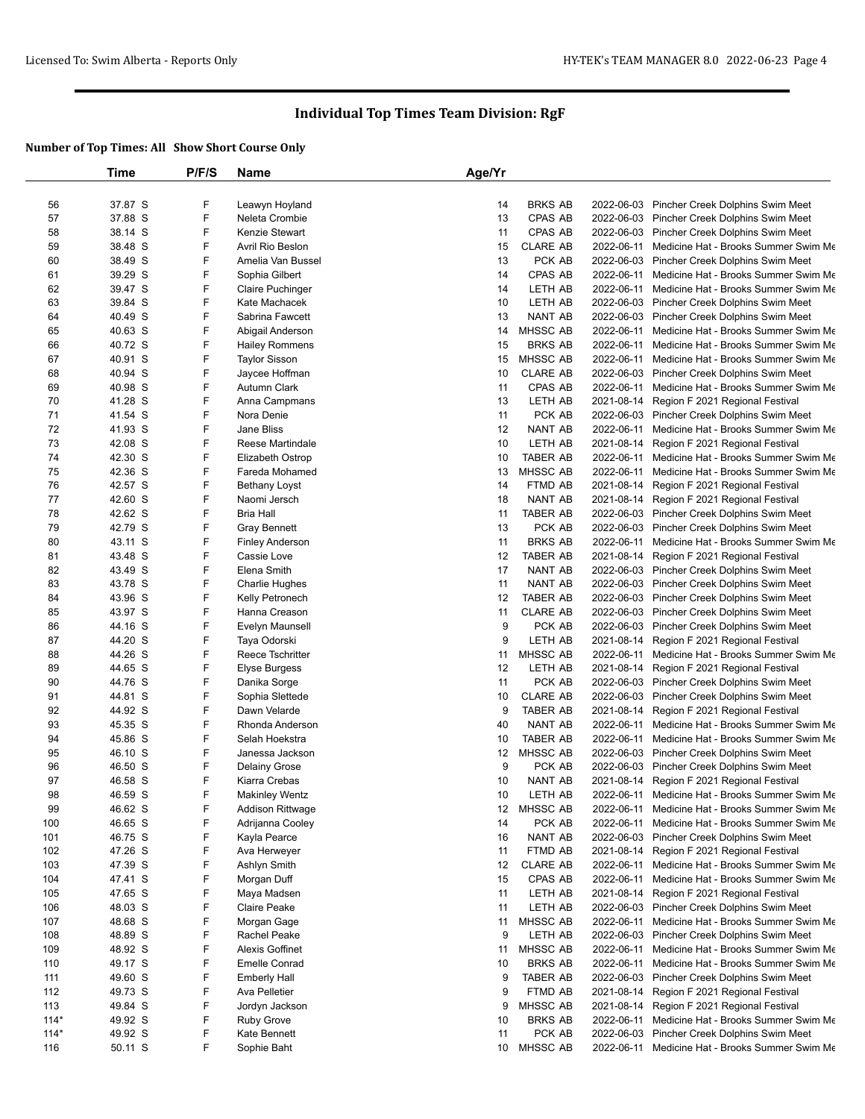|        | Time    | P/F/S | <b>Name</b>             | Age/Yr            |                 |            |                                                 |
|--------|---------|-------|-------------------------|-------------------|-----------------|------------|-------------------------------------------------|
|        |         |       |                         |                   |                 |            |                                                 |
| 56     | 37.87 S | F     | Leawyn Hoyland          | 14                | <b>BRKS AB</b>  |            | 2022-06-03 Pincher Creek Dolphins Swim Meet     |
| 57     | 37.88 S | F     | Neleta Crombie          | 13                | CPAS AB         |            | 2022-06-03 Pincher Creek Dolphins Swim Meet     |
| 58     | 38.14 S | F     | Kenzie Stewart          | 11                | CPAS AB         |            | 2022-06-03 Pincher Creek Dolphins Swim Meet     |
| 59     | 38.48 S | F     | Avril Rio Beslon        | 15                | <b>CLARE AB</b> |            | 2022-06-11 Medicine Hat - Brooks Summer Swim Me |
| 60     | 38.49 S | F     | Amelia Van Bussel       | 13                | PCK AB          |            | 2022-06-03 Pincher Creek Dolphins Swim Meet     |
| 61     | 39.29 S | F     | Sophia Gilbert          | 14                | CPAS AB         | 2022-06-11 | Medicine Hat - Brooks Summer Swim Me            |
| 62     | 39.47 S | F     | <b>Claire Puchinger</b> | 14                | LETH AB         | 2022-06-11 | Medicine Hat - Brooks Summer Swim Me            |
| 63     | 39.84 S | F     | Kate Machacek           | 10                | LETH AB         |            | 2022-06-03 Pincher Creek Dolphins Swim Meet     |
| 64     | 40.49 S | F     | Sabrina Fawcett         | 13                | <b>NANT AB</b>  |            | 2022-06-03 Pincher Creek Dolphins Swim Meet     |
| 65     | 40.63 S | F     | Abigail Anderson        | 14                | MHSSC AB        | 2022-06-11 | Medicine Hat - Brooks Summer Swim Me            |
| 66     | 40.72 S | F     | <b>Hailey Rommens</b>   | 15                | <b>BRKS AB</b>  | 2022-06-11 | Medicine Hat - Brooks Summer Swim Me            |
| 67     | 40.91 S | F     | <b>Taylor Sisson</b>    | 15                | <b>MHSSC AB</b> |            | 2022-06-11 Medicine Hat - Brooks Summer Swim Me |
| 68     | 40.94 S | F     | Jaycee Hoffman          | 10                | <b>CLARE AB</b> |            | 2022-06-03 Pincher Creek Dolphins Swim Meet     |
| 69     | 40.98 S | F     | <b>Autumn Clark</b>     | 11                | <b>CPAS AB</b>  | 2022-06-11 | Medicine Hat - Brooks Summer Swim Me            |
| 70     | 41.28 S | F     | Anna Campmans           | 13                | LETH AB         |            | 2021-08-14 Region F 2021 Regional Festival      |
| 71     | 41.54 S | F     | Nora Denie              | 11                | PCK AB          |            | 2022-06-03 Pincher Creek Dolphins Swim Meet     |
| 72     | 41.93 S | F     | Jane Bliss              | 12                | <b>NANT AB</b>  |            | 2022-06-11 Medicine Hat - Brooks Summer Swim Me |
| 73     | 42.08 S | F     | Reese Martindale        | 10                | LETH AB         |            | 2021-08-14 Region F 2021 Regional Festival      |
| 74     | 42.30 S | F     | Elizabeth Ostrop        | 10                | <b>TABER AB</b> | 2022-06-11 | Medicine Hat - Brooks Summer Swim Me            |
| 75     | 42.36 S | F     | Fareda Mohamed          | 13                | MHSSC AB        | 2022-06-11 | Medicine Hat - Brooks Summer Swim Me            |
| 76     | 42.57 S | F     | <b>Bethany Loyst</b>    | 14                | FTMD AB         |            | 2021-08-14 Region F 2021 Regional Festival      |
| 77     | 42.60 S | F     | Naomi Jersch            | 18                | NANT AB         | 2021-08-14 | Region F 2021 Regional Festival                 |
| 78     | 42.62 S | F     | <b>Bria Hall</b>        | 11                | <b>TABER AB</b> |            | 2022-06-03 Pincher Creek Dolphins Swim Meet     |
| 79     | 42.79 S | F     | <b>Gray Bennett</b>     | 13                | PCK AB          |            | 2022-06-03 Pincher Creek Dolphins Swim Meet     |
| 80     | 43.11 S | F     | <b>Finley Anderson</b>  | 11                | <b>BRKS AB</b>  | 2022-06-11 | Medicine Hat - Brooks Summer Swim Me            |
| 81     | 43.48 S | F     | Cassie Love             | 12                | <b>TABER AB</b> | 2021-08-14 | Region F 2021 Regional Festival                 |
| 82     | 43.49 S | F     | Elena Smith             | 17                | <b>NANT AB</b>  |            | 2022-06-03 Pincher Creek Dolphins Swim Meet     |
| 83     | 43.78 S | F     | <b>Charlie Hughes</b>   | 11                | NANT AB         |            | 2022-06-03 Pincher Creek Dolphins Swim Meet     |
| 84     | 43.96 S | F     | Kelly Petronech         | 12                | <b>TABER AB</b> |            | 2022-06-03 Pincher Creek Dolphins Swim Meet     |
| 85     | 43.97 S | F     | Hanna Creason           | 11                | <b>CLARE AB</b> |            | 2022-06-03 Pincher Creek Dolphins Swim Meet     |
| 86     | 44.16 S | F     | Evelyn Maunsell         | 9                 | PCK AB          |            | 2022-06-03 Pincher Creek Dolphins Swim Meet     |
| 87     | 44.20 S | F     | Taya Odorski            | 9                 | LETH AB         | 2021-08-14 | Region F 2021 Regional Festival                 |
| 88     | 44.26 S | F     | Reece Tschritter        | 11                | MHSSC AB        | 2022-06-11 | Medicine Hat - Brooks Summer Swim Me            |
| 89     | 44.65 S | F     | <b>Elyse Burgess</b>    | 12                | LETH AB         | 2021-08-14 | Region F 2021 Regional Festival                 |
| 90     | 44.76 S | F     | Danika Sorge            | 11                | PCK AB          |            | 2022-06-03 Pincher Creek Dolphins Swim Meet     |
| 91     | 44.81 S | F     | Sophia Slettede         | 10                | <b>CLARE AB</b> |            | 2022-06-03 Pincher Creek Dolphins Swim Meet     |
| 92     | 44.92 S | F     | Dawn Velarde            | 9                 | <b>TABER AB</b> | 2021-08-14 | Region F 2021 Regional Festival                 |
| 93     | 45.35 S | F     | Rhonda Anderson         | 40                | <b>NANT AB</b>  | 2022-06-11 | Medicine Hat - Brooks Summer Swim Me            |
| 94     | 45.86 S | F     | Selah Hoekstra          | 10                | <b>TABER AB</b> | 2022-06-11 | Medicine Hat - Brooks Summer Swim Me            |
| 95     | 46.10 S | F     | Janessa Jackson         | $12 \overline{ }$ | MHSSC AB        |            | 2022-06-03 Pincher Creek Dolphins Swim Meet     |
| 96     | 46.50 S | F     | <b>Delainy Grose</b>    | 9                 | PCK AB          | 2022-06-03 | Pincher Creek Dolphins Swim Meet                |
| 97     | 46.58 S | F     | Kiarra Crebas           | 10                | NANT AB         | 2021-08-14 | Region F 2021 Regional Festival                 |
| 98     | 46.59 S | F     | <b>Makinley Wentz</b>   | 10                | LETH AB         |            | 2022-06-11 Medicine Hat - Brooks Summer Swim Me |
| 99     | 46.62 S | F     | <b>Addison Rittwage</b> | 12 <sub>2</sub>   | MHSSC AB        | 2022-06-11 | Medicine Hat - Brooks Summer Swim Me            |
| 100    | 46.65 S | F     | Adrijanna Cooley        | 14                | PCK AB          | 2022-06-11 | Medicine Hat - Brooks Summer Swim Me            |
| 101    | 46.75 S | F     | Kayla Pearce            | 16                | <b>NANT AB</b>  |            | 2022-06-03 Pincher Creek Dolphins Swim Meet     |
| 102    | 47.26 S | F     | Ava Herweyer            | 11                | FTMD AB         | 2021-08-14 | Region F 2021 Regional Festival                 |
| 103    | 47.39 S | F     | Ashlyn Smith            | 12                | <b>CLARE AB</b> | 2022-06-11 | Medicine Hat - Brooks Summer Swim Me            |
| 104    | 47.41 S | F     | Morgan Duff             | 15                | CPAS AB         | 2022-06-11 | Medicine Hat - Brooks Summer Swim Me            |
| 105    | 47.65 S | F     | Maya Madsen             | 11                | LETH AB         |            | 2021-08-14 Region F 2021 Regional Festival      |
| 106    | 48.03 S | F     | <b>Claire Peake</b>     | 11                | LETH AB         |            | 2022-06-03 Pincher Creek Dolphins Swim Meet     |
| 107    | 48.68 S | F     | Morgan Gage             | 11                | MHSSC AB        | 2022-06-11 | Medicine Hat - Brooks Summer Swim Me            |
| 108    | 48.89 S | F     | Rachel Peake            | 9                 | LETH AB         |            | 2022-06-03 Pincher Creek Dolphins Swim Meet     |
| 109    | 48.92 S | F     | Alexis Goffinet         | 11                | MHSSC AB        | 2022-06-11 | Medicine Hat - Brooks Summer Swim Me            |
| 110    | 49.17 S | F     | <b>Emelle Conrad</b>    | 10                | <b>BRKS AB</b>  | 2022-06-11 | Medicine Hat - Brooks Summer Swim Me            |
| 111    | 49.60 S | F     | <b>Emberly Hall</b>     | 9                 | <b>TABER AB</b> |            | 2022-06-03 Pincher Creek Dolphins Swim Meet     |
| 112    | 49.73 S | F     | Ava Pelletier           | 9                 | FTMD AB         | 2021-08-14 | Region F 2021 Regional Festival                 |
| 113    | 49.84 S | F     | Jordyn Jackson          | 9                 | MHSSC AB        | 2021-08-14 | Region F 2021 Regional Festival                 |
| $114*$ | 49.92 S | F     | <b>Ruby Grove</b>       | 10                | <b>BRKS AB</b>  | 2022-06-11 | Medicine Hat - Brooks Summer Swim Me            |
| $114*$ | 49.92 S | F     | Kate Bennett            | 11                | PCK AB          |            | 2022-06-03 Pincher Creek Dolphins Swim Meet     |
| 116    | 50.11 S | F     | Sophie Baht             | 10                | MHSSC AB        |            | 2022-06-11 Medicine Hat - Brooks Summer Swim Me |
|        |         |       |                         |                   |                 |            |                                                 |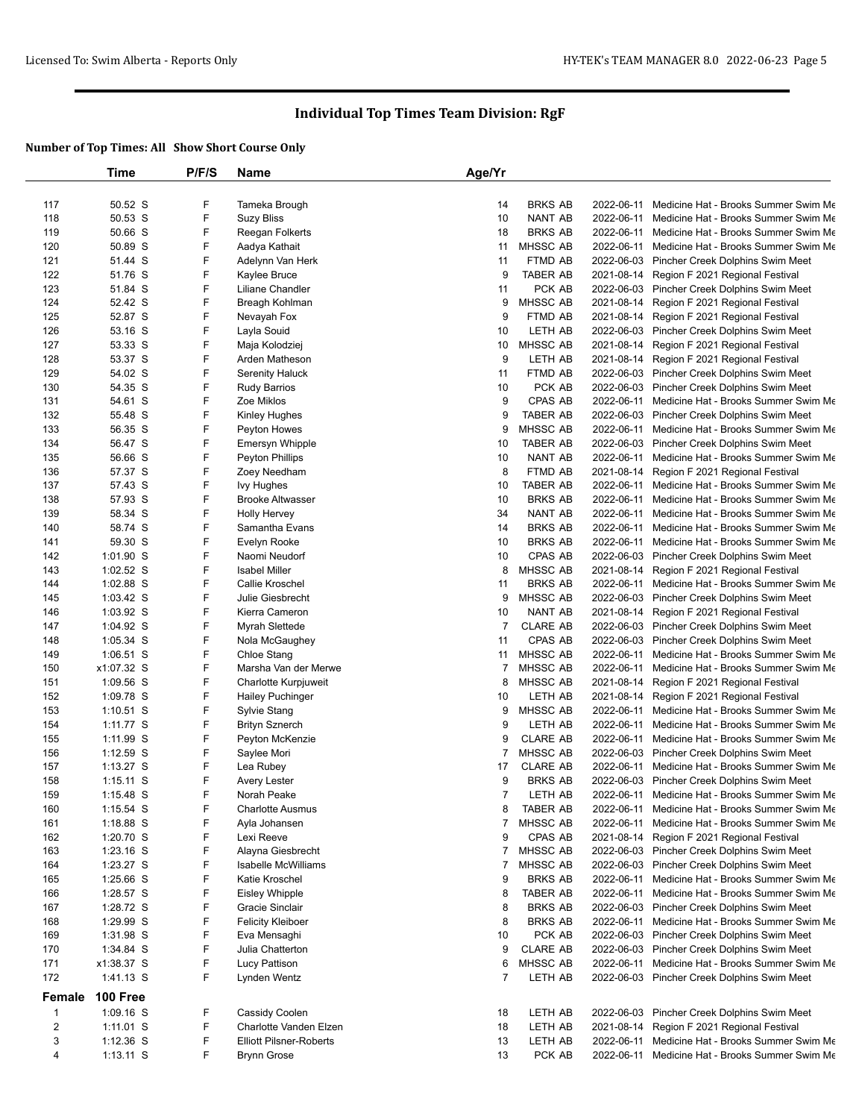|            | Time                       | P/F/S  | Name                             | Age/Yr              |                             |                          |                                                                                     |
|------------|----------------------------|--------|----------------------------------|---------------------|-----------------------------|--------------------------|-------------------------------------------------------------------------------------|
|            |                            |        |                                  |                     |                             |                          |                                                                                     |
| 117        | 50.52 S                    | F      | Tameka Brough                    | 14                  | <b>BRKS AB</b>              | 2022-06-11               | Medicine Hat - Brooks Summer Swim Me                                                |
| 118        | 50.53 S                    | F      | <b>Suzy Bliss</b>                | 10                  | <b>NANT AB</b>              | 2022-06-11               | Medicine Hat - Brooks Summer Swim Me                                                |
| 119        | 50.66 S                    | F      | Reegan Folkerts                  | 18                  | <b>BRKS AB</b>              | 2022-06-11               | Medicine Hat - Brooks Summer Swim Me                                                |
| 120        | 50.89 S                    | F      | Aadya Kathait                    | 11                  | MHSSC AB                    | 2022-06-11               | Medicine Hat - Brooks Summer Swim Me                                                |
| 121        | 51.44 S                    | F      | Adelynn Van Herk                 | 11                  | FTMD AB                     | 2022-06-03               | Pincher Creek Dolphins Swim Meet                                                    |
| 122        | 51.76 S                    | F      | Kaylee Bruce                     | 9                   | <b>TABER AB</b>             | 2021-08-14               | Region F 2021 Regional Festival                                                     |
| 123        | 51.84 S                    | F      | Liliane Chandler                 | 11                  | PCK AB                      |                          | 2022-06-03 Pincher Creek Dolphins Swim Meet                                         |
| 124        | 52.42 S                    | F      | Breagh Kohlman                   | 9                   | MHSSC AB                    | 2021-08-14               | Region F 2021 Regional Festival                                                     |
| 125        | 52.87 S                    | F      | Nevayah Fox                      | 9                   | FTMD AB                     | 2021-08-14               | Region F 2021 Regional Festival                                                     |
| 126        | 53.16 S                    | F<br>F | Layla Souid                      | 10                  | LETH AB                     | 2022-06-03               | Pincher Creek Dolphins Swim Meet                                                    |
| 127        | 53.33 S                    |        | Maja Kolodziej                   | 10                  | MHSSC AB                    | 2021-08-14               | Region F 2021 Regional Festival                                                     |
| 128        | 53.37 S                    | F<br>F | Arden Matheson                   | 9                   | LETH AB                     | 2021-08-14               | Region F 2021 Regional Festival                                                     |
| 129        | 54.02 S                    | F      | Serenity Haluck                  | 11                  | FTMD AB                     |                          | 2022-06-03 Pincher Creek Dolphins Swim Meet                                         |
| 130        | 54.35 S                    | F      | <b>Rudy Barrios</b>              | 10<br>9             | PCK AB                      | 2022-06-03               | Pincher Creek Dolphins Swim Meet                                                    |
| 131        | 54.61 S                    | F      | Zoe Miklos                       |                     | CPAS AB                     | 2022-06-11               | Medicine Hat - Brooks Summer Swim Me                                                |
| 132        | 55.48 S                    | F      | Kinley Hughes                    | 9                   | <b>TABER AB</b><br>MHSSC AB | 2022-06-03               | Pincher Creek Dolphins Swim Meet                                                    |
| 133        | 56.35 S                    | F      | Peyton Howes                     | 9                   |                             | 2022-06-11               | Medicine Hat - Brooks Summer Swim Me                                                |
| 134        | 56.47 S                    |        | <b>Emersyn Whipple</b>           | 10                  | <b>TABER AB</b>             |                          | 2022-06-03 Pincher Creek Dolphins Swim Meet                                         |
| 135        | 56.66 S                    | F<br>F | Peyton Phillips                  | 10                  | NANT AB                     | 2022-06-11               | Medicine Hat - Brooks Summer Swim Me                                                |
| 136        | 57.37 S                    |        | Zoey Needham                     | 8                   | FTMD AB                     | 2021-08-14               | Region F 2021 Regional Festival                                                     |
| 137        | 57.43 S                    | F<br>F | <b>Ivy Hughes</b>                | 10                  | <b>TABER AB</b>             | 2022-06-11               | Medicine Hat - Brooks Summer Swim Me                                                |
| 138        | 57.93 S                    |        | <b>Brooke Altwasser</b>          | 10                  | <b>BRKS AB</b>              | 2022-06-11               | Medicine Hat - Brooks Summer Swim Me                                                |
| 139        | 58.34 S                    | F<br>F | <b>Holly Hervey</b>              | 34                  | <b>NANT AB</b>              | 2022-06-11               | Medicine Hat - Brooks Summer Swim Me                                                |
| 140        | 58.74 S                    |        | Samantha Evans                   | 14                  | <b>BRKS AB</b>              | 2022-06-11               | Medicine Hat - Brooks Summer Swim Me                                                |
| 141        | 59.30 S                    | F      | Evelyn Rooke                     | 10                  | <b>BRKS AB</b>              | 2022-06-11               | Medicine Hat - Brooks Summer Swim Me                                                |
| 142        | 1:01.90 S                  | F      | Naomi Neudorf                    | 10                  | CPAS AB                     | 2022-06-03               | Pincher Creek Dolphins Swim Meet                                                    |
| 143        | 1:02.52 S                  | F<br>F | <b>Isabel Miller</b>             | 8                   | MHSSC AB                    | 2021-08-14               | Region F 2021 Regional Festival                                                     |
| 144        | 1:02.88 S                  |        | Callie Kroschel                  | 11                  | <b>BRKS AB</b>              | 2022-06-11               | Medicine Hat - Brooks Summer Swim Me                                                |
| 145        | $1:03.42$ S                | F<br>F | Julie Giesbrecht                 | 9                   | MHSSC AB                    | 2022-06-03<br>2021-08-14 | Pincher Creek Dolphins Swim Meet                                                    |
| 146        | 1:03.92 S                  | F      | Kierra Cameron                   | 10                  | <b>NANT AB</b>              |                          | Region F 2021 Regional Festival                                                     |
| 147        | 1:04.92 S                  | F      | Myrah Slettede                   | $\overline{7}$      | <b>CLARE AB</b>             | 2022-06-03               | Pincher Creek Dolphins Swim Meet                                                    |
| 148        | 1:05.34 S                  | F      | Nola McGaughey                   | 11                  | CPAS AB                     | 2022-06-03               | Pincher Creek Dolphins Swim Meet                                                    |
| 149        | $1:06.51$ S                | F      | Chloe Stang                      | 11                  | MHSSC AB                    | 2022-06-11               | Medicine Hat - Brooks Summer Swim Me                                                |
| 150        | x1:07.32 S                 | F      | Marsha Van der Merwe             | 7<br>8              | MHSSC AB<br>MHSSC AB        | 2022-06-11               | Medicine Hat - Brooks Summer Swim Me                                                |
| 151<br>152 | 1:09.56 S<br>1:09.78 S     | F      | Charlotte Kurpjuweit             | 10                  | LETH AB                     | 2021-08-14<br>2021-08-14 | Region F 2021 Regional Festival<br>Region F 2021 Regional Festival                  |
| 153        | $1:10.51$ S                | F      | <b>Hailey Puchinger</b>          | 9                   | MHSSC AB                    | 2022-06-11               | Medicine Hat - Brooks Summer Swim Me                                                |
| 154        | 1:11.77 S                  | F      | Sylvie Stang                     | 9                   | LETH AB                     | 2022-06-11               | Medicine Hat - Brooks Summer Swim Me                                                |
| 155        | 1:11.99 S                  | F      | <b>Brityn Sznerch</b>            | 9                   | <b>CLARE AB</b>             | 2022-06-11               | Medicine Hat - Brooks Summer Swim Me                                                |
| 156        | 1:12.59 S                  | F      | Peyton McKenzie                  | $\overline{7}$      | MHSSC AB                    | 2022-06-03               |                                                                                     |
| 157        | 1:13.27 S                  | F      | Saylee Mori                      | 17                  | <b>CLARE AB</b>             | 2022-06-11               | Pincher Creek Dolphins Swim Meet<br>Medicine Hat - Brooks Summer Swim Me            |
|            |                            | F      | Lea Rubey                        |                     |                             |                          |                                                                                     |
| 158<br>159 | $1:15.11$ S<br>$1:15.48$ S | F      | Avery Lester<br>Norah Peake      | 9<br>$\overline{7}$ | <b>BRKS AB</b><br>LETH AB   | 2022-06-03               | Pincher Creek Dolphins Swim Meet<br>2022-06-11 Medicine Hat - Brooks Summer Swim Me |
| 160        | $1:15.54$ S                | F      | <b>Charlotte Ausmus</b>          | 8                   | TABER AB                    | 2022-06-11               | Medicine Hat - Brooks Summer Swim Me                                                |
| 161        | $1:18.88$ S                | F      | Ayla Johansen                    | $\overline{7}$      | MHSSC AB                    | 2022-06-11               | Medicine Hat - Brooks Summer Swim Me                                                |
| 162        | 1:20.70 S                  | F      | Lexi Reeve                       | 9                   | CPAS AB                     | 2021-08-14               | Region F 2021 Regional Festival                                                     |
| 163        | $1:23.16$ S                | F      | Alayna Giesbrecht                | 7                   | MHSSC AB                    |                          | 2022-06-03 Pincher Creek Dolphins Swim Meet                                         |
| 164        |                            | F      | <b>Isabelle McWilliams</b>       | 7                   | MHSSC AB                    |                          | 2022-06-03 Pincher Creek Dolphins Swim Meet                                         |
| 165        | 1:23.27 S<br>1:25.66 S     | F      | Katie Kroschel                   | 9                   | <b>BRKS AB</b>              | 2022-06-11               | Medicine Hat - Brooks Summer Swim Me                                                |
| 166        | 1:28.57 S                  | F      | <b>Eisley Whipple</b>            | 8                   | TABER AB                    |                          | 2022-06-11 Medicine Hat - Brooks Summer Swim Me                                     |
| 167        | 1:28.72 S                  | F      | Gracie Sinclair                  | 8                   | <b>BRKS AB</b>              |                          | 2022-06-03 Pincher Creek Dolphins Swim Meet                                         |
| 168        | 1:29.99 S                  | F      | <b>Felicity Kleiboer</b>         | 8                   | <b>BRKS AB</b>              | 2022-06-11               | Medicine Hat - Brooks Summer Swim Me                                                |
|            | 1:31.98 S                  | F      |                                  |                     | PCK AB                      |                          | 2022-06-03 Pincher Creek Dolphins Swim Meet                                         |
| 169        |                            | F      | Eva Mensaghi<br>Julia Chatterton | 10<br>9             | CLARE AB                    |                          | 2022-06-03 Pincher Creek Dolphins Swim Meet                                         |
| 170<br>171 | 1:34.84 S<br>x1:38.37 S    | F      | Lucy Pattison                    | 6                   | MHSSC AB                    | 2022-06-11               | Medicine Hat - Brooks Summer Swim Me                                                |
| 172        | 1:41.13 S                  | F      |                                  | $\overline{7}$      | LETH AB                     |                          |                                                                                     |
|            |                            |        | Lynden Wentz                     |                     |                             |                          | 2022-06-03 Pincher Creek Dolphins Swim Meet                                         |
| Female     | <b>100 Free</b>            |        |                                  |                     |                             |                          |                                                                                     |
| 1          | $1:09.16$ S                | F      | Cassidy Coolen                   | 18                  | LETH AB                     | 2022-06-03               | Pincher Creek Dolphins Swim Meet                                                    |
| 2          | $1:11.01$ S                | F      | Charlotte Vanden Elzen           | 18                  | LETH AB                     | 2021-08-14               | Region F 2021 Regional Festival                                                     |
| 3          | $1:12.36$ S                | F      | <b>Elliott Pilsner-Roberts</b>   | 13                  | LETH AB                     | 2022-06-11               | Medicine Hat - Brooks Summer Swim Me                                                |
| 4          | $1:13.11$ S                | F      | <b>Brynn Grose</b>               | 13                  | PCK AB                      | 2022-06-11               | Medicine Hat - Brooks Summer Swim Me                                                |
|            |                            |        |                                  |                     |                             |                          |                                                                                     |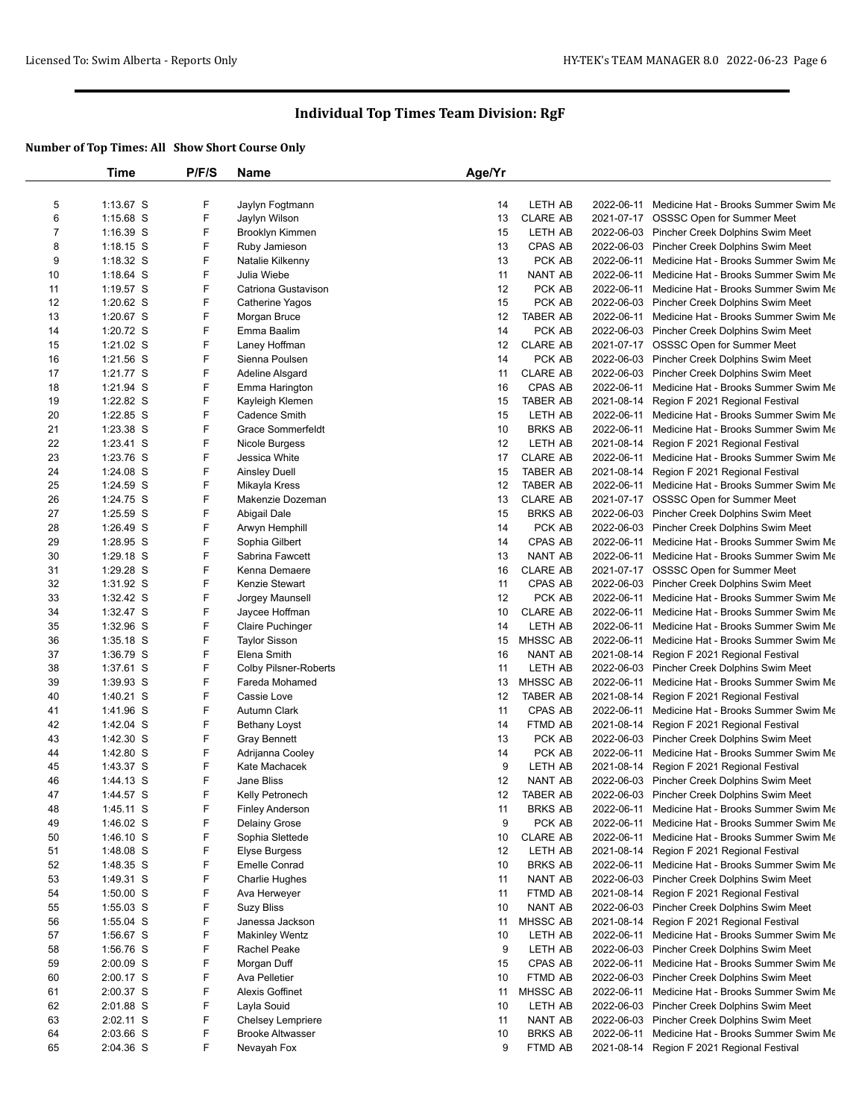|    | Time        | P/F/S | Name                         | Age/Yr |                 |            |                                                 |
|----|-------------|-------|------------------------------|--------|-----------------|------------|-------------------------------------------------|
|    |             |       |                              |        |                 |            |                                                 |
| 5  | 1:13.67 S   | F     | Jaylyn Fogtmann              | 14     | LETH AB         |            | 2022-06-11 Medicine Hat - Brooks Summer Swim Me |
| 6  | $1:15.68$ S | F     | Jaylyn Wilson                | 13     | <b>CLARE AB</b> |            | 2021-07-17 OSSSC Open for Summer Meet           |
| 7  | $1:16.39$ S | F     | <b>Brooklyn Kimmen</b>       | 15     | LETH AB         |            | 2022-06-03 Pincher Creek Dolphins Swim Meet     |
| 8  | $1:18.15$ S | F     | Ruby Jamieson                | 13     | <b>CPAS AB</b>  |            | 2022-06-03 Pincher Creek Dolphins Swim Meet     |
| 9  | 1:18.32 S   | F     | Natalie Kilkenny             | 13     | PCK AB          |            | 2022-06-11 Medicine Hat - Brooks Summer Swim Me |
| 10 | $1:18.64$ S | F     | Julia Wiebe                  | 11     | <b>NANT AB</b>  |            | 2022-06-11 Medicine Hat - Brooks Summer Swim Me |
| 11 | $1:19.57$ S | F     | Catriona Gustavison          | 12     | PCK AB          | 2022-06-11 | Medicine Hat - Brooks Summer Swim Me            |
| 12 | 1:20.62 S   | F     | Catherine Yagos              | 15     | PCK AB          |            | 2022-06-03 Pincher Creek Dolphins Swim Meet     |
| 13 | 1:20.67 S   | F     | Morgan Bruce                 | 12     | <b>TABER AB</b> |            | 2022-06-11 Medicine Hat - Brooks Summer Swim Me |
| 14 | 1:20.72 S   | F     | Emma Baalim                  | 14     | PCK AB          |            | 2022-06-03 Pincher Creek Dolphins Swim Meet     |
| 15 | 1:21.02 S   | F     | Laney Hoffman                | 12     | <b>CLARE AB</b> |            | 2021-07-17 OSSSC Open for Summer Meet           |
| 16 | 1:21.56 S   | F     | Sienna Poulsen               | 14     | PCK AB          |            | 2022-06-03 Pincher Creek Dolphins Swim Meet     |
| 17 | 1:21.77 S   | F     | Adeline Alsgard              | 11     | <b>CLARE AB</b> |            | 2022-06-03 Pincher Creek Dolphins Swim Meet     |
| 18 | 1:21.94 S   | F     | Emma Harington               | 16     | CPAS AB         |            | 2022-06-11 Medicine Hat - Brooks Summer Swim Me |
| 19 | 1:22.82 S   | F     | Kayleigh Klemen              | 15     | <b>TABER AB</b> |            | 2021-08-14 Region F 2021 Regional Festival      |
| 20 | 1:22.85 S   | F     | <b>Cadence Smith</b>         | 15     | LETH AB         | 2022-06-11 | Medicine Hat - Brooks Summer Swim Me            |
| 21 | 1:23.38 S   | F     | <b>Grace Sommerfeldt</b>     | 10     | <b>BRKS AB</b>  |            | 2022-06-11 Medicine Hat - Brooks Summer Swim Me |
| 22 | 1:23.41 S   | F     | Nicole Burgess               | 12     | LETH AB         |            | 2021-08-14 Region F 2021 Regional Festival      |
| 23 | 1:23.76 S   | F     | Jessica White                | 17     | <b>CLARE AB</b> | 2022-06-11 | Medicine Hat - Brooks Summer Swim Me            |
| 24 | 1:24.08 S   | F     | <b>Ainsley Duell</b>         | 15     | <b>TABER AB</b> | 2021-08-14 | Region F 2021 Regional Festival                 |
| 25 | 1:24.59 S   | F     | Mikayla Kress                | 12     | <b>TABER AB</b> |            | 2022-06-11 Medicine Hat - Brooks Summer Swim Me |
| 26 | 1:24.75 S   | F     | Makenzie Dozeman             | 13     | <b>CLARE AB</b> |            | 2021-07-17 OSSSC Open for Summer Meet           |
| 27 | 1:25.59 S   | F     | Abigail Dale                 | 15     | <b>BRKS AB</b>  |            | 2022-06-03 Pincher Creek Dolphins Swim Meet     |
| 28 | 1:26.49 S   | F     | Arwyn Hemphill               | 14     | PCK AB          |            | 2022-06-03 Pincher Creek Dolphins Swim Meet     |
| 29 | 1:28.95 S   | F     | Sophia Gilbert               | 14     | CPAS AB         |            | 2022-06-11 Medicine Hat - Brooks Summer Swim Me |
| 30 | 1:29.18 S   | F     | Sabrina Fawcett              | 13     | <b>NANT AB</b>  |            | 2022-06-11 Medicine Hat - Brooks Summer Swim Me |
| 31 | 1:29.28 S   | F     | Kenna Demaere                | 16     | <b>CLARE AB</b> |            | 2021-07-17 OSSSC Open for Summer Meet           |
| 32 | 1:31.92 S   | F     | Kenzie Stewart               | 11     | CPAS AB         |            | 2022-06-03 Pincher Creek Dolphins Swim Meet     |
| 33 | 1:32.42 S   | F     | Jorgey Maunsell              | 12     | PCK AB          | 2022-06-11 | Medicine Hat - Brooks Summer Swim Me            |
| 34 | 1:32.47 S   | F     | Jaycee Hoffman               | 10     | <b>CLARE AB</b> |            | 2022-06-11 Medicine Hat - Brooks Summer Swim Me |
| 35 | 1:32.96 S   | F     | <b>Claire Puchinger</b>      | 14     | LETH AB         |            | 2022-06-11 Medicine Hat - Brooks Summer Swim Me |
| 36 | 1:35.18 S   | F     | <b>Taylor Sisson</b>         | 15     | MHSSC AB        | 2022-06-11 | Medicine Hat - Brooks Summer Swim Me            |
| 37 | 1:36.79 S   | F     | Elena Smith                  | 16     | <b>NANT AB</b>  | 2021-08-14 | Region F 2021 Regional Festival                 |
| 38 | 1:37.61 S   | F     | <b>Colby Pilsner-Roberts</b> | 11     | LETH AB         |            | 2022-06-03 Pincher Creek Dolphins Swim Meet     |
| 39 | 1:39.93 S   | F     | Fareda Mohamed               | 13     | MHSSC AB        | 2022-06-11 | Medicine Hat - Brooks Summer Swim Me            |
| 40 | 1:40.21 S   | F     | Cassie Love                  | 12     | <b>TABER AB</b> | 2021-08-14 | Region F 2021 Regional Festival                 |
| 41 | 1:41.96 S   | F     | Autumn Clark                 | 11     | CPAS AB         | 2022-06-11 | Medicine Hat - Brooks Summer Swim Me            |
| 42 | 1:42.04 S   | F     | <b>Bethany Loyst</b>         | 14     | FTMD AB         | 2021-08-14 | Region F 2021 Regional Festival                 |
| 43 | 1:42.30 S   | F     | <b>Gray Bennett</b>          | 13     | PCK AB          |            | 2022-06-03 Pincher Creek Dolphins Swim Meet     |
| 44 | 1:42.80 S   | F     | Adrijanna Cooley             | 14     | PCK AB          |            | 2022-06-11 Medicine Hat - Brooks Summer Swim Me |
| 45 | 1:43.37 S   | F     | Kate Machacek                | 9      | LETH AB         | 2021-08-14 | Region F 2021 Regional Festival                 |
| 46 | 1:44.13 S   | F     | Jane Bliss                   | 12     | NANT AB         |            | 2022-06-03 Pincher Creek Dolphins Swim Meet     |
| 47 | 1:44.57 S   | F     | Kelly Petronech              | 12     | <b>TABER AB</b> |            | 2022-06-03 Pincher Creek Dolphins Swim Meet     |
| 48 | 1:45.11 S   | F     | <b>Finley Anderson</b>       | 11     | <b>BRKS AB</b>  |            | 2022-06-11 Medicine Hat - Brooks Summer Swim Me |
| 49 | 1:46.02 S   | F     | Delainy Grose                | 9      | PCK AB          | 2022-06-11 | Medicine Hat - Brooks Summer Swim Me            |
| 50 | 1:46.10 S   | F     | Sophia Slettede              | 10     | <b>CLARE AB</b> | 2022-06-11 | Medicine Hat - Brooks Summer Swim Me            |
| 51 | 1:48.08 S   | F     | Elyse Burgess                | 12     | LETH AB         |            | 2021-08-14 Region F 2021 Regional Festival      |
| 52 | 1:48.35 S   | F     | <b>Emelle Conrad</b>         | 10     | <b>BRKS AB</b>  |            | 2022-06-11 Medicine Hat - Brooks Summer Swim Me |
| 53 | 1:49.31 S   | F     | <b>Charlie Hughes</b>        | 11     | NANT AB         |            | 2022-06-03 Pincher Creek Dolphins Swim Meet     |
| 54 | $1:50.00$ S | F     | Ava Herweyer                 | 11     | FTMD AB         |            | 2021-08-14 Region F 2021 Regional Festival      |
| 55 | $1:55.03$ S | F     | <b>Suzy Bliss</b>            | 10     | NANT AB         |            | 2022-06-03 Pincher Creek Dolphins Swim Meet     |
| 56 | 1:55.04 S   | F     | Janessa Jackson              | 11     | MHSSC AB        | 2021-08-14 | Region F 2021 Regional Festival                 |
| 57 | 1:56.67 S   | F     | <b>Makinley Wentz</b>        | 10     | LETH AB         |            | 2022-06-11 Medicine Hat - Brooks Summer Swim Me |
| 58 | 1:56.76 S   | F     | Rachel Peake                 | 9      | LETH AB         |            | 2022-06-03 Pincher Creek Dolphins Swim Meet     |
| 59 | 2:00.09 S   | F     | Morgan Duff                  | 15     | CPAS AB         |            | 2022-06-11 Medicine Hat - Brooks Summer Swim Me |
| 60 | 2:00.17 S   | F     | Ava Pelletier                | 10     | FTMD AB         |            | 2022-06-03 Pincher Creek Dolphins Swim Meet     |
| 61 | 2:00.37 S   | F     | Alexis Goffinet              | 11     | MHSSC AB        | 2022-06-11 | Medicine Hat - Brooks Summer Swim Me            |
| 62 | 2:01.88 S   | F     | Layla Souid                  | 10     | LETH AB         | 2022-06-03 | Pincher Creek Dolphins Swim Meet                |
| 63 | $2:02.11$ S | F     | Chelsey Lempriere            | 11     | NANT AB         |            | 2022-06-03 Pincher Creek Dolphins Swim Meet     |
| 64 | 2:03.66 S   | F     | <b>Brooke Altwasser</b>      | 10     | <b>BRKS AB</b>  | 2022-06-11 | Medicine Hat - Brooks Summer Swim Me            |
| 65 | 2:04.36 S   | F     | Nevayah Fox                  | 9      | FTMD AB         |            | 2021-08-14 Region F 2021 Regional Festival      |
|    |             |       |                              |        |                 |            |                                                 |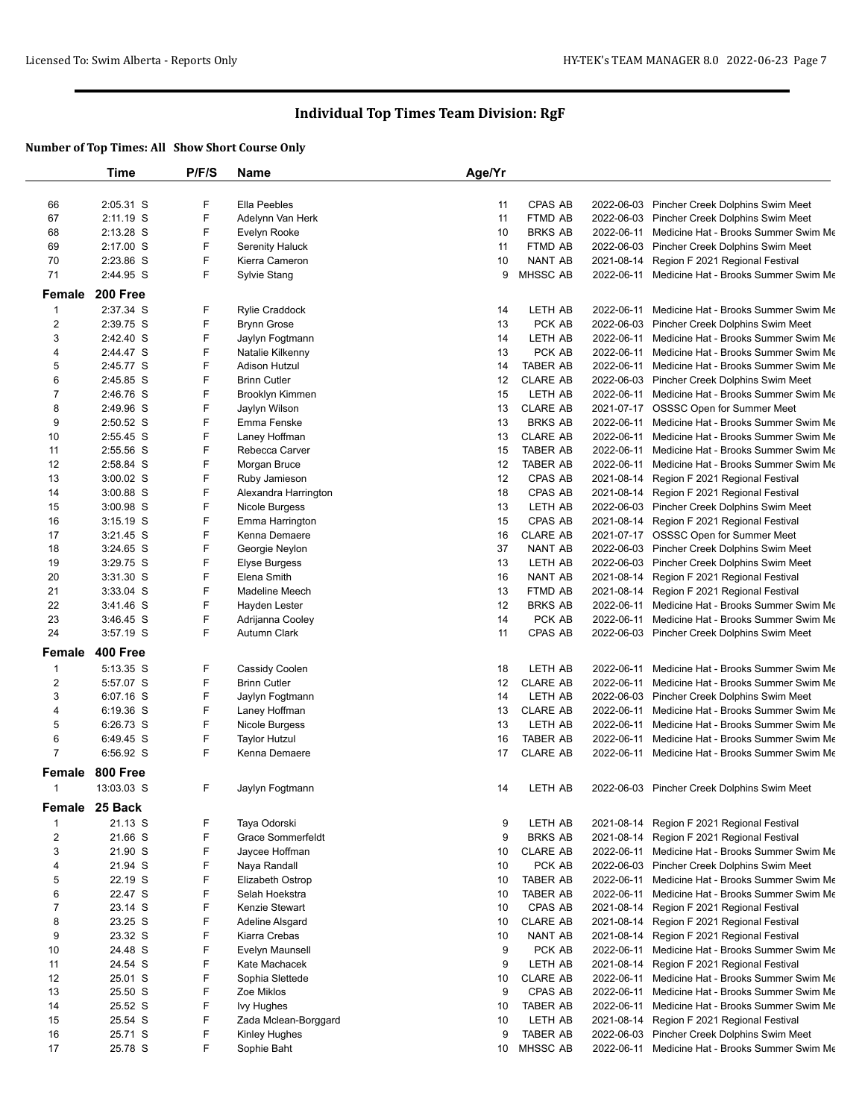|                | Time           | P/F/S | Name                     | Age/Yr |                 |            |                                                 |
|----------------|----------------|-------|--------------------------|--------|-----------------|------------|-------------------------------------------------|
|                |                |       |                          |        |                 |            |                                                 |
| 66             | 2:05.31 S      | F     | Ella Peebles             | 11     | <b>CPAS AB</b>  |            | 2022-06-03 Pincher Creek Dolphins Swim Meet     |
| 67             | 2:11.19 S      | F     | Adelynn Van Herk         | 11     | FTMD AB         |            | 2022-06-03 Pincher Creek Dolphins Swim Meet     |
| 68             | 2:13.28 S      | F     | Evelyn Rooke             | 10     | <b>BRKS AB</b>  | 2022-06-11 | Medicine Hat - Brooks Summer Swim Me            |
| 69             | 2:17.00 S      | F     | Serenity Haluck          | 11     | FTMD AB         | 2022-06-03 | Pincher Creek Dolphins Swim Meet                |
| 70             | 2:23.86 S      | F     | Kierra Cameron           | 10     | <b>NANT AB</b>  | 2021-08-14 | Region F 2021 Regional Festival                 |
| 71             | 2:44.95 S      | F     | Sylvie Stang             | 9      | <b>MHSSC AB</b> | 2022-06-11 | Medicine Hat - Brooks Summer Swim Me            |
| Female         | 200 Free       |       |                          |        |                 |            |                                                 |
| $\mathbf{1}$   | 2:37.34 S      | F     | <b>Rylie Craddock</b>    | 14     | LETH AB         | 2022-06-11 | Medicine Hat - Brooks Summer Swim Me            |
| 2              | 2:39.75 S      | F     | <b>Brynn Grose</b>       | 13     | PCK AB          | 2022-06-03 | Pincher Creek Dolphins Swim Meet                |
| 3              | 2:42.40 S      | F     | Jaylyn Fogtmann          | 14     | LETH AB         | 2022-06-11 | Medicine Hat - Brooks Summer Swim Me            |
| 4              | 2:44.47 S      | F     | Natalie Kilkenny         | 13     | PCK AB          | 2022-06-11 | Medicine Hat - Brooks Summer Swim Me            |
| 5              | 2:45.77 S      | F     | Adison Hutzul            | 14     | <b>TABER AB</b> | 2022-06-11 | Medicine Hat - Brooks Summer Swim Me            |
| 6              | 2:45.85 S      | F     | <b>Brinn Cutler</b>      | 12     | <b>CLARE AB</b> | 2022-06-03 | Pincher Creek Dolphins Swim Meet                |
| $\overline{7}$ | 2:46.76 S      | F     | Brooklyn Kimmen          | 15     | LETH AB         | 2022-06-11 | Medicine Hat - Brooks Summer Swim Me            |
| 8              | 2:49.96 S      | F     | Jaylyn Wilson            | 13     | <b>CLARE AB</b> |            | 2021-07-17 OSSSC Open for Summer Meet           |
| 9              | 2:50.52 S      | F     | Emma Fenske              | 13     | <b>BRKS AB</b>  | 2022-06-11 | Medicine Hat - Brooks Summer Swim Me            |
| 10             | 2:55.45 S      | F     | Laney Hoffman            | 13     | <b>CLARE AB</b> | 2022-06-11 | Medicine Hat - Brooks Summer Swim Me            |
| 11             | 2:55.56 S      | F     | Rebecca Carver           | 15     | <b>TABER AB</b> | 2022-06-11 | Medicine Hat - Brooks Summer Swim Me            |
| 12             | 2:58.84 S      | F     | Morgan Bruce             | 12     | <b>TABER AB</b> | 2022-06-11 | Medicine Hat - Brooks Summer Swim Me            |
| 13             | $3:00.02$ S    | F     | Ruby Jamieson            | 12     | CPAS AB         | 2021-08-14 | Region F 2021 Regional Festival                 |
| 14             | 3:00.88 S      | F     | Alexandra Harrington     | 18     | <b>CPAS AB</b>  | 2021-08-14 | Region F 2021 Regional Festival                 |
| 15             | 3:00.98 S      | F     | Nicole Burgess           | 13     | LETH AB         | 2022-06-03 | Pincher Creek Dolphins Swim Meet                |
| 16             | $3:15.19$ S    | F     | Emma Harrington          | 15     | <b>CPAS AB</b>  | 2021-08-14 | Region F 2021 Regional Festival                 |
| 17             | $3:21.45$ S    | F     | Kenna Demaere            | 16     | <b>CLARE AB</b> |            | 2021-07-17 OSSSC Open for Summer Meet           |
| 18             | $3:24.65$ S    | F     | Georgie Neylon           | 37     | NANT AB         |            | 2022-06-03 Pincher Creek Dolphins Swim Meet     |
| 19             | 3:29.75 S      | F     | <b>Elyse Burgess</b>     | 13     | LETH AB         | 2022-06-03 | Pincher Creek Dolphins Swim Meet                |
| 20             | 3:31.30 S      | F     | Elena Smith              | 16     | NANT AB         | 2021-08-14 | Region F 2021 Regional Festival                 |
| 21             | 3:33.04 S      | F     | Madeline Meech           | 13     | FTMD AB         | 2021-08-14 | Region F 2021 Regional Festival                 |
| 22             | $3:41.46$ S    | F     | Hayden Lester            | 12     | <b>BRKS AB</b>  | 2022-06-11 | Medicine Hat - Brooks Summer Swim Me            |
| 23             | 3:46.45 S      | F     | Adrijanna Cooley         | 14     | PCK AB          | 2022-06-11 | Medicine Hat - Brooks Summer Swim Me            |
| 24             | 3:57.19 S      | F     | Autumn Clark             | 11     | CPAS AB         |            | 2022-06-03 Pincher Creek Dolphins Swim Meet     |
| Female         | 400 Free       |       |                          |        |                 |            |                                                 |
| $\mathbf{1}$   | 5:13.35 S      | F     | Cassidy Coolen           | 18     | LETH AB         | 2022-06-11 | Medicine Hat - Brooks Summer Swim Me            |
| 2              | 5:57.07 S      | F     | <b>Brinn Cutler</b>      | 12     | <b>CLARE AB</b> | 2022-06-11 | Medicine Hat - Brooks Summer Swim Me            |
| 3              | 6:07.16 S      | F     | Jaylyn Fogtmann          | 14     | LETH AB         |            | 2022-06-03 Pincher Creek Dolphins Swim Meet     |
| 4              | 6:19.36 S      | F     | Laney Hoffman            | 13     | <b>CLARE AB</b> | 2022-06-11 | Medicine Hat - Brooks Summer Swim Me            |
| 5              | 6:26.73 S      | F     | Nicole Burgess           | 13     | LETH AB         | 2022-06-11 | Medicine Hat - Brooks Summer Swim Me            |
| 6              | 6:49.45 S      | F     | <b>Taylor Hutzul</b>     | 16     | <b>TABER AB</b> | 2022-06-11 | Medicine Hat - Brooks Summer Swim Me            |
| $\overline{7}$ | 6:56.92 S      | F     | Kenna Demaere            | 17     | <b>CLARE AB</b> | 2022-06-11 | Medicine Hat - Brooks Summer Swim Me            |
| Female         | 800 Free       |       |                          |        |                 |            |                                                 |
| $\mathbf{1}$   | 13:03.03 S     | F     | Jaylyn Fogtmann          | 14     | LETH AB         |            | 2022-06-03 Pincher Creek Dolphins Swim Meet     |
|                | Female 25 Back |       |                          |        |                 |            |                                                 |
| 1              | 21.13 S        | F     | Taya Odorski             | 9      | LETH AB         | 2021-08-14 | Region F 2021 Regional Festival                 |
| $\overline{c}$ | 21.66 S        | F     | <b>Grace Sommerfeldt</b> | 9      | <b>BRKS AB</b>  | 2021-08-14 | Region F 2021 Regional Festival                 |
| 3              | 21.90 S        | F     | Jaycee Hoffman           | 10     | <b>CLARE AB</b> | 2022-06-11 | Medicine Hat - Brooks Summer Swim Me            |
| 4              | 21.94 S        | F     | Naya Randall             | 10     | PCK AB          | 2022-06-03 | Pincher Creek Dolphins Swim Meet                |
| 5              | 22.19 S        | F     | Elizabeth Ostrop         | 10     | <b>TABER AB</b> |            | 2022-06-11 Medicine Hat - Brooks Summer Swim Me |
| 6              | 22.47 S        | F     | Selah Hoekstra           | 10     | <b>TABER AB</b> | 2022-06-11 | Medicine Hat - Brooks Summer Swim Me            |
| 7              | 23.14 S        | F     | Kenzie Stewart           | 10     | CPAS AB         | 2021-08-14 | Region F 2021 Regional Festival                 |
| 8              | 23.25 S        | F     | <b>Adeline Alsgard</b>   | 10     | <b>CLARE AB</b> | 2021-08-14 | Region F 2021 Regional Festival                 |
| 9              | 23.32 S        | F     | Kiarra Crebas            | 10     | NANT AB         | 2021-08-14 | Region F 2021 Regional Festival                 |
| 10             | 24.48 S        | F     | Evelyn Maunsell          | 9      | PCK AB          | 2022-06-11 | Medicine Hat - Brooks Summer Swim Me            |
| 11             | 24.54 S        | F     | Kate Machacek            | 9      | LETH AB         | 2021-08-14 | Region F 2021 Regional Festival                 |
| 12             | 25.01 S        | F     | Sophia Slettede          | 10     | <b>CLARE AB</b> | 2022-06-11 | Medicine Hat - Brooks Summer Swim Me            |
| 13             | 25.50 S        | F     | Zoe Miklos               | 9      | CPAS AB         | 2022-06-11 | Medicine Hat - Brooks Summer Swim Me            |
| 14             | 25.52 S        | F     | <b>Ivy Hughes</b>        | 10     | <b>TABER AB</b> |            | 2022-06-11 Medicine Hat - Brooks Summer Swim Me |
| 15             | 25.54 S        | F     | Zada Mclean-Borggard     | 10     | LETH AB         | 2021-08-14 | Region F 2021 Regional Festival                 |
| 16             | 25.71 S        | F     | Kinley Hughes            | 9      | <b>TABER AB</b> |            | 2022-06-03 Pincher Creek Dolphins Swim Meet     |
| 17             | 25.78 S        | F.    | Sophie Baht              |        | 10 MHSSC AB     |            | 2022-06-11 Medicine Hat - Brooks Summer Swim Me |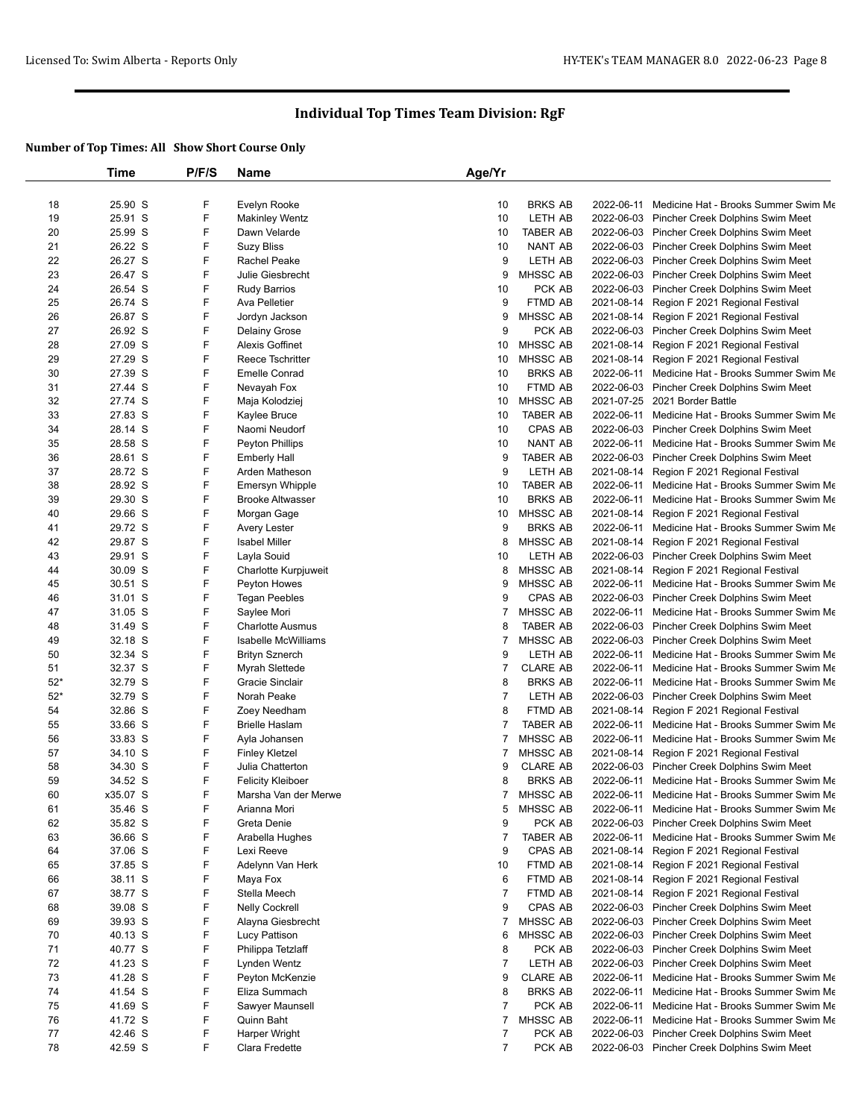|          | Time               | P/F/S | <b>Name</b>                | Age/Yr              |                 |            |                                             |
|----------|--------------------|-------|----------------------------|---------------------|-----------------|------------|---------------------------------------------|
|          |                    |       |                            |                     |                 |            |                                             |
| 18       | 25.90 S            | F     | Evelyn Rooke               | 10                  | <b>BRKS AB</b>  | 2022-06-11 | Medicine Hat - Brooks Summer Swim Me        |
| 19       | 25.91 S            | F     | <b>Makinley Wentz</b>      | 10                  | LETH AB         |            | 2022-06-03 Pincher Creek Dolphins Swim Meet |
| 20       | 25.99 S            | F     | Dawn Velarde               | 10                  | <b>TABER AB</b> | 2022-06-03 | Pincher Creek Dolphins Swim Meet            |
| 21       | 26.22 S            | F     | <b>Suzy Bliss</b>          | 10                  | NANT AB         | 2022-06-03 | Pincher Creek Dolphins Swim Meet            |
| 22       | 26.27 S            | F     | Rachel Peake               | 9                   | LETH AB         |            | 2022-06-03 Pincher Creek Dolphins Swim Meet |
| 23       | 26.47 S            | F     | Julie Giesbrecht           | 9                   | MHSSC AB        | 2022-06-03 | Pincher Creek Dolphins Swim Meet            |
| 24       | 26.54 S            | F     | <b>Rudy Barrios</b>        | 10                  | PCK AB          |            | 2022-06-03 Pincher Creek Dolphins Swim Meet |
| 25       | 26.74 S            | F     | Ava Pelletier              | 9                   | FTMD AB         | 2021-08-14 | Region F 2021 Regional Festival             |
| 26       | 26.87 S            | F     | Jordyn Jackson             | 9                   | MHSSC AB        | 2021-08-14 | Region F 2021 Regional Festival             |
| 27       | 26.92 S            | F     | Delainy Grose              | 9                   | PCK AB          | 2022-06-03 | Pincher Creek Dolphins Swim Meet            |
| 28       | 27.09 S            | F     | <b>Alexis Goffinet</b>     | 10                  | MHSSC AB        | 2021-08-14 | Region F 2021 Regional Festival             |
| 29       | 27.29 S            | F     | <b>Reece Tschritter</b>    | 10                  | <b>MHSSC AB</b> | 2021-08-14 | Region F 2021 Regional Festival             |
| 30       | 27.39 S            | F     | <b>Emelle Conrad</b>       | 10                  | <b>BRKS AB</b>  | 2022-06-11 | Medicine Hat - Brooks Summer Swim Me        |
| 31       | 27.44 S            | F     | Nevayah Fox                | 10                  | FTMD AB         | 2022-06-03 | Pincher Creek Dolphins Swim Meet            |
| 32       | 27.74 S            | F     | Maja Kolodziej             | 10                  | MHSSC AB        |            | 2021-07-25 2021 Border Battle               |
| 33       | 27.83 S            | F     | Kaylee Bruce               | 10                  | <b>TABER AB</b> | 2022-06-11 | Medicine Hat - Brooks Summer Swim Me        |
| 34       | 28.14 S            | F     | Naomi Neudorf              | 10                  | CPAS AB         | 2022-06-03 | Pincher Creek Dolphins Swim Meet            |
| 35       | 28.58 S            | F     | Peyton Phillips            | 10                  | NANT AB         | 2022-06-11 | Medicine Hat - Brooks Summer Swim Me        |
| 36       | 28.61 S            | F     | <b>Emberly Hall</b>        | 9                   | <b>TABER AB</b> | 2022-06-03 | Pincher Creek Dolphins Swim Meet            |
| 37       | 28.72 S            | F     | Arden Matheson             | 9                   | LETH AB         | 2021-08-14 | Region F 2021 Regional Festival             |
| 38       | 28.92 S            | F     | <b>Emersyn Whipple</b>     | 10                  | <b>TABER AB</b> | 2022-06-11 | Medicine Hat - Brooks Summer Swim Me        |
| 39       | 29.30 S            | F     | <b>Brooke Altwasser</b>    | 10                  | <b>BRKS AB</b>  | 2022-06-11 | Medicine Hat - Brooks Summer Swim Me        |
| 40       | 29.66 S            | F     | Morgan Gage                | 10                  | MHSSC AB        | 2021-08-14 | Region F 2021 Regional Festival             |
| 41       | 29.72 S            | F     | Avery Lester               | 9                   | <b>BRKS AB</b>  | 2022-06-11 | Medicine Hat - Brooks Summer Swim Me        |
| 42       | 29.87 S            | F     | <b>Isabel Miller</b>       | 8                   | MHSSC AB        | 2021-08-14 | Region F 2021 Regional Festival             |
| 43       | 29.91 S            | F     | Layla Souid                | 10                  | LETH AB         | 2022-06-03 | Pincher Creek Dolphins Swim Meet            |
| 44       | 30.09 S            | F     | Charlotte Kurpjuweit       | 8                   | MHSSC AB        | 2021-08-14 | Region F 2021 Regional Festival             |
| 45       | 30.51 S            | F     | Peyton Howes               | 9                   | MHSSC AB        | 2022-06-11 | Medicine Hat - Brooks Summer Swim Me        |
| 46       | 31.01 S            | F     | <b>Tegan Peebles</b>       | 9                   | CPAS AB         | 2022-06-03 | Pincher Creek Dolphins Swim Meet            |
| 47       | 31.05 S            | F     | Saylee Mori                | 7                   | MHSSC AB        | 2022-06-11 | Medicine Hat - Brooks Summer Swim Me        |
| 48       | 31.49 S            | F     | <b>Charlotte Ausmus</b>    | 8                   | <b>TABER AB</b> | 2022-06-03 | Pincher Creek Dolphins Swim Meet            |
| 49       | 32.18 S            | F     | <b>Isabelle McWilliams</b> | $\overline{7}$      | MHSSC AB        | 2022-06-03 | Pincher Creek Dolphins Swim Meet            |
| 50       | 32.34 S            | F     | <b>Brityn Sznerch</b>      | 9                   | LETH AB         | 2022-06-11 | Medicine Hat - Brooks Summer Swim Me        |
| 51       | 32.37 S            | F     | Myrah Slettede             | $\overline{7}$      | <b>CLARE AB</b> | 2022-06-11 | Medicine Hat - Brooks Summer Swim Me        |
| $52*$    | 32.79 S            | F     | Gracie Sinclair            | 8                   | <b>BRKS AB</b>  | 2022-06-11 | Medicine Hat - Brooks Summer Swim Me        |
| $52*$    | 32.79 S            | F     | Norah Peake                | $\overline{7}$      | LETH AB         | 2022-06-03 | Pincher Creek Dolphins Swim Meet            |
| 54       | 32.86 S            | F     | Zoey Needham               | 8                   | FTMD AB         | 2021-08-14 | Region F 2021 Regional Festival             |
| 55       | 33.66 S            | F     | <b>Brielle Haslam</b>      | 7                   | <b>TABER AB</b> | 2022-06-11 | Medicine Hat - Brooks Summer Swim Me        |
| 56       | 33.83 S            | F     | Ayla Johansen              | 7                   | MHSSC AB        | 2022-06-11 | Medicine Hat - Brooks Summer Swim Me        |
| 57       | 34.10 S            | F     | <b>Finley Kletzel</b>      | 7                   | MHSSC AB        | 2021-08-14 | Region F 2021 Regional Festival             |
| 58       | 34.30 S            | F     | Julia Chatterton           | 9                   | <b>CLARE AB</b> | 2022-06-03 | Pincher Creek Dolphins Swim Meet            |
| 59       | 34.52 S            | F     | <b>Felicity Kleiboer</b>   | 8                   | <b>BRKS AB</b>  | 2022-06-11 | Medicine Hat - Brooks Summer Swim Me        |
| 60       | x35.07 S           | F     | Marsha Van der Merwe       | $\overline{7}$      | <b>MHSSC AB</b> | 2022-06-11 | Medicine Hat - Brooks Summer Swim Me        |
| 61       | 35.46 S            | F     | Arianna Mori               | 5                   | MHSSC AB        | 2022-06-11 | Medicine Hat - Brooks Summer Swim Me        |
| 62       | 35.82 S            | F     | Greta Denie                | 9                   | PCK AB          | 2022-06-03 | Pincher Creek Dolphins Swim Meet            |
| 63       | 36.66 S            | F     | Arabella Hughes            | $\overline{7}$      | <b>TABER AB</b> | 2022-06-11 | Medicine Hat - Brooks Summer Swim Me        |
| 64       | 37.06 S            | F     | Lexi Reeve                 | 9                   | CPAS AB         | 2021-08-14 | Region F 2021 Regional Festival             |
| 65       | 37.85 S            | F     | Adelynn Van Herk           | 10                  | FTMD AB         | 2021-08-14 | Region F 2021 Regional Festival             |
| 66       | 38.11 S            | F     | Maya Fox                   | 6                   | FTMD AB         | 2021-08-14 | Region F 2021 Regional Festival             |
| 67       | 38.77 S            | F     | Stella Meech               | $\overline{7}$      | FTMD AB         | 2021-08-14 | Region F 2021 Regional Festival             |
|          |                    | F     |                            |                     | CPAS AB         |            |                                             |
| 68<br>69 | 39.08 S<br>39.93 S | F     | <b>Nelly Cockrell</b>      | 9<br>$\overline{7}$ | MHSSC AB        | 2022-06-03 | Pincher Creek Dolphins Swim Meet            |
|          |                    |       | Alayna Giesbrecht          |                     |                 | 2022-06-03 | Pincher Creek Dolphins Swim Meet            |
| 70       | 40.13 S            | F     | Lucy Pattison              | 6                   | MHSSC AB        | 2022-06-03 | Pincher Creek Dolphins Swim Meet            |
| 71       | 40.77 S            | F     | Philippa Tetzlaff          | 8                   | PCK AB          |            | 2022-06-03 Pincher Creek Dolphins Swim Meet |
| 72       | 41.23 S            | F     | Lynden Wentz               | $\overline{7}$      | LETH AB         |            | 2022-06-03 Pincher Creek Dolphins Swim Meet |
| 73       | 41.28 S            | F     | Peyton McKenzie            | 9                   | <b>CLARE AB</b> | 2022-06-11 | Medicine Hat - Brooks Summer Swim Me        |
| 74       | 41.54 S            | F     | Eliza Summach              | 8                   | <b>BRKS AB</b>  | 2022-06-11 | Medicine Hat - Brooks Summer Swim Me        |
| 75       | 41.69 S            | F     | Sawyer Maunsell            | $\overline{7}$      | PCK AB          | 2022-06-11 | Medicine Hat - Brooks Summer Swim Me        |
| 76       | 41.72 S            | F     | Quinn Baht                 | 7                   | MHSSC AB        | 2022-06-11 | Medicine Hat - Brooks Summer Swim Me        |
| 77       | 42.46 S            | F     | Harper Wright              | $\overline{7}$      | PCK AB          | 2022-06-03 | Pincher Creek Dolphins Swim Meet            |
| 78       | 42.59 S            | F     | Clara Fredette             | $\overline{7}$      | PCK AB          | 2022-06-03 | Pincher Creek Dolphins Swim Meet            |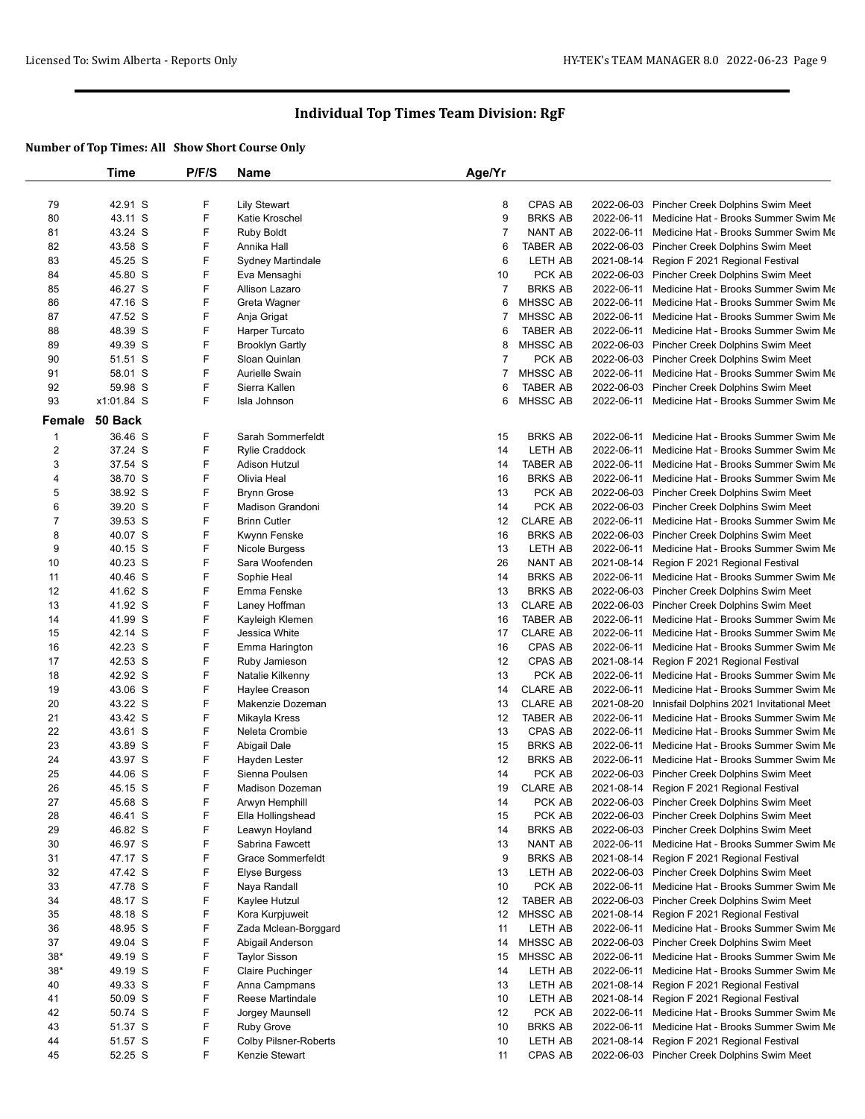|                | Time       | P/F/S | <b>Name</b>                  | Age/Yr         |                 |            |                                                 |
|----------------|------------|-------|------------------------------|----------------|-----------------|------------|-------------------------------------------------|
|                |            |       |                              |                |                 |            |                                                 |
| 79             | 42.91 S    | F     | <b>Lily Stewart</b>          | 8              | <b>CPAS AB</b>  | 2022-06-03 | Pincher Creek Dolphins Swim Meet                |
| 80             | 43.11 S    | F     | Katie Kroschel               | 9              | <b>BRKS AB</b>  | 2022-06-11 | Medicine Hat - Brooks Summer Swim Me            |
| 81             | 43.24 S    | F     | <b>Ruby Boldt</b>            | $\overline{7}$ | <b>NANT AB</b>  | 2022-06-11 | Medicine Hat - Brooks Summer Swim Me            |
| 82             | 43.58 S    | F     | Annika Hall                  | 6              | TABER AB        | 2022-06-03 | Pincher Creek Dolphins Swim Meet                |
| 83             | 45.25 S    | F     | Sydney Martindale            | 6              | LETH AB         | 2021-08-14 | Region F 2021 Regional Festival                 |
| 84             | 45.80 S    | F     | Eva Mensaghi                 | 10             | PCK AB          |            | 2022-06-03 Pincher Creek Dolphins Swim Meet     |
| 85             | 46.27 S    | F     | Allison Lazaro               | $\overline{7}$ | <b>BRKS AB</b>  | 2022-06-11 | Medicine Hat - Brooks Summer Swim Me            |
| 86             | 47.16 S    | F     | Greta Wagner                 | 6              | MHSSC AB        | 2022-06-11 | Medicine Hat - Brooks Summer Swim Me            |
| 87             | 47.52 S    | F     | Anja Grigat                  | 7              | MHSSC AB        |            | 2022-06-11 Medicine Hat - Brooks Summer Swim Me |
| 88             | 48.39 S    | F     | Harper Turcato               | 6              | <b>TABER AB</b> | 2022-06-11 | Medicine Hat - Brooks Summer Swim Me            |
| 89             | 49.39 S    | F     | <b>Brooklyn Gartly</b>       | 8              | MHSSC AB        |            | 2022-06-03 Pincher Creek Dolphins Swim Meet     |
| 90             | 51.51 S    | F     | Sloan Quinlan                | $\overline{7}$ | PCK AB          |            | 2022-06-03 Pincher Creek Dolphins Swim Meet     |
| 91             | 58.01 S    | F     | <b>Aurielle Swain</b>        | 7              | MHSSC AB        | 2022-06-11 | Medicine Hat - Brooks Summer Swim Me            |
| 92             | 59.98 S    | F     | Sierra Kallen                | 6              | <b>TABER AB</b> | 2022-06-03 | Pincher Creek Dolphins Swim Meet                |
| 93             | x1:01.84 S | F     | Isla Johnson                 | 6              | <b>MHSSC AB</b> |            | 2022-06-11 Medicine Hat - Brooks Summer Swim Me |
| Female         | 50 Back    |       |                              |                |                 |            |                                                 |
| $\mathbf{1}$   | 36.46 S    | F     | Sarah Sommerfeldt            | 15             | <b>BRKS AB</b>  | 2022-06-11 | Medicine Hat - Brooks Summer Swim Me            |
| 2              | 37.24 S    | F     | <b>Rylie Craddock</b>        | 14             | LETH AB         | 2022-06-11 | Medicine Hat - Brooks Summer Swim Me            |
| 3              | 37.54 S    | F     | Adison Hutzul                | 14             | <b>TABER AB</b> | 2022-06-11 | Medicine Hat - Brooks Summer Swim Me            |
| 4              | 38.70 S    | F     | Olivia Heal                  | 16             | <b>BRKS AB</b>  | 2022-06-11 | Medicine Hat - Brooks Summer Swim Me            |
| 5              | 38.92 S    | F     | <b>Brynn Grose</b>           | 13             | PCK AB          | 2022-06-03 | Pincher Creek Dolphins Swim Meet                |
| 6              | 39.20 S    | F     | <b>Madison Grandoni</b>      | 14             | PCK AB          |            | 2022-06-03 Pincher Creek Dolphins Swim Meet     |
| $\overline{7}$ | 39.53 S    | F     | <b>Brinn Cutler</b>          | 12             | <b>CLARE AB</b> | 2022-06-11 | Medicine Hat - Brooks Summer Swim Me            |
| 8              | 40.07 S    | F     | Kwynn Fenske                 | 16             | <b>BRKS AB</b>  | 2022-06-03 | Pincher Creek Dolphins Swim Meet                |
| 9              | 40.15 S    | F     | Nicole Burgess               | 13             | LETH AB         |            | 2022-06-11 Medicine Hat - Brooks Summer Swim Me |
| 10             | 40.23 S    | F     | Sara Woofenden               | 26             | <b>NANT AB</b>  | 2021-08-14 | Region F 2021 Regional Festival                 |
| 11             | 40.46 S    | F     | Sophie Heal                  | 14             | <b>BRKS AB</b>  | 2022-06-11 | Medicine Hat - Brooks Summer Swim Me            |
| 12             | 41.62 S    | F     | Emma Fenske                  | 13             | <b>BRKS AB</b>  |            | 2022-06-03 Pincher Creek Dolphins Swim Meet     |
| 13             | 41.92 S    | F     | Laney Hoffman                | 13             | <b>CLARE AB</b> |            | 2022-06-03 Pincher Creek Dolphins Swim Meet     |
| 14             | 41.99 S    | F     | Kayleigh Klemen              | 16             | <b>TABER AB</b> | 2022-06-11 | Medicine Hat - Brooks Summer Swim Me            |
| 15             | 42.14 S    | F     | Jessica White                | 17             | <b>CLARE AB</b> | 2022-06-11 | Medicine Hat - Brooks Summer Swim Me            |
| 16             | 42.23 S    | F     | Emma Harington               | 16             | CPAS AB         |            | 2022-06-11 Medicine Hat - Brooks Summer Swim Me |
| 17             | 42.53 S    | F     | Ruby Jamieson                | 12             | CPAS AB         | 2021-08-14 | Region F 2021 Regional Festival                 |
| 18             | 42.92 S    | F     | Natalie Kilkenny             | 13             | PCK AB          | 2022-06-11 | Medicine Hat - Brooks Summer Swim Me            |
| 19             | 43.06 S    | F     | Haylee Creason               | 14             | <b>CLARE AB</b> | 2022-06-11 | Medicine Hat - Brooks Summer Swim Me            |
| 20             | 43.22 S    | F     | Makenzie Dozeman             | 13             | <b>CLARE AB</b> | 2021-08-20 | Innisfail Dolphins 2021 Invitational Meet       |
| 21             | 43.42 S    | F     | Mikayla Kress                | 12             | <b>TABER AB</b> | 2022-06-11 | Medicine Hat - Brooks Summer Swim Me            |
| 22             | 43.61 S    | F     | Neleta Crombie               | 13             | CPAS AB         |            | 2022-06-11 Medicine Hat - Brooks Summer Swim Me |
| 23             | 43.89 S    | F     | Abigail Dale                 | 15             | <b>BRKS AB</b>  | 2022-06-11 | Medicine Hat - Brooks Summer Swim Me            |
| 24             | 43.97 S    | F     | Hayden Lester                | 12             | <b>BRKS AB</b>  | 2022-06-11 | Medicine Hat - Brooks Summer Swim Me            |
| 25             | 44.06 S    | F     | Sienna Poulsen               | 14             | PCK AB          |            | 2022-06-03 Pincher Creek Dolphins Swim Meet     |
| 26             | 45.15 S    | F     | Madison Dozeman              | 19             | <b>CLARE AB</b> |            | 2021-08-14 Region F 2021 Regional Festival      |
| 27             | 45.68 S    | F     | Arwyn Hemphill               | 14             | PCK AB          |            | 2022-06-03 Pincher Creek Dolphins Swim Meet     |
| 28             | 46.41 S    | F     | Ella Hollingshead            | 15             | PCK AB          |            | 2022-06-03 Pincher Creek Dolphins Swim Meet     |
| 29             | 46.82 S    | F     | Leawyn Hoyland               | 14             | <b>BRKS AB</b>  |            | 2022-06-03 Pincher Creek Dolphins Swim Meet     |
| 30             | 46.97 S    | F     | Sabrina Fawcett              | 13             | NANT AB         | 2022-06-11 | Medicine Hat - Brooks Summer Swim Me            |
| 31             | 47.17 S    | F     | <b>Grace Sommerfeldt</b>     | 9              | <b>BRKS AB</b>  |            | 2021-08-14 Region F 2021 Regional Festival      |
| 32             | 47.42 S    | F     | <b>Elyse Burgess</b>         | 13             | LETH AB         |            | 2022-06-03 Pincher Creek Dolphins Swim Meet     |
| 33             | 47.78 S    | F     | Naya Randall                 | 10             | PCK AB          | 2022-06-11 | Medicine Hat - Brooks Summer Swim Me            |
| 34             | 48.17 S    | F     | Kaylee Hutzul                | 12             | TABER AB        |            | 2022-06-03 Pincher Creek Dolphins Swim Meet     |
| 35             | 48.18 S    | F     | Kora Kurpjuweit              | 12             | MHSSC AB        |            | 2021-08-14 Region F 2021 Regional Festival      |
| 36             | 48.95 S    | F     | Zada Mclean-Borggard         | 11             | LETH AB         | 2022-06-11 | Medicine Hat - Brooks Summer Swim Me            |
| 37             | 49.04 S    | F     | Abigail Anderson             | 14             | MHSSC AB        |            | 2022-06-03 Pincher Creek Dolphins Swim Meet     |
| $38*$          | 49.19 S    | F     | <b>Taylor Sisson</b>         | 15             | MHSSC AB        |            | 2022-06-11 Medicine Hat - Brooks Summer Swim Me |
| $38*$          | 49.19 S    | F     | <b>Claire Puchinger</b>      | 14             | LETH AB         | 2022-06-11 | Medicine Hat - Brooks Summer Swim Me            |
| 40             | 49.33 S    | F     | Anna Campmans                | 13             | LETH AB         | 2021-08-14 | Region F 2021 Regional Festival                 |
| 41             | 50.09 S    | F     | Reese Martindale             | 10             | LETH AB         | 2021-08-14 | Region F 2021 Regional Festival                 |
| 42             | 50.74 S    | F     | Jorgey Maunsell              | 12             | PCK AB          | 2022-06-11 | Medicine Hat - Brooks Summer Swim Me            |
| 43             | 51.37 S    | F     | <b>Ruby Grove</b>            | 10             | <b>BRKS AB</b>  | 2022-06-11 | Medicine Hat - Brooks Summer Swim Me            |
| 44             | 51.57 S    | F     | <b>Colby Pilsner-Roberts</b> | 10             | LETH AB         | 2021-08-14 | Region F 2021 Regional Festival                 |
| 45             | 52.25 S    | F     | Kenzie Stewart               | 11             | CPAS AB         |            | 2022-06-03 Pincher Creek Dolphins Swim Meet     |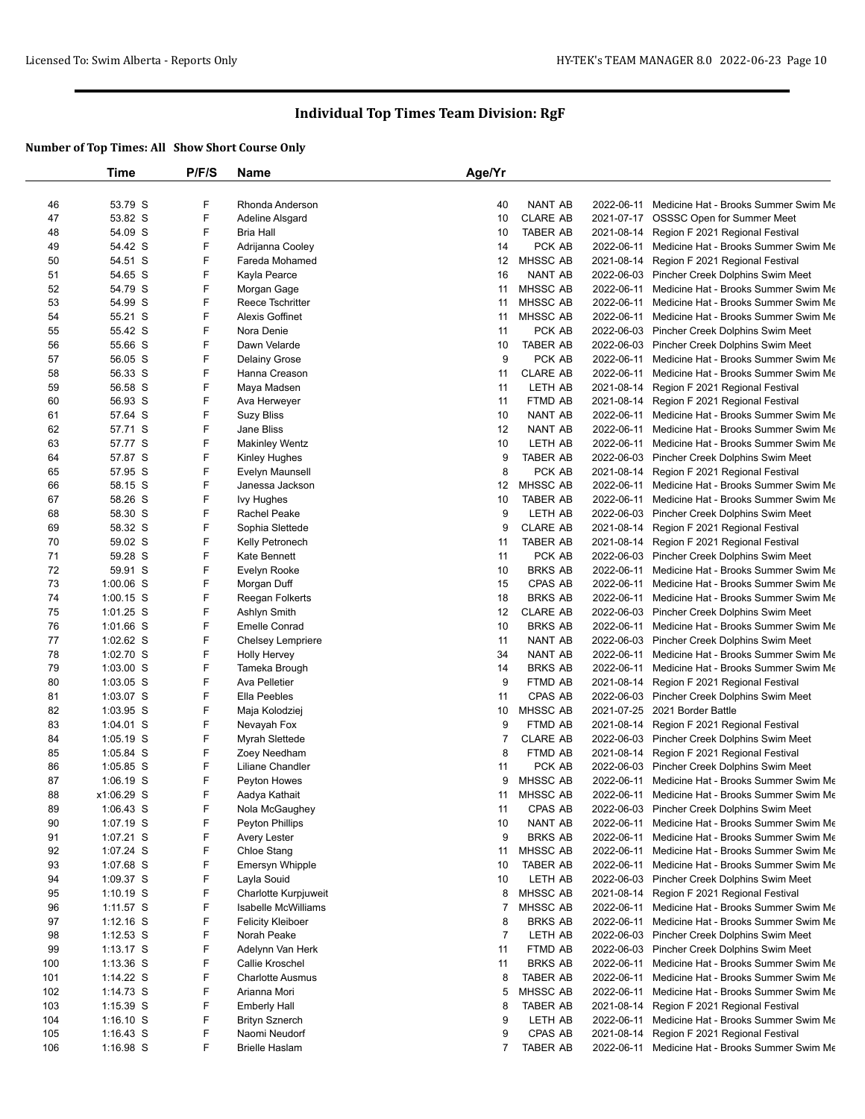|     | Time        | P/F/S | Name                     | Age/Yr         |                 |            |                                                 |
|-----|-------------|-------|--------------------------|----------------|-----------------|------------|-------------------------------------------------|
|     |             |       |                          |                |                 |            |                                                 |
| 46  | 53.79 S     | F     | Rhonda Anderson          | 40             | <b>NANT AB</b>  |            | 2022-06-11 Medicine Hat - Brooks Summer Swim Me |
| 47  | 53.82 S     | F     | Adeline Alsgard          | 10             | <b>CLARE AB</b> |            | 2021-07-17 OSSSC Open for Summer Meet           |
| 48  | 54.09 S     | F     | <b>Bria Hall</b>         | 10             | <b>TABER AB</b> | 2021-08-14 | Region F 2021 Regional Festival                 |
| 49  | 54.42 S     | F     | Adrijanna Cooley         | 14             | PCK AB          |            | 2022-06-11 Medicine Hat - Brooks Summer Swim Me |
| 50  | 54.51 S     | F     | Fareda Mohamed           | 12             | <b>MHSSC AB</b> | 2021-08-14 | Region F 2021 Regional Festival                 |
| 51  | 54.65 S     | F     | Kayla Pearce             | 16             | <b>NANT AB</b>  |            | 2022-06-03 Pincher Creek Dolphins Swim Meet     |
| 52  | 54.79 S     | F     | Morgan Gage              | 11             | <b>MHSSC AB</b> |            | 2022-06-11 Medicine Hat - Brooks Summer Swim Me |
| 53  | 54.99 S     | F     | Reece Tschritter         | 11             | MHSSC AB        | 2022-06-11 | Medicine Hat - Brooks Summer Swim Me            |
| 54  | 55.21 S     | F     | <b>Alexis Goffinet</b>   | 11             | <b>MHSSC AB</b> |            | 2022-06-11 Medicine Hat - Brooks Summer Swim Me |
| 55  | 55.42 S     | F     | Nora Denie               | 11             | PCK AB          |            | 2022-06-03 Pincher Creek Dolphins Swim Meet     |
| 56  | 55.66 S     | F     | Dawn Velarde             | 10             | <b>TABER AB</b> |            | 2022-06-03 Pincher Creek Dolphins Swim Meet     |
| 57  | 56.05 S     | F     | Delainy Grose            | 9              | PCK AB          |            | 2022-06-11 Medicine Hat - Brooks Summer Swim Me |
| 58  | 56.33 S     | F     | Hanna Creason            | 11             | <b>CLARE AB</b> | 2022-06-11 | Medicine Hat - Brooks Summer Swim Me            |
| 59  | 56.58 S     | F     | Maya Madsen              | 11             | LETH AB         | 2021-08-14 | Region F 2021 Regional Festival                 |
| 60  | 56.93 S     | F     | Ava Herweyer             | 11             | FTMD AB         |            | 2021-08-14 Region F 2021 Regional Festival      |
| 61  | 57.64 S     | F     | <b>Suzy Bliss</b>        | 10             | NANT AB         | 2022-06-11 | Medicine Hat - Brooks Summer Swim Me            |
| 62  | 57.71 S     | F     | Jane Bliss               | 12             | <b>NANT AB</b>  | 2022-06-11 | Medicine Hat - Brooks Summer Swim Me            |
| 63  | 57.77 S     | F     | <b>Makinley Wentz</b>    | 10             | LETH AB         |            | 2022-06-11 Medicine Hat - Brooks Summer Swim Me |
| 64  | 57.87 S     | F     | Kinley Hughes            | 9              | <b>TABER AB</b> |            | 2022-06-03 Pincher Creek Dolphins Swim Meet     |
| 65  | 57.95 S     | F     | Evelyn Maunsell          | 8              | PCK AB          | 2021-08-14 | Region F 2021 Regional Festival                 |
| 66  | 58.15 S     | F     | Janessa Jackson          | 12             | <b>MHSSC AB</b> |            | 2022-06-11 Medicine Hat - Brooks Summer Swim Me |
| 67  | 58.26 S     | F     | lvy Hughes               | 10             | <b>TABER AB</b> | 2022-06-11 | Medicine Hat - Brooks Summer Swim Me            |
| 68  | 58.30 S     | F     | Rachel Peake             | 9              | LETH AB         |            | 2022-06-03 Pincher Creek Dolphins Swim Meet     |
| 69  | 58.32 S     | F     | Sophia Slettede          | 9              | <b>CLARE AB</b> |            | 2021-08-14 Region F 2021 Regional Festival      |
| 70  | 59.02 S     | F     | Kelly Petronech          | 11             | <b>TABER AB</b> | 2021-08-14 | Region F 2021 Regional Festival                 |
| 71  | 59.28 S     | F     | Kate Bennett             | 11             | PCK AB          |            | 2022-06-03 Pincher Creek Dolphins Swim Meet     |
| 72  | 59.91 S     | F     | Evelyn Rooke             | 10             | <b>BRKS AB</b>  |            | 2022-06-11 Medicine Hat - Brooks Summer Swim Me |
| 73  | $1:00.06$ S | F     | Morgan Duff              | 15             | CPAS AB         |            | 2022-06-11 Medicine Hat - Brooks Summer Swim Me |
| 74  | $1:00.15$ S | F     | Reegan Folkerts          | 18             | <b>BRKS AB</b>  | 2022-06-11 | Medicine Hat - Brooks Summer Swim Me            |
| 75  | $1:01.25$ S | F     | Ashlyn Smith             | 12             | <b>CLARE AB</b> |            | 2022-06-03 Pincher Creek Dolphins Swim Meet     |
| 76  | 1:01.66 S   | F     | <b>Emelle Conrad</b>     | 10             | <b>BRKS AB</b>  |            | 2022-06-11 Medicine Hat - Brooks Summer Swim Me |
| 77  | 1:02.62 S   | F     | Chelsey Lempriere        | 11             | NANT AB         |            | 2022-06-03 Pincher Creek Dolphins Swim Meet     |
| 78  | 1:02.70 S   | F     | Holly Hervey             | 34             | <b>NANT AB</b>  |            | 2022-06-11 Medicine Hat - Brooks Summer Swim Me |
| 79  | $1:03.00$ S | F     | Tameka Brough            | 14             | <b>BRKS AB</b>  |            | 2022-06-11 Medicine Hat - Brooks Summer Swim Me |
| 80  | $1:03.05$ S | F     | Ava Pelletier            | 9              | FTMD AB         | 2021-08-14 | Region F 2021 Regional Festival                 |
| 81  | 1:03.07 S   | F     | Ella Peebles             | 11             | CPAS AB         |            | 2022-06-03 Pincher Creek Dolphins Swim Meet     |
| 82  | 1:03.95 S   | F     | Maja Kolodziej           | 10             | MHSSC AB        |            | 2021-07-25 2021 Border Battle                   |
| 83  | 1:04.01 S   | F     | Nevayah Fox              | 9              | FTMD AB         | 2021-08-14 | Region F 2021 Regional Festival                 |
| 84  | 1:05.19 S   | F     | Myrah Slettede           | 7              | <b>CLARE AB</b> |            | 2022-06-03 Pincher Creek Dolphins Swim Meet     |
| 85  | 1:05.84 S   | F     | Zoey Needham             | 8              | FTMD AB         | 2021-08-14 | Region F 2021 Regional Festival                 |
| 86  | 1:05.85 S   | F     | Liliane Chandler         | 11             | PCK AB          |            | 2022-06-03 Pincher Creek Dolphins Swim Meet     |
| 87  | 1:06.19 S   | F     | Peyton Howes             | 9              | MHSSC AB        | 2022-06-11 | Medicine Hat - Brooks Summer Swim Me            |
| 88  | x1:06.29 S  | F     | Aadya Kathait            | 11             | <b>MHSSC AB</b> |            | 2022-06-11 Medicine Hat - Brooks Summer Swim Me |
| 89  | $1:06.43$ S | F     | Nola McGaughey           | 11             | CPAS AB         |            | 2022-06-03 Pincher Creek Dolphins Swim Meet     |
| 90  | 1:07.19 S   | F     | Peyton Phillips          | 10             | NANT AB         |            | 2022-06-11 Medicine Hat - Brooks Summer Swim Me |
| 91  | 1:07.21 S   | F     | Avery Lester             | 9              | <b>BRKS AB</b>  |            | 2022-06-11 Medicine Hat - Brooks Summer Swim Me |
| 92  | 1:07.24 S   | F     | Chloe Stang              | 11             | MHSSC AB        |            | 2022-06-11 Medicine Hat - Brooks Summer Swim Me |
| 93  | 1:07.68 S   | F     | <b>Emersyn Whipple</b>   | 10             | TABER AB        |            | 2022-06-11 Medicine Hat - Brooks Summer Swim Me |
| 94  | 1:09.37 S   | F     | Layla Souid              | 10             | LETH AB         |            | 2022-06-03 Pincher Creek Dolphins Swim Meet     |
| 95  | $1:10.19$ S | F     | Charlotte Kurpjuweit     | 8              | <b>MHSSC AB</b> |            | 2021-08-14 Region F 2021 Regional Festival      |
| 96  | $1:11.57$ S | F     | Isabelle McWilliams      | 7              | MHSSC AB        |            | 2022-06-11 Medicine Hat - Brooks Summer Swim Me |
| 97  | $1:12.16$ S | F     | <b>Felicity Kleiboer</b> | 8              | <b>BRKS AB</b>  | 2022-06-11 | Medicine Hat - Brooks Summer Swim Me            |
| 98  | $1:12.53$ S | F     | Norah Peake              | $\overline{7}$ | LETH AB         |            | 2022-06-03 Pincher Creek Dolphins Swim Meet     |
| 99  | $1:13.17$ S | F     | Adelynn Van Herk         | 11             | FTMD AB         |            | 2022-06-03 Pincher Creek Dolphins Swim Meet     |
| 100 | 1:13.36 S   | F     | Callie Kroschel          | 11             | <b>BRKS AB</b>  |            | 2022-06-11 Medicine Hat - Brooks Summer Swim Me |
| 101 | 1:14.22 S   | F     | <b>Charlotte Ausmus</b>  | 8              | <b>TABER AB</b> |            | 2022-06-11 Medicine Hat - Brooks Summer Swim Me |
| 102 | 1:14.73 S   | F     | Arianna Mori             | 5              | MHSSC AB        | 2022-06-11 | Medicine Hat - Brooks Summer Swim Me            |
|     |             | F     |                          |                |                 |            |                                                 |
| 103 | 1:15.39 S   |       | <b>Emberly Hall</b>      | 8              | <b>TABER AB</b> | 2021-08-14 | Region F 2021 Regional Festival                 |
| 104 | $1:16.10$ S | F     | <b>Brityn Sznerch</b>    | 9              | LETH AB         |            | 2022-06-11 Medicine Hat - Brooks Summer Swim Me |
| 105 | $1:16.43$ S | F     | Naomi Neudorf            | 9              | CPAS AB         | 2021-08-14 | Region F 2021 Regional Festival                 |
| 106 | 1:16.98 S   | F     | <b>Brielle Haslam</b>    | $\overline{7}$ | <b>TABER AB</b> |            | 2022-06-11 Medicine Hat - Brooks Summer Swim Me |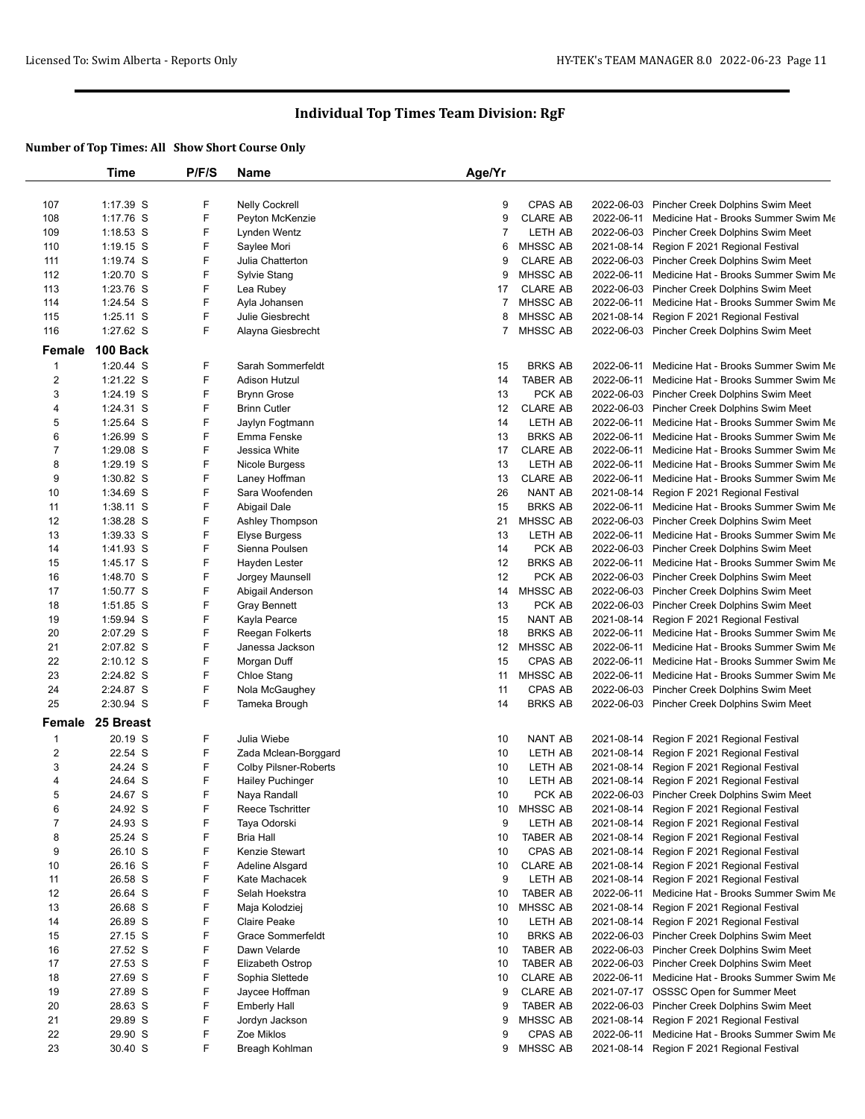|                                 | Time                 | P/F/S  | Name                    | Age/Yr         |                 |            |                                                 |
|---------------------------------|----------------------|--------|-------------------------|----------------|-----------------|------------|-------------------------------------------------|
|                                 |                      |        |                         |                |                 |            |                                                 |
| 107                             | 1:17.39 S            | F      | <b>Nelly Cockrell</b>   | 9              | <b>CPAS AB</b>  |            | 2022-06-03 Pincher Creek Dolphins Swim Meet     |
| 108                             | 1:17.76 S            | F      | Peyton McKenzie         | 9              | <b>CLARE AB</b> |            | 2022-06-11 Medicine Hat - Brooks Summer Swim Me |
| 109                             | $1:18.53$ S          | F      | Lynden Wentz            | $\overline{7}$ | LETH AB         |            | 2022-06-03 Pincher Creek Dolphins Swim Meet     |
| 110                             | $1:19.15$ S          | F      | Saylee Mori             | 6              | MHSSC AB        |            | 2021-08-14 Region F 2021 Regional Festival      |
| 111                             | 1:19.74 S            | F      | Julia Chatterton        | 9              | <b>CLARE AB</b> |            | 2022-06-03 Pincher Creek Dolphins Swim Meet     |
| 112                             | 1:20.70 S            | F      | Sylvie Stang            | 9              | MHSSC AB        |            | 2022-06-11 Medicine Hat - Brooks Summer Swim Me |
| 113                             | 1:23.76 S            | F      | Lea Rubey               | 17             | <b>CLARE AB</b> |            | 2022-06-03 Pincher Creek Dolphins Swim Meet     |
| 114                             | 1:24.54 S            | F      | Ayla Johansen           | 7              | MHSSC AB        |            | 2022-06-11 Medicine Hat - Brooks Summer Swim Me |
| 115                             | $1:25.11$ S          | F      | Julie Giesbrecht        | 8              | <b>MHSSC AB</b> |            | 2021-08-14 Region F 2021 Regional Festival      |
| 116                             | 1:27.62 S            | F      | Alayna Giesbrecht       | $\overline{7}$ | MHSSC AB        |            | 2022-06-03 Pincher Creek Dolphins Swim Meet     |
| Female                          | 100 Back             |        |                         |                |                 |            |                                                 |
| 1                               | 1:20.44 S            | F      | Sarah Sommerfeldt       | 15             | <b>BRKS AB</b>  |            | 2022-06-11 Medicine Hat - Brooks Summer Swim Me |
| $\overline{2}$                  | 1:21.22 S            | F      | <b>Adison Hutzul</b>    | 14             | <b>TABER AB</b> |            | 2022-06-11 Medicine Hat - Brooks Summer Swim Me |
| 3                               | 1:24.19 S            | F      | <b>Brynn Grose</b>      | 13             | PCK AB          |            | 2022-06-03 Pincher Creek Dolphins Swim Meet     |
| 4                               | 1:24.31 S            | F      | <b>Brinn Cutler</b>     | 12             | <b>CLARE AB</b> |            | 2022-06-03 Pincher Creek Dolphins Swim Meet     |
| 5                               | 1:25.64 S            | F      | Jaylyn Fogtmann         | 14             | LETH AB         |            | 2022-06-11 Medicine Hat - Brooks Summer Swim Me |
| 6                               | 1:26.99 S            | F      | Emma Fenske             | 13             | <b>BRKS AB</b>  | 2022-06-11 | Medicine Hat - Brooks Summer Swim Me            |
| $\overline{7}$                  | 1:29.08 S            | F      | Jessica White           | 17             | <b>CLARE AB</b> | 2022-06-11 | Medicine Hat - Brooks Summer Swim Me            |
| 8                               | 1:29.19 S            | F      | Nicole Burgess          | 13             | LETH AB         |            | 2022-06-11 Medicine Hat - Brooks Summer Swim Me |
| 9                               | 1:30.82 S            | F      | Laney Hoffman           | 13             | <b>CLARE AB</b> | 2022-06-11 | Medicine Hat - Brooks Summer Swim Me            |
| 10                              | 1:34.69 S            | F      | Sara Woofenden          | 26             | <b>NANT AB</b>  | 2021-08-14 | Region F 2021 Regional Festival                 |
| 11                              | 1:38.11 S            | F      | Abigail Dale            | 15             | <b>BRKS AB</b>  |            | 2022-06-11 Medicine Hat - Brooks Summer Swim Me |
| 12                              | 1:38.28 S            | F      | Ashley Thompson         | 21             | MHSSC AB        |            | 2022-06-03 Pincher Creek Dolphins Swim Meet     |
| 13                              | 1:39.33 S            | F      | Elyse Burgess           | 13             | LETH AB         |            | 2022-06-11 Medicine Hat - Brooks Summer Swim Me |
| 14                              | 1:41.93 S            | F      | Sienna Poulsen          | 14             | PCK AB          |            | 2022-06-03 Pincher Creek Dolphins Swim Meet     |
| 15                              | 1:45.17 S            | F      | Hayden Lester           | 12             | <b>BRKS AB</b>  |            | 2022-06-11 Medicine Hat - Brooks Summer Swim Me |
| 16                              | 1:48.70 S            | F      | Jorgey Maunsell         | 12             | PCK AB          |            | 2022-06-03 Pincher Creek Dolphins Swim Meet     |
| 17                              | 1:50.77 S            | F      | Abigail Anderson        | 14             | MHSSC AB        |            | 2022-06-03 Pincher Creek Dolphins Swim Meet     |
| 18                              | 1:51.85 S            | F      | <b>Gray Bennett</b>     | 13             | PCK AB          |            | 2022-06-03 Pincher Creek Dolphins Swim Meet     |
| 19                              | 1:59.94 S            | F      | Kayla Pearce            | 15             | NANT AB         |            | 2021-08-14 Region F 2021 Regional Festival      |
| 20                              | 2:07.29 S            | F      | Reegan Folkerts         | 18             | <b>BRKS AB</b>  |            | 2022-06-11 Medicine Hat - Brooks Summer Swim Me |
| 21                              | 2:07.82 S            | F      | Janessa Jackson         | 12             | <b>MHSSC AB</b> |            | 2022-06-11 Medicine Hat - Brooks Summer Swim Me |
| 22                              | 2:10.12 S            | F      | Morgan Duff             | 15             | CPAS AB         | 2022-06-11 | Medicine Hat - Brooks Summer Swim Me            |
| 23                              | 2:24.82 S            | F      | Chloe Stang             | 11             | MHSSC AB        | 2022-06-11 | Medicine Hat - Brooks Summer Swim Me            |
| 24                              | 2:24.87 S            | F      | Nola McGaughey          | 11             | CPAS AB         |            | 2022-06-03 Pincher Creek Dolphins Swim Meet     |
| 25                              | 2:30.94 S            | F      | Tameka Brough           | 14             | <b>BRKS AB</b>  |            | 2022-06-03 Pincher Creek Dolphins Swim Meet     |
|                                 |                      |        |                         |                |                 |            |                                                 |
| Female                          | 25 Breast<br>20.19 S | F      | Julia Wiebe             | 10             | <b>NANT AB</b>  |            |                                                 |
| $\mathbf 1$<br>$\boldsymbol{2}$ | 22.54 S              | F      |                         |                |                 |            | 2021-08-14 Region F 2021 Regional Festival      |
|                                 |                      |        | Zada Mclean-Borggard    | 10             | LETH AB         |            | 2021-08-14 Region F 2021 Regional Festival      |
| 3                               | 24.24 S              | F      | Colby Pilsner-Roberts   | 10             | LETH AB         | 2021-08-14 | Region F 2021 Regional Festival                 |
| 4                               | 24.64 S              | F<br>F | <b>Hailey Puchinger</b> | 10             | LETH AB         | 2021-08-14 | Region F 2021 Regional Festival                 |
| 5                               | 24.67 S              |        | Naya Randall            | 10             | PCK AB          |            | 2022-06-03 Pincher Creek Dolphins Swim Meet     |
| 6                               | 24.92 S              | F      | Reece Tschritter        | 10             | MHSSC AB        |            | 2021-08-14 Region F 2021 Regional Festival      |
| $\overline{7}$                  | 24.93 S              | F      | Taya Odorski            | 9              | LETH AB         | 2021-08-14 | Region F 2021 Regional Festival                 |
| 8                               | 25.24 S              | F      | <b>Bria Hall</b>        | 10             | <b>TABER AB</b> | 2021-08-14 | Region F 2021 Regional Festival                 |
| 9                               | 26.10 S              | F      | Kenzie Stewart          | 10             | CPAS AB         | 2021-08-14 | Region F 2021 Regional Festival                 |
| 10                              | 26.16 S              | F      | Adeline Alsgard         | 10             | <b>CLARE AB</b> | 2021-08-14 | Region F 2021 Regional Festival                 |
| 11                              | 26.58 S              | F      | Kate Machacek           | 9              | LETH AB         |            | 2021-08-14 Region F 2021 Regional Festival      |
| 12                              | 26.64 S              | F      | Selah Hoekstra          | 10             | <b>TABER AB</b> |            | 2022-06-11 Medicine Hat - Brooks Summer Swim Me |
| 13                              | 26.68 S              | F      | Maja Kolodziej          | 10             | MHSSC AB        | 2021-08-14 | Region F 2021 Regional Festival                 |
| 14                              | 26.89 S              | F      | Claire Peake            | 10             | LETH AB         | 2021-08-14 | Region F 2021 Regional Festival                 |
| 15                              | 27.15 S              | F      | Grace Sommerfeldt       | 10             | <b>BRKS AB</b>  |            | 2022-06-03 Pincher Creek Dolphins Swim Meet     |
| 16                              | 27.52 S              | F      | Dawn Velarde            | 10             | TABER AB        |            | 2022-06-03 Pincher Creek Dolphins Swim Meet     |
| 17                              | 27.53 S              | F      | Elizabeth Ostrop        | 10             | <b>TABER AB</b> |            | 2022-06-03 Pincher Creek Dolphins Swim Meet     |
| 18                              | 27.69 S              | F      | Sophia Slettede         | 10             | <b>CLARE AB</b> |            | 2022-06-11 Medicine Hat - Brooks Summer Swim Me |
| 19                              | 27.89 S              | F      | Jaycee Hoffman          | 9              | <b>CLARE AB</b> |            | 2021-07-17 OSSSC Open for Summer Meet           |
| 20                              | 28.63 S              | F      | <b>Emberly Hall</b>     | 9              | <b>TABER AB</b> |            | 2022-06-03 Pincher Creek Dolphins Swim Meet     |
| 21                              | 29.89 S              | F      | Jordyn Jackson          | 9              | MHSSC AB        | 2021-08-14 | Region F 2021 Regional Festival                 |
| 22                              | 29.90 S              | F      | Zoe Miklos              | 9              | CPAS AB         | 2022-06-11 | Medicine Hat - Brooks Summer Swim Me            |
| 23                              | 30.40 S              | F      | Breagh Kohlman          | 9              | <b>MHSSC AB</b> |            | 2021-08-14 Region F 2021 Regional Festival      |
|                                 |                      |        |                         |                |                 |            |                                                 |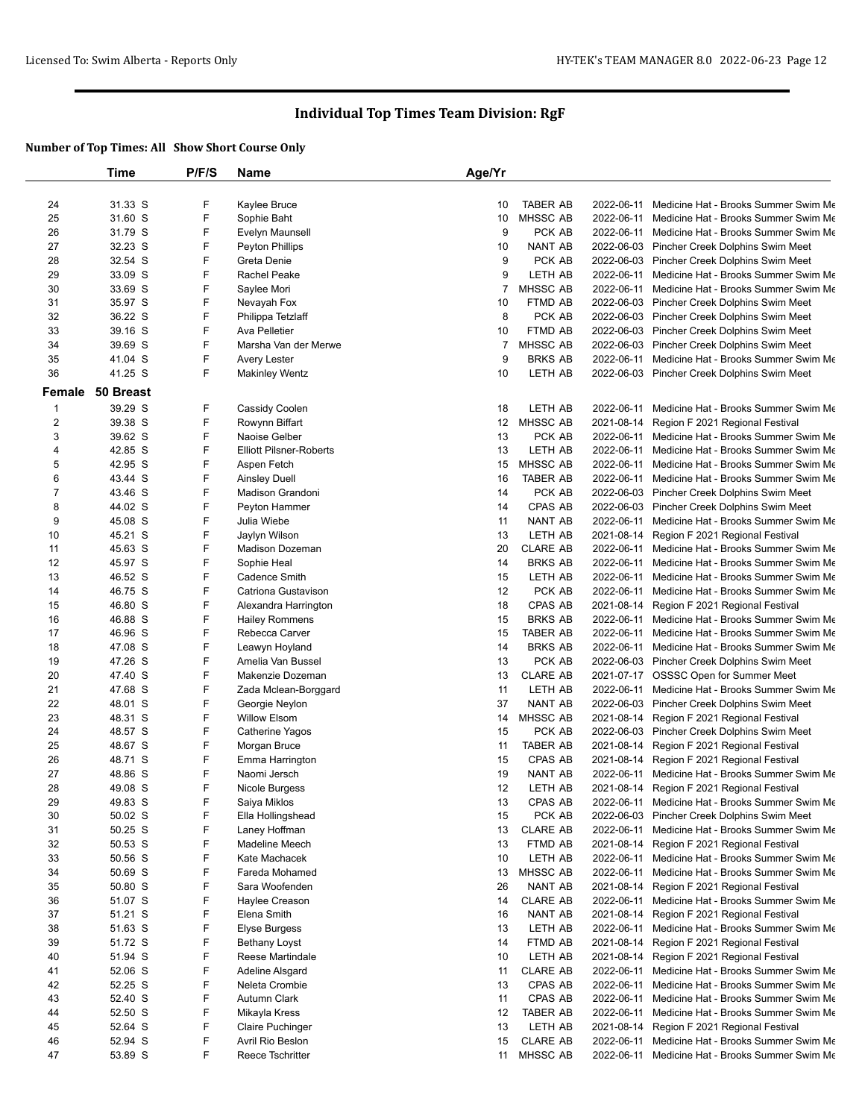|                | Time      | P/F/S | Name                           | Age/Yr         |                    |            |                                                 |
|----------------|-----------|-------|--------------------------------|----------------|--------------------|------------|-------------------------------------------------|
|                |           |       |                                |                |                    |            |                                                 |
| 24             | 31.33 S   | F     | Kaylee Bruce                   | 10             | <b>TABER AB</b>    | 2022-06-11 | Medicine Hat - Brooks Summer Swim Me            |
| 25             | 31.60 S   | F     | Sophie Baht                    | 10             | <b>MHSSC AB</b>    |            | 2022-06-11 Medicine Hat - Brooks Summer Swim Me |
| 26             | 31.79 S   | F     | Evelyn Maunsell                | 9              | PCK AB             | 2022-06-11 | Medicine Hat - Brooks Summer Swim Me            |
| 27             | 32.23 S   | F     | Peyton Phillips                | 10             | NANT AB            |            | 2022-06-03 Pincher Creek Dolphins Swim Meet     |
| 28             | 32.54 S   | F     | Greta Denie                    | 9              | PCK AB             |            | 2022-06-03 Pincher Creek Dolphins Swim Meet     |
| 29             | 33.09 S   | F     | Rachel Peake                   | 9              | LETH AB            |            | 2022-06-11 Medicine Hat - Brooks Summer Swim Me |
| 30             | 33.69 S   | F     | Saylee Mori                    | $\overline{7}$ | MHSSC AB           | 2022-06-11 | Medicine Hat - Brooks Summer Swim Me            |
| 31             | 35.97 S   | F     | Nevayah Fox                    | 10             | FTMD AB            |            | 2022-06-03 Pincher Creek Dolphins Swim Meet     |
| 32             | 36.22 S   | F     | Philippa Tetzlaff              | 8              | PCK AB             |            | 2022-06-03 Pincher Creek Dolphins Swim Meet     |
| 33             | 39.16 S   | F     | Ava Pelletier                  | 10             | FTMD AB            |            | 2022-06-03 Pincher Creek Dolphins Swim Meet     |
| 34             | 39.69 S   | F     | Marsha Van der Merwe           | $\overline{7}$ | <b>MHSSC AB</b>    |            | 2022-06-03 Pincher Creek Dolphins Swim Meet     |
| 35             | 41.04 S   | F     | Avery Lester                   | 9              | <b>BRKS AB</b>     | 2022-06-11 | Medicine Hat - Brooks Summer Swim Me            |
| 36             | 41.25 S   | F.    | <b>Makinley Wentz</b>          | 10             | LETH AB            |            | 2022-06-03 Pincher Creek Dolphins Swim Meet     |
| Female         | 50 Breast |       |                                |                |                    |            |                                                 |
| 1              | 39.29 S   | F     | Cassidy Coolen                 | 18             | LETH AB            | 2022-06-11 | Medicine Hat - Brooks Summer Swim Me            |
| $\overline{2}$ | 39.38 S   | F     | Rowynn Biffart                 |                | 12 MHSSC AB        |            | 2021-08-14 Region F 2021 Regional Festival      |
| 3              | 39.62 S   | F     | Naoise Gelber                  | 13             | PCK AB             | 2022-06-11 | Medicine Hat - Brooks Summer Swim Me            |
| 4              | 42.85 S   | F     | <b>Elliott Pilsner-Roberts</b> | 13             | LETH AB            | 2022-06-11 | Medicine Hat - Brooks Summer Swim Me            |
| 5              | 42.95 S   | F     | Aspen Fetch                    | 15             | MHSSC AB           |            | 2022-06-11 Medicine Hat - Brooks Summer Swim Me |
| 6              | 43.44 S   | F     | Ainsley Duell                  | 16             | <b>TABER AB</b>    | 2022-06-11 | Medicine Hat - Brooks Summer Swim Me            |
| $\overline{7}$ | 43.46 S   | F     | Madison Grandoni               | 14             | PCK AB             |            | 2022-06-03 Pincher Creek Dolphins Swim Meet     |
| 8              | 44.02 S   | F     | Peyton Hammer                  | 14             | CPAS AB            |            | 2022-06-03 Pincher Creek Dolphins Swim Meet     |
| 9              | 45.08 S   | F     | Julia Wiebe                    | 11             | <b>NANT AB</b>     | 2022-06-11 | Medicine Hat - Brooks Summer Swim Me            |
| 10             | 45.21 S   | F     | Jaylyn Wilson                  | 13             | LETH AB            | 2021-08-14 | Region F 2021 Regional Festival                 |
| 11             | 45.63 S   | F     | Madison Dozeman                | 20             | <b>CLARE AB</b>    |            | 2022-06-11 Medicine Hat - Brooks Summer Swim Me |
| 12             | 45.97 S   | F     | Sophie Heal                    | 14             | <b>BRKS AB</b>     |            | 2022-06-11 Medicine Hat - Brooks Summer Swim Me |
| 13             | 46.52 S   | F     | Cadence Smith                  | 15             | LETH AB            | 2022-06-11 | Medicine Hat - Brooks Summer Swim Me            |
| 14             | 46.75 S   | F     | Catriona Gustavison            | 12             | PCK AB             |            | 2022-06-11 Medicine Hat - Brooks Summer Swim Me |
| 15             | 46.80 S   | F     | Alexandra Harrington           | 18             | CPAS AB            |            | 2021-08-14 Region F 2021 Regional Festival      |
| 16             | 46.88 S   | F     | <b>Hailey Rommens</b>          | 15             | <b>BRKS AB</b>     | 2022-06-11 | Medicine Hat - Brooks Summer Swim Me            |
| 17             | 46.96 S   | F     | Rebecca Carver                 | 15             | <b>TABER AB</b>    | 2022-06-11 | Medicine Hat - Brooks Summer Swim Me            |
| 18             | 47.08 S   | F     | Leawyn Hoyland                 | 14             | <b>BRKS AB</b>     |            | 2022-06-11 Medicine Hat - Brooks Summer Swim Me |
| 19             | 47.26 S   | F     | Amelia Van Bussel              | 13             | PCK AB             |            | 2022-06-03 Pincher Creek Dolphins Swim Meet     |
| 20             | 47.40 S   | F     | Makenzie Dozeman               | 13             | <b>CLARE AB</b>    |            | 2021-07-17 OSSSC Open for Summer Meet           |
| 21             | 47.68 S   | F     | Zada Mclean-Borggard           | 11             | LETH AB            |            | 2022-06-11 Medicine Hat - Brooks Summer Swim Me |
| 22             | 48.01 S   | F     | Georgie Neylon                 | 37             | NANT AB            |            | 2022-06-03 Pincher Creek Dolphins Swim Meet     |
| 23             | 48.31 S   | F     | <b>Willow Elsom</b>            | 14             | <b>MHSSC AB</b>    |            | 2021-08-14 Region F 2021 Regional Festival      |
| 24             | 48.57 S   | F     | Catherine Yagos                | 15             | PCK AB             |            | 2022-06-03 Pincher Creek Dolphins Swim Meet     |
| 25             | 48.67 S   | F     | Morgan Bruce                   | 11             | <b>TABER AB</b>    |            | 2021-08-14 Region F 2021 Regional Festival      |
| 26             | 48.71 S   | F     | Emma Harrington                | 15             | CPAS AB            |            | 2021-08-14 Region F 2021 Regional Festival      |
| 27             | 48.86 S   | F     | Naomi Jersch                   | 19             | NANT AB            |            | 2022-06-11 Medicine Hat - Brooks Summer Swim Me |
| 28             | 49.08 S   | F     | Nicole Burgess                 | 12             | LETH AB            |            | 2021-08-14 Region F 2021 Regional Festival      |
| 29             | 49.83 S   | F     | Saiya Miklos                   | 13             | CPAS AB            |            | 2022-06-11 Medicine Hat - Brooks Summer Swim Me |
| 30             | 50.02 S   | F     | Ella Hollingshead              | 15             | PCK AB             |            | 2022-06-03 Pincher Creek Dolphins Swim Meet     |
| 31             | 50.25 S   | F     | Laney Hoffman                  | 13             | <b>CLARE AB</b>    | 2022-06-11 | Medicine Hat - Brooks Summer Swim Me            |
| 32             | 50.53 S   | F     | Madeline Meech                 | 13             | FTMD AB            |            | 2021-08-14 Region F 2021 Regional Festival      |
| 33             | 50.56 S   | F     | Kate Machacek                  | 10             | LETH AB            |            | 2022-06-11 Medicine Hat - Brooks Summer Swim Me |
| 34             | 50.69 S   | F     | Fareda Mohamed                 | 13             | MHSSC AB           |            | 2022-06-11 Medicine Hat - Brooks Summer Swim Me |
| 35             | 50.80 S   | F     | Sara Woofenden                 | 26             | NANT AB            | 2021-08-14 | Region F 2021 Regional Festival                 |
| 36             | 51.07 S   | F     | Haylee Creason                 | 14             | <b>CLARE AB</b>    |            | 2022-06-11 Medicine Hat - Brooks Summer Swim Me |
| 37             |           | F     | Elena Smith                    | 16             |                    |            | 2021-08-14 Region F 2021 Regional Festival      |
|                | 51.21 S   | F     |                                |                | NANT AB<br>LETH AB |            |                                                 |
| 38             | 51.63 S   | F     | Elyse Burgess                  | 13             |                    | 2022-06-11 | Medicine Hat - Brooks Summer Swim Me            |
| 39             | 51.72 S   |       | <b>Bethany Loyst</b>           | 14             | FTMD AB            |            | 2021-08-14 Region F 2021 Regional Festival      |
| 40             | 51.94 S   | F     | Reese Martindale               | 10             | LETH AB            | 2021-08-14 | Region F 2021 Regional Festival                 |
| 41             | 52.06 S   | F     | Adeline Alsgard                | 11             | <b>CLARE AB</b>    | 2022-06-11 | Medicine Hat - Brooks Summer Swim Me            |
| 42             | 52.25 S   | F     | Neleta Crombie                 | 13             | CPAS AB            | 2022-06-11 | Medicine Hat - Brooks Summer Swim Me            |
| 43             | 52.40 S   | F     | Autumn Clark                   | 11             | CPAS AB            |            | 2022-06-11 Medicine Hat - Brooks Summer Swim Me |
| 44             | 52.50 S   | F     | Mikayla Kress                  | 12             | <b>TABER AB</b>    | 2022-06-11 | Medicine Hat - Brooks Summer Swim Me            |
| 45             | 52.64 S   | F     | Claire Puchinger               | 13             | LETH AB            | 2021-08-14 | Region F 2021 Regional Festival                 |
| 46             | 52.94 S   | F     | Avril Rio Beslon               | 15             | <b>CLARE AB</b>    | 2022-06-11 | Medicine Hat - Brooks Summer Swim Me            |
| 47             | 53.89 S   | F     | Reece Tschritter               | 11             | MHSSC AB           |            | 2022-06-11 Medicine Hat - Brooks Summer Swim Me |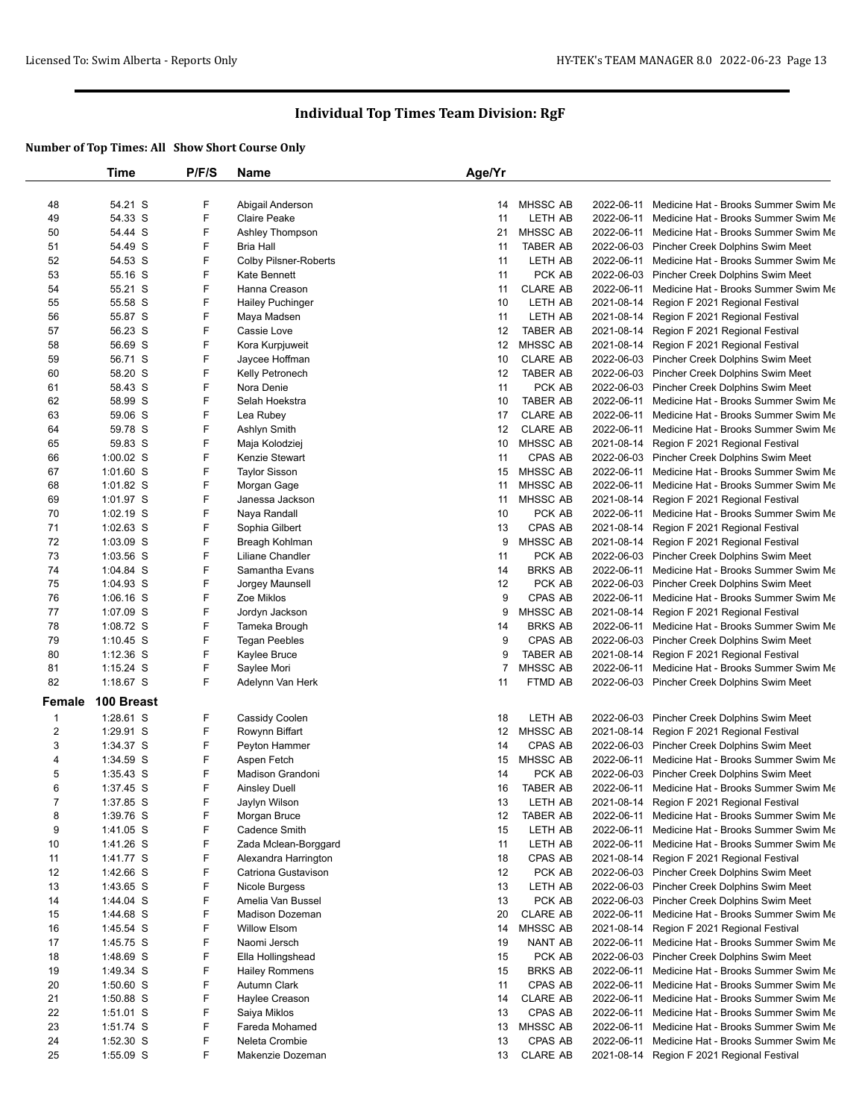|                  | Time        | P/F/S | Name                         | Age/Yr         |                 |            |                                                 |
|------------------|-------------|-------|------------------------------|----------------|-----------------|------------|-------------------------------------------------|
|                  |             |       |                              |                |                 |            |                                                 |
| 48               | 54.21 S     | F     | Abigail Anderson             | 14             | <b>MHSSC AB</b> |            | 2022-06-11 Medicine Hat - Brooks Summer Swim Me |
| 49               | 54.33 S     | F     | <b>Claire Peake</b>          | 11             | LETH AB         |            | 2022-06-11 Medicine Hat - Brooks Summer Swim Me |
| 50               | 54.44 S     | F     | Ashley Thompson              | 21             | MHSSC AB        |            | 2022-06-11 Medicine Hat - Brooks Summer Swim Me |
| 51               | 54.49 S     | F     | <b>Bria Hall</b>             | 11             | <b>TABER AB</b> |            | 2022-06-03 Pincher Creek Dolphins Swim Meet     |
| 52               | 54.53 S     | F     | <b>Colby Pilsner-Roberts</b> | 11             | LETH AB         |            | 2022-06-11 Medicine Hat - Brooks Summer Swim Me |
| 53               | 55.16 S     | F     | Kate Bennett                 | 11             | PCK AB          |            | 2022-06-03 Pincher Creek Dolphins Swim Meet     |
| 54               | 55.21 S     | F     | Hanna Creason                | 11             | <b>CLARE AB</b> |            | 2022-06-11 Medicine Hat - Brooks Summer Swim Me |
| 55               | 55.58 S     | F     | <b>Hailey Puchinger</b>      | 10             | LETH AB         |            | 2021-08-14 Region F 2021 Regional Festival      |
| 56               | 55.87 S     | F     | Maya Madsen                  | 11             | LETH AB         |            | 2021-08-14 Region F 2021 Regional Festival      |
| 57               | 56.23 S     | F     | Cassie Love                  | 12             | <b>TABER AB</b> |            | 2021-08-14 Region F 2021 Regional Festival      |
| 58               | 56.69 S     | F     | Kora Kurpjuweit              | 12             | <b>MHSSC AB</b> |            | 2021-08-14 Region F 2021 Regional Festival      |
| 59               | 56.71 S     | F     | Jaycee Hoffman               | 10             | <b>CLARE AB</b> |            | 2022-06-03 Pincher Creek Dolphins Swim Meet     |
| 60               | 58.20 S     | F     | Kelly Petronech              | 12             | <b>TABER AB</b> |            | 2022-06-03 Pincher Creek Dolphins Swim Meet     |
| 61               | 58.43 S     | F     | Nora Denie                   | 11             | PCK AB          |            | 2022-06-03 Pincher Creek Dolphins Swim Meet     |
| 62               | 58.99 S     | F     | Selah Hoekstra               | 10             | <b>TABER AB</b> |            | 2022-06-11 Medicine Hat - Brooks Summer Swim Me |
| 63               | 59.06 S     | F     | Lea Rubey                    | 17             | <b>CLARE AB</b> | 2022-06-11 | Medicine Hat - Brooks Summer Swim Me            |
| 64               | 59.78 S     | F     | Ashlyn Smith                 | 12             | <b>CLARE AB</b> |            | 2022-06-11 Medicine Hat - Brooks Summer Swim Me |
| 65               | 59.83 S     | F     | Maja Kolodziej               | 10             | <b>MHSSC AB</b> |            | 2021-08-14 Region F 2021 Regional Festival      |
| 66               | $1:00.02$ S | F     | Kenzie Stewart               | 11             | CPAS AB         |            | 2022-06-03 Pincher Creek Dolphins Swim Meet     |
| 67               | 1:01.60 S   | F     | <b>Taylor Sisson</b>         | 15             | <b>MHSSC AB</b> |            | 2022-06-11 Medicine Hat - Brooks Summer Swim Me |
| 68               | $1:01.82$ S | F     | Morgan Gage                  | 11             | <b>MHSSC AB</b> |            | 2022-06-11 Medicine Hat - Brooks Summer Swim Me |
| 69               | 1:01.97 S   | F     | Janessa Jackson              | 11             | MHSSC AB        |            | 2021-08-14 Region F 2021 Regional Festival      |
| 70               | $1:02.19$ S | F     | Naya Randall                 | 10             | PCK AB          |            | 2022-06-11 Medicine Hat - Brooks Summer Swim Me |
| 71               | $1:02.63$ S | F     | Sophia Gilbert               | 13             | CPAS AB         |            | 2021-08-14 Region F 2021 Regional Festival      |
| 72               | 1:03.09 S   | F     | Breagh Kohlman               | 9              | <b>MHSSC AB</b> |            | 2021-08-14 Region F 2021 Regional Festival      |
| 73               | $1:03.56$ S | F     | Liliane Chandler             | 11             | PCK AB          |            | 2022-06-03 Pincher Creek Dolphins Swim Meet     |
| 74               | 1:04.84 S   | F     | Samantha Evans               | 14             | <b>BRKS AB</b>  |            | 2022-06-11 Medicine Hat - Brooks Summer Swim Me |
| 75               | 1:04.93 S   | F     | Jorgey Maunsell              | 12             | PCK AB          |            | 2022-06-03 Pincher Creek Dolphins Swim Meet     |
| 76               | $1:06.16$ S | F     | Zoe Miklos                   | 9              | CPAS AB         |            | 2022-06-11 Medicine Hat - Brooks Summer Swim Me |
| 77               | 1:07.09 S   | F     | Jordyn Jackson               | 9              | <b>MHSSC AB</b> |            | 2021-08-14 Region F 2021 Regional Festival      |
| 78               | 1:08.72 S   | F     | Tameka Brough                | 14             | <b>BRKS AB</b>  |            | 2022-06-11 Medicine Hat - Brooks Summer Swim Me |
| 79               | 1:10.45 S   | F     | <b>Tegan Peebles</b>         | 9              | CPAS AB         |            | 2022-06-03 Pincher Creek Dolphins Swim Meet     |
| 80               | $1:12.36$ S | F     | Kaylee Bruce                 | 9              | <b>TABER AB</b> |            | 2021-08-14 Region F 2021 Regional Festival      |
| 81               | $1:15.24$ S | F     | Saylee Mori                  | $\overline{7}$ | <b>MHSSC AB</b> | 2022-06-11 | Medicine Hat - Brooks Summer Swim Me            |
| 82               | 1:18.67 S   | F     | Adelynn Van Herk             | 11             | FTMD AB         |            | 2022-06-03 Pincher Creek Dolphins Swim Meet     |
| Female           | 100 Breast  |       |                              |                |                 |            |                                                 |
| $\mathbf{1}$     | $1:28.61$ S | F     | Cassidy Coolen               | 18             | LETH AB         |            | 2022-06-03 Pincher Creek Dolphins Swim Meet     |
| $\boldsymbol{2}$ | 1:29.91 S   | F     | Rowynn Biffart               | 12             | MHSSC AB        |            | 2021-08-14 Region F 2021 Regional Festival      |
| 3                | 1:34.37 S   | F     | Peyton Hammer                | 14             | CPAS AB         |            | 2022-06-03 Pincher Creek Dolphins Swim Meet     |
| 4                | 1:34.59 S   | F     | Aspen Fetch                  | 15             | MHSSC AB        |            | 2022-06-11 Medicine Hat - Brooks Summer Swim Me |
| 5                | 1:35.43 S   | F     | Madison Grandoni             | 14             | PCK AB          |            | 2022-06-03 Pincher Creek Dolphins Swim Meet     |
| 6                | 1:37.45 S   | F     | Ainsley Duell                | 16             | <b>TABER AB</b> |            | 2022-06-11 Medicine Hat - Brooks Summer Swim Me |
| $\overline{7}$   | 1:37.85 S   | F     | Jaylyn Wilson                | 13             | LETH AB         |            | 2021-08-14 Region F 2021 Regional Festival      |
| 8                | 1:39.76 S   | F     | Morgan Bruce                 | 12             | <b>TABER AB</b> |            | 2022-06-11 Medicine Hat - Brooks Summer Swim Me |
| 9                | 1:41.05 S   | F     | Cadence Smith                | 15             | LETH AB         |            | 2022-06-11 Medicine Hat - Brooks Summer Swim Me |
| 10               | 1:41.26 S   | F     | Zada Mclean-Borggard         | 11             | LETH AB         |            | 2022-06-11 Medicine Hat - Brooks Summer Swim Me |
| 11               | 1:41.77 S   | F     | Alexandra Harrington         | 18             | CPAS AB         |            | 2021-08-14 Region F 2021 Regional Festival      |
| 12               | 1:42.66 S   | F     | Catriona Gustavison          | 12             | PCK AB          |            | 2022-06-03 Pincher Creek Dolphins Swim Meet     |
| 13               | 1:43.65 S   | F     | Nicole Burgess               | 13             | LETH AB         |            | 2022-06-03 Pincher Creek Dolphins Swim Meet     |
| 14               | 1:44.04 S   | F     | Amelia Van Bussel            | 13             | PCK AB          |            | 2022-06-03 Pincher Creek Dolphins Swim Meet     |
| 15               | 1:44.68 S   | F     | <b>Madison Dozeman</b>       | 20             | <b>CLARE AB</b> |            | 2022-06-11 Medicine Hat - Brooks Summer Swim Me |
| 16               | 1:45.54 S   | F     | <b>Willow Elsom</b>          | 14             | MHSSC AB        |            | 2021-08-14 Region F 2021 Regional Festival      |
| 17               | 1:45.75 S   | F     | Naomi Jersch                 | 19             | NANT AB         |            | 2022-06-11 Medicine Hat - Brooks Summer Swim Me |
| 18               | 1:48.69 S   | F     | Ella Hollingshead            | 15             | PCK AB          |            | 2022-06-03 Pincher Creek Dolphins Swim Meet     |
| 19               | 1:49.34 S   | F     | <b>Hailey Rommens</b>        | 15             | <b>BRKS AB</b>  |            | 2022-06-11 Medicine Hat - Brooks Summer Swim Me |
| 20               | 1:50.60 S   | F     | Autumn Clark                 | 11             | CPAS AB         |            | 2022-06-11 Medicine Hat - Brooks Summer Swim Me |
| 21               | 1:50.88 S   | F     | Haylee Creason               | 14             | <b>CLARE AB</b> |            | 2022-06-11 Medicine Hat - Brooks Summer Swim Me |
| 22               | 1:51.01 S   | F     | Saiya Miklos                 | 13             | CPAS AB         |            | 2022-06-11 Medicine Hat - Brooks Summer Swim Me |
| 23               | 1:51.74 S   | F     | Fareda Mohamed               | 13             | MHSSC AB        |            | 2022-06-11 Medicine Hat - Brooks Summer Swim Me |
| 24               | 1:52.30 S   | F     | Neleta Crombie               | 13             | CPAS AB         |            | 2022-06-11 Medicine Hat - Brooks Summer Swim Me |
| 25               | 1:55.09 S   | F     | Makenzie Dozeman             | 13             | <b>CLARE AB</b> |            | 2021-08-14 Region F 2021 Regional Festival      |
|                  |             |       |                              |                |                 |            |                                                 |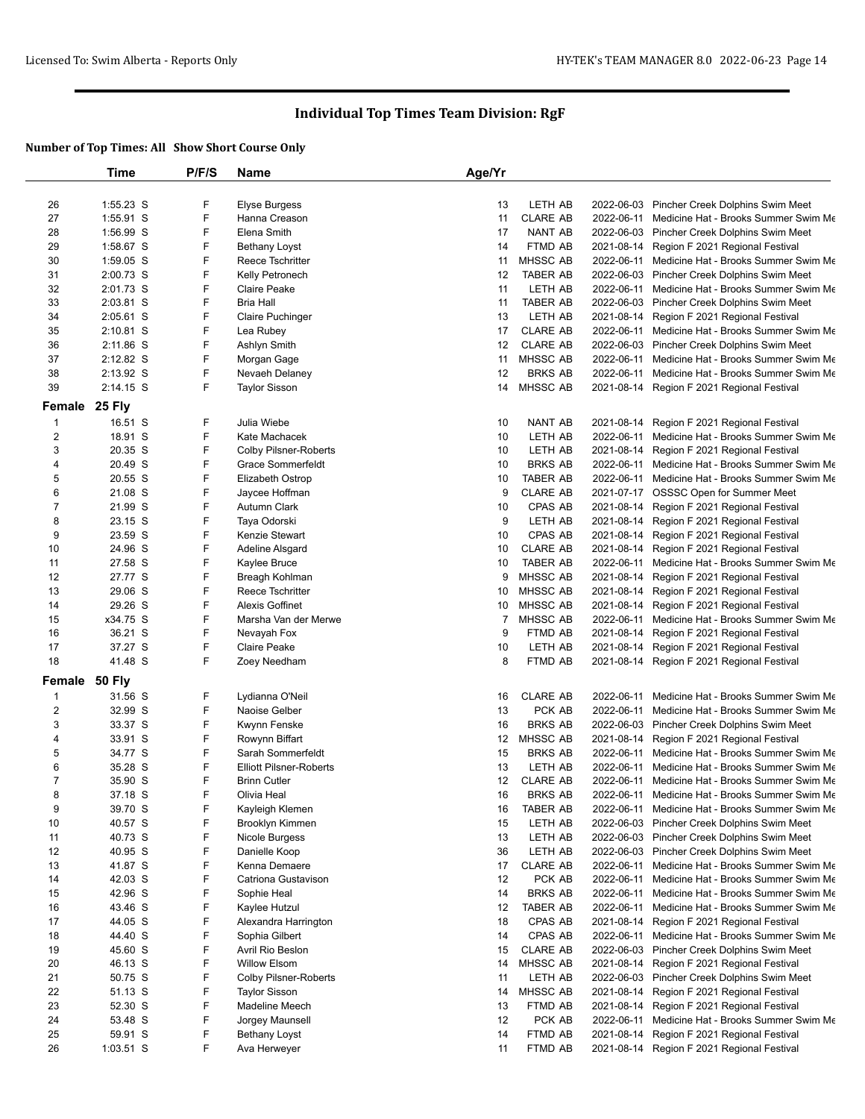|                         | Time        | P/F/S | <b>Name</b>                    | Age/Yr |                 |            |                                                 |
|-------------------------|-------------|-------|--------------------------------|--------|-----------------|------------|-------------------------------------------------|
|                         |             |       |                                |        |                 |            |                                                 |
| 26                      | 1:55.23 S   | F     | Elyse Burgess                  | 13     | LETH AB         |            | 2022-06-03 Pincher Creek Dolphins Swim Meet     |
| 27                      | 1:55.91 S   | F     | Hanna Creason                  | 11     | <b>CLARE AB</b> |            | 2022-06-11 Medicine Hat - Brooks Summer Swim Me |
| 28                      | 1:56.99 S   | F     | Elena Smith                    | 17     | <b>NANT AB</b>  |            | 2022-06-03 Pincher Creek Dolphins Swim Meet     |
| 29                      | 1:58.67 S   | F     | Bethany Loyst                  | 14     | FTMD AB         |            | 2021-08-14 Region F 2021 Regional Festival      |
| 30                      | 1:59.05 S   | F     | Reece Tschritter               | 11     | <b>MHSSC AB</b> |            | 2022-06-11 Medicine Hat - Brooks Summer Swim Me |
| 31                      | 2:00.73 S   | F     | Kelly Petronech                | 12     | <b>TABER AB</b> |            | 2022-06-03 Pincher Creek Dolphins Swim Meet     |
| 32                      | 2:01.73 S   | F     | <b>Claire Peake</b>            | 11     | LETH AB         |            | 2022-06-11 Medicine Hat - Brooks Summer Swim Me |
| 33                      | 2:03.81 S   | F     | <b>Bria Hall</b>               | 11     | <b>TABER AB</b> |            | 2022-06-03 Pincher Creek Dolphins Swim Meet     |
| 34                      | $2:05.61$ S | F     | <b>Claire Puchinger</b>        | 13     | LETH AB         |            | 2021-08-14 Region F 2021 Regional Festival      |
| 35                      | $2:10.81$ S | F     | Lea Rubey                      | 17     | <b>CLARE AB</b> |            | 2022-06-11 Medicine Hat - Brooks Summer Swim Me |
| 36                      | $2:11.86$ S | F     | Ashlyn Smith                   | 12     | <b>CLARE AB</b> |            | 2022-06-03 Pincher Creek Dolphins Swim Meet     |
| 37                      | 2:12.82 S   | F     | Morgan Gage                    | 11     | <b>MHSSC AB</b> |            | 2022-06-11 Medicine Hat - Brooks Summer Swim Me |
| 38                      | 2:13.92 S   | F     | Nevaeh Delaney                 | 12     | <b>BRKS AB</b>  | 2022-06-11 | Medicine Hat - Brooks Summer Swim Me            |
| 39                      | $2:14.15$ S | F     | <b>Taylor Sisson</b>           | 14     | <b>MHSSC AB</b> |            | 2021-08-14 Region F 2021 Regional Festival      |
| Female                  | 25 Fly      |       |                                |        |                 |            |                                                 |
| $\mathbf{1}$            | 16.51 S     | F     | Julia Wiebe                    | 10     | NANT AB         |            | 2021-08-14 Region F 2021 Regional Festival      |
| $\boldsymbol{2}$        | 18.91 S     | F     | Kate Machacek                  | 10     | LETH AB         | 2022-06-11 | Medicine Hat - Brooks Summer Swim Me            |
| 3                       | 20.35 S     | F     | <b>Colby Pilsner-Roberts</b>   | 10     | LETH AB         | 2021-08-14 | Region F 2021 Regional Festival                 |
| 4                       | 20.49 S     | F     | Grace Sommerfeldt              | 10     | <b>BRKS AB</b>  |            | 2022-06-11 Medicine Hat - Brooks Summer Swim Me |
| 5                       | 20.55 S     | F     | Elizabeth Ostrop               | 10     | <b>TABER AB</b> |            | 2022-06-11 Medicine Hat - Brooks Summer Swim Me |
| 6                       | 21.08 S     | F     | Jaycee Hoffman                 | 9      | <b>CLARE AB</b> |            | 2021-07-17 OSSSC Open for Summer Meet           |
| $\overline{7}$          | 21.99 S     | F     | Autumn Clark                   | 10     | <b>CPAS AB</b>  |            | 2021-08-14 Region F 2021 Regional Festival      |
| 8                       | 23.15 S     | F     | Taya Odorski                   | 9      | LETH AB         |            | 2021-08-14 Region F 2021 Regional Festival      |
| 9                       | 23.59 S     | F     | Kenzie Stewart                 | 10     | CPAS AB         | 2021-08-14 | Region F 2021 Regional Festival                 |
| 10                      | 24.96 S     | F     | Adeline Alsgard                | 10     | <b>CLARE AB</b> |            | 2021-08-14 Region F 2021 Regional Festival      |
| 11                      | 27.58 S     | F     | Kaylee Bruce                   | 10     | <b>TABER AB</b> |            | 2022-06-11 Medicine Hat - Brooks Summer Swim Me |
| 12                      | 27.77 S     | F     | Breagh Kohlman                 | 9      | MHSSC AB        | 2021-08-14 | Region F 2021 Regional Festival                 |
| 13                      | 29.06 S     | F     | Reece Tschritter               | 10     | MHSSC AB        |            | 2021-08-14 Region F 2021 Regional Festival      |
| 14                      | 29.26 S     | F     | Alexis Goffinet                | 10     | <b>MHSSC AB</b> |            | 2021-08-14 Region F 2021 Regional Festival      |
| 15                      | x34.75 S    | F     | Marsha Van der Merwe           | 7      | MHSSC AB        |            | 2022-06-11 Medicine Hat - Brooks Summer Swim Me |
| 16                      | 36.21 S     | F     | Nevayah Fox                    | 9      | FTMD AB         | 2021-08-14 | Region F 2021 Regional Festival                 |
| 17                      | 37.27 S     | F     | <b>Claire Peake</b>            | 10     | LETH AB         |            | 2021-08-14 Region F 2021 Regional Festival      |
| 18                      | 41.48 S     | F     | Zoey Needham                   | 8      | FTMD AB         |            | 2021-08-14 Region F 2021 Regional Festival      |
| Female 50 Fly           |             |       |                                |        |                 |            |                                                 |
| $\mathbf{1}$            | 31.56 S     | F     | Lydianna O'Neil                | 16     | <b>CLARE AB</b> |            | 2022-06-11 Medicine Hat - Brooks Summer Swim Me |
| $\overline{\mathbf{c}}$ | 32.99 S     | F     | Naoise Gelber                  | 13     | PCK AB          |            | 2022-06-11 Medicine Hat - Brooks Summer Swim Me |
| 3                       | 33.37 S     | F     | Kwynn Fenske                   | 16     | <b>BRKS AB</b>  |            | 2022-06-03 Pincher Creek Dolphins Swim Meet     |
| 4                       | 33.91 S     | F     | Rowynn Biffart                 | 12     | <b>MHSSC AB</b> |            | 2021-08-14 Region F 2021 Regional Festival      |
| 5                       | 34.77 S     | F     | Sarah Sommerfeldt              | 15     | <b>BRKS AB</b>  |            | 2022-06-11 Medicine Hat - Brooks Summer Swim Me |
| 6                       | 35.28 S     | F     | <b>Elliott Pilsner-Roberts</b> | 13     | LETH AB         | 2022-06-11 | Medicine Hat - Brooks Summer Swim Me            |
| $\overline{7}$          | 35.90 S     | F     | <b>Brinn Cutler</b>            | 12     | <b>CLARE AB</b> | 2022-06-11 | Medicine Hat - Brooks Summer Swim Me            |
| 8                       | 37.18 S     | F     | Olivia Heal                    | 16     | <b>BRKS AB</b>  |            | 2022-06-11 Medicine Hat - Brooks Summer Swim Me |
| 9                       | 39.70 S     | F     | Kayleigh Klemen                | 16     | TABER AB        |            | 2022-06-11 Medicine Hat - Brooks Summer Swim Me |
| 10                      | 40.57 S     | F     | Brooklyn Kimmen                | 15     | LETH AB         |            | 2022-06-03 Pincher Creek Dolphins Swim Meet     |
| 11                      | 40.73 S     | F     | Nicole Burgess                 | 13     | LETH AB         |            | 2022-06-03 Pincher Creek Dolphins Swim Meet     |
| 12                      | 40.95 S     | F     | Danielle Koop                  | 36     | LETH AB         |            | 2022-06-03 Pincher Creek Dolphins Swim Meet     |
| 13                      | 41.87 S     | F     | Kenna Demaere                  | 17     | <b>CLARE AB</b> |            | 2022-06-11 Medicine Hat - Brooks Summer Swim Me |
| 14                      | 42.03 S     | F     |                                | 12     | PCK AB          | 2022-06-11 | Medicine Hat - Brooks Summer Swim Me            |
| 15                      | 42.96 S     | F     | Catriona Gustavison            | 14     | <b>BRKS AB</b>  |            | 2022-06-11 Medicine Hat - Brooks Summer Swim Me |
|                         |             | F     | Sophie Heal                    |        | TABER AB        |            | Medicine Hat - Brooks Summer Swim Me            |
| 16                      | 43.46 S     | F     | Kaylee Hutzul                  | 12     | CPAS AB         | 2022-06-11 |                                                 |
| 17                      | 44.05 S     | F     | Alexandra Harrington           | 18     |                 | 2021-08-14 | Region F 2021 Regional Festival                 |
| 18                      | 44.40 S     |       | Sophia Gilbert                 | 14     | CPAS AB         |            | 2022-06-11 Medicine Hat - Brooks Summer Swim Me |
| 19                      | 45.60 S     | F     | Avril Rio Beslon               | 15     | <b>CLARE AB</b> |            | 2022-06-03 Pincher Creek Dolphins Swim Meet     |
| 20                      | 46.13 S     | F     | <b>Willow Elsom</b>            | 14     | MHSSC AB        | 2021-08-14 | Region F 2021 Regional Festival                 |
| 21                      | 50.75 S     | F     | <b>Colby Pilsner-Roberts</b>   | 11     | LETH AB         |            | 2022-06-03 Pincher Creek Dolphins Swim Meet     |
| 22                      | 51.13 S     | F     | <b>Taylor Sisson</b>           | 14     | MHSSC AB        | 2021-08-14 | Region F 2021 Regional Festival                 |
| 23                      | 52.30 S     | F     | Madeline Meech                 | 13     | FTMD AB         | 2021-08-14 | Region F 2021 Regional Festival                 |
| 24                      | 53.48 S     | F     | Jorgey Maunsell                | 12     | PCK AB          | 2022-06-11 | Medicine Hat - Brooks Summer Swim Me            |
| 25                      | 59.91 S     | F     | Bethany Loyst                  | 14     | FTMD AB         | 2021-08-14 | Region F 2021 Regional Festival                 |
| 26                      | 1:03.51 S   | F     | Ava Herweyer                   | 11     | FTMD AB         |            | 2021-08-14 Region F 2021 Regional Festival      |
|                         |             |       |                                |        |                 |            |                                                 |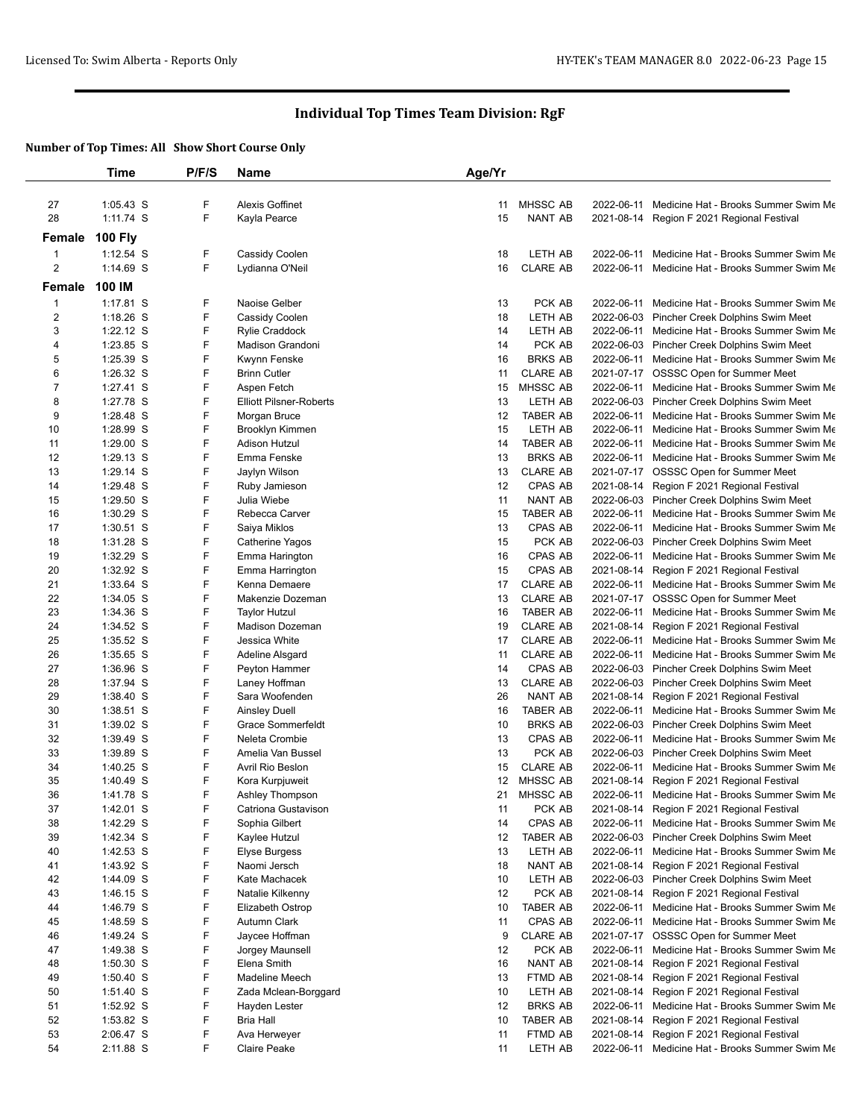|                | Time                     | P/F/S  | Name                             | Age/Yr   |                            |                                                                                                    |
|----------------|--------------------------|--------|----------------------------------|----------|----------------------------|----------------------------------------------------------------------------------------------------|
| 27             | $1:05.43$ S              | F      | <b>Alexis Goffinet</b>           | 11       | MHSSC AB                   | 2022-06-11 Medicine Hat - Brooks Summer Swim Me                                                    |
| 28             | 1:11.74 S                | F      | Kayla Pearce                     | 15       | NANT AB                    | 2021-08-14 Region F 2021 Regional Festival                                                         |
|                |                          |        |                                  |          |                            |                                                                                                    |
| Female         | <b>100 Fly</b>           |        |                                  |          |                            |                                                                                                    |
| $\mathbf{1}$   | $1:12.54$ S              | F<br>F | Cassidy Coolen                   | 18       | LETH AB                    | 2022-06-11 Medicine Hat - Brooks Summer Swim Me                                                    |
| 2              | $1:14.69$ S              |        | Lydianna O'Neil                  | 16       | <b>CLARE AB</b>            | 2022-06-11 Medicine Hat - Brooks Summer Swim Me                                                    |
| Female         | 100 IM                   |        |                                  |          |                            |                                                                                                    |
| 1              | 1:17.81 S                | F      | Naoise Gelber                    | 13       | PCK AB                     | 2022-06-11 Medicine Hat - Brooks Summer Swim Me                                                    |
| $\overline{2}$ | $1:18.26$ S              | F      | Cassidy Coolen                   | 18       | LETH AB                    | 2022-06-03 Pincher Creek Dolphins Swim Meet                                                        |
| 3              | $1:22.12$ S              | F      | <b>Rylie Craddock</b>            | 14       | LETH AB                    | 2022-06-11 Medicine Hat - Brooks Summer Swim Me                                                    |
| 4              | 1:23.85 S                | F      | Madison Grandoni                 | 14       | PCK AB                     | 2022-06-03 Pincher Creek Dolphins Swim Meet                                                        |
| 5              | 1:25.39 S                | F      | Kwynn Fenske                     | 16       | <b>BRKS AB</b>             | 2022-06-11 Medicine Hat - Brooks Summer Swim Me                                                    |
| 6              | 1:26.32 S                | F      | <b>Brinn Cutler</b>              | 11       | <b>CLARE AB</b>            | 2021-07-17 OSSSC Open for Summer Meet                                                              |
| 7              | 1:27.41 S                | F<br>F | Aspen Fetch                      | 15       | MHSSC AB                   | 2022-06-11 Medicine Hat - Brooks Summer Swim Me                                                    |
| 8<br>9         | 1:27.78 S                | F      | <b>Elliott Pilsner-Roberts</b>   | 13       | LETH AB                    | 2022-06-03 Pincher Creek Dolphins Swim Meet                                                        |
| 10             | 1:28.48 S<br>1:28.99 S   | F      | Morgan Bruce<br>Brooklyn Kimmen  | 12<br>15 | <b>TABER AB</b><br>LETH AB | 2022-06-11 Medicine Hat - Brooks Summer Swim Me<br>2022-06-11 Medicine Hat - Brooks Summer Swim Me |
| 11             | 1:29.00 S                | F      | <b>Adison Hutzul</b>             | 14       | TABER AB                   | 2022-06-11 Medicine Hat - Brooks Summer Swim Me                                                    |
| 12             | 1:29.13 S                | F      | Emma Fenske                      | 13       | <b>BRKS AB</b>             | 2022-06-11 Medicine Hat - Brooks Summer Swim Me                                                    |
| 13             | 1:29.14 S                | F      | Jaylyn Wilson                    | 13       | <b>CLARE AB</b>            | 2021-07-17 OSSSC Open for Summer Meet                                                              |
| 14             | 1:29.48 S                | F      | Ruby Jamieson                    | 12       | CPAS AB                    | 2021-08-14 Region F 2021 Regional Festival                                                         |
| 15             | 1:29.50 S                | F      | Julia Wiebe                      | 11       | NANT AB                    | 2022-06-03 Pincher Creek Dolphins Swim Meet                                                        |
| 16             | 1:30.29 S                | F      | Rebecca Carver                   | 15       | TABER AB                   | 2022-06-11 Medicine Hat - Brooks Summer Swim Me                                                    |
| 17             | 1:30.51 S                | F      | Saiya Miklos                     | 13       | CPAS AB                    | 2022-06-11 Medicine Hat - Brooks Summer Swim Me                                                    |
| 18             | 1:31.28 S                | F      | Catherine Yagos                  | 15       | PCK AB                     | 2022-06-03 Pincher Creek Dolphins Swim Meet                                                        |
| 19             | 1:32.29 S                | F      | Emma Harington                   | 16       | CPAS AB                    | 2022-06-11 Medicine Hat - Brooks Summer Swim Me                                                    |
| 20             | 1:32.92 S                | F      | Emma Harrington                  | 15       | CPAS AB                    | 2021-08-14 Region F 2021 Regional Festival                                                         |
| 21             | 1:33.64 S                | F      | Kenna Demaere                    | 17       | <b>CLARE AB</b>            | 2022-06-11 Medicine Hat - Brooks Summer Swim Me                                                    |
| 22             | $1:34.05$ S              | F      | Makenzie Dozeman                 | 13       | <b>CLARE AB</b>            | 2021-07-17 OSSSC Open for Summer Meet                                                              |
| 23             | 1:34.36 S                | F      | <b>Taylor Hutzul</b>             | 16       | <b>TABER AB</b>            | 2022-06-11 Medicine Hat - Brooks Summer Swim Me                                                    |
| 24             | 1:34.52 S                | F      | <b>Madison Dozeman</b>           | 19       | <b>CLARE AB</b>            | 2021-08-14 Region F 2021 Regional Festival                                                         |
| 25             | 1:35.52 S                | F      | Jessica White                    | 17       | <b>CLARE AB</b>            | 2022-06-11 Medicine Hat - Brooks Summer Swim Me                                                    |
| 26             | 1:35.65 S                | F      | Adeline Alsgard                  | 11       | <b>CLARE AB</b>            | 2022-06-11 Medicine Hat - Brooks Summer Swim Me                                                    |
| 27             | 1:36.96 S                | F      | Peyton Hammer                    | 14       | CPAS AB                    | 2022-06-03 Pincher Creek Dolphins Swim Meet                                                        |
| 28<br>29       | 1:37.94 S<br>1:38.40 S   | F<br>F | Laney Hoffman<br>Sara Woofenden  | 13<br>26 | <b>CLARE AB</b><br>NANT AB | 2022-06-03 Pincher Creek Dolphins Swim Meet<br>2021-08-14 Region F 2021 Regional Festival          |
| 30             | 1:38.51 S                | F      | <b>Ainsley Duell</b>             | 16       | <b>TABER AB</b>            | 2022-06-11 Medicine Hat - Brooks Summer Swim Me                                                    |
| 31             | 1:39.02 S                | F      | Grace Sommerfeldt                | 10       | <b>BRKS AB</b>             | 2022-06-03 Pincher Creek Dolphins Swim Meet                                                        |
| 32             | 1:39.49 S                | F      | Neleta Crombie                   | 13       | CPAS AB                    | 2022-06-11 Medicine Hat - Brooks Summer Swim Me                                                    |
| 33             | 1:39.89 S                | F      | Amelia Van Bussel                | 13       | PCK AB                     | 2022-06-03 Pincher Creek Dolphins Swim Meet                                                        |
| 34             | $1:40.25$ S              | F      | Avril Rio Beslon                 | 15       | <b>CLARE AB</b>            | 2022-06-11 Medicine Hat - Brooks Summer Swim Me                                                    |
| 35             | 1:40.49 S                | F      | Kora Kurpjuweit                  | 12       | MHSSC AB                   | 2021-08-14 Region F 2021 Regional Festival                                                         |
| 36             | 1:41.78 S                | F      | Ashley Thompson                  | 21       | <b>MHSSC AB</b>            | 2022-06-11 Medicine Hat - Brooks Summer Swim Me                                                    |
| 37             | 1:42.01 S                | F      | Catriona Gustavison              | 11       | PCK AB                     | 2021-08-14 Region F 2021 Regional Festival                                                         |
| 38             | 1:42.29 S                | F      | Sophia Gilbert                   | 14       | CPAS AB                    | 2022-06-11 Medicine Hat - Brooks Summer Swim Me                                                    |
| 39             | 1:42.34 S                | F      | Kaylee Hutzul                    | 12       | <b>TABER AB</b>            | 2022-06-03 Pincher Creek Dolphins Swim Meet                                                        |
| 40             | 1:42.53 S                | F      | <b>Elyse Burgess</b>             | 13       | LETH AB                    | 2022-06-11 Medicine Hat - Brooks Summer Swim Me                                                    |
| 41             | 1:43.92 S                | F      | Naomi Jersch                     | 18       | NANT AB                    | 2021-08-14 Region F 2021 Regional Festival                                                         |
| 42             | 1:44.09 S                | F      | Kate Machacek                    | 10       | LETH AB                    | 2022-06-03 Pincher Creek Dolphins Swim Meet                                                        |
| 43             | $1:46.15$ S              | F      | Natalie Kilkenny                 | 12       | PCK AB                     | 2021-08-14 Region F 2021 Regional Festival                                                         |
| 44             | 1:46.79 S                | F      | Elizabeth Ostrop                 | 10       | TABER AB                   | 2022-06-11 Medicine Hat - Brooks Summer Swim Me                                                    |
| 45             | 1:48.59 S                | F      | Autumn Clark                     | 11       | CPAS AB                    | 2022-06-11 Medicine Hat - Brooks Summer Swim Me                                                    |
| 46             | 1:49.24 S                | F      | Jaycee Hoffman                   | 9        | <b>CLARE AB</b>            | 2021-07-17 OSSSC Open for Summer Meet                                                              |
| 47             | 1:49.38 S                | F      | Jorgey Maunsell                  | 12       | PCK AB                     | 2022-06-11 Medicine Hat - Brooks Summer Swim Me                                                    |
| 48             | $1:50.30$ S              | F      | Elena Smith                      | 16       | NANT AB                    | 2021-08-14 Region F 2021 Regional Festival                                                         |
| 49             | $1:50.40$ S              | F      | Madeline Meech                   | 13       | FTMD AB                    | 2021-08-14 Region F 2021 Regional Festival                                                         |
| 50             | $1:51.40$ S              | F      | Zada Mclean-Borggard             | 10       | LETH AB                    | 2021-08-14 Region F 2021 Regional Festival                                                         |
|                | 1:52.92 S                | F      | Hayden Lester                    | 12       | <b>BRKS AB</b>             | 2022-06-11 Medicine Hat - Brooks Summer Swim Me                                                    |
| 51             |                          |        |                                  |          |                            |                                                                                                    |
| 52<br>53       | $1:53.82$ S<br>2:06.47 S | F<br>F | <b>Bria Hall</b><br>Ava Herweyer | 10<br>11 | TABER AB<br>FTMD AB        | 2021-08-14 Region F 2021 Regional Festival<br>2021-08-14 Region F 2021 Regional Festival           |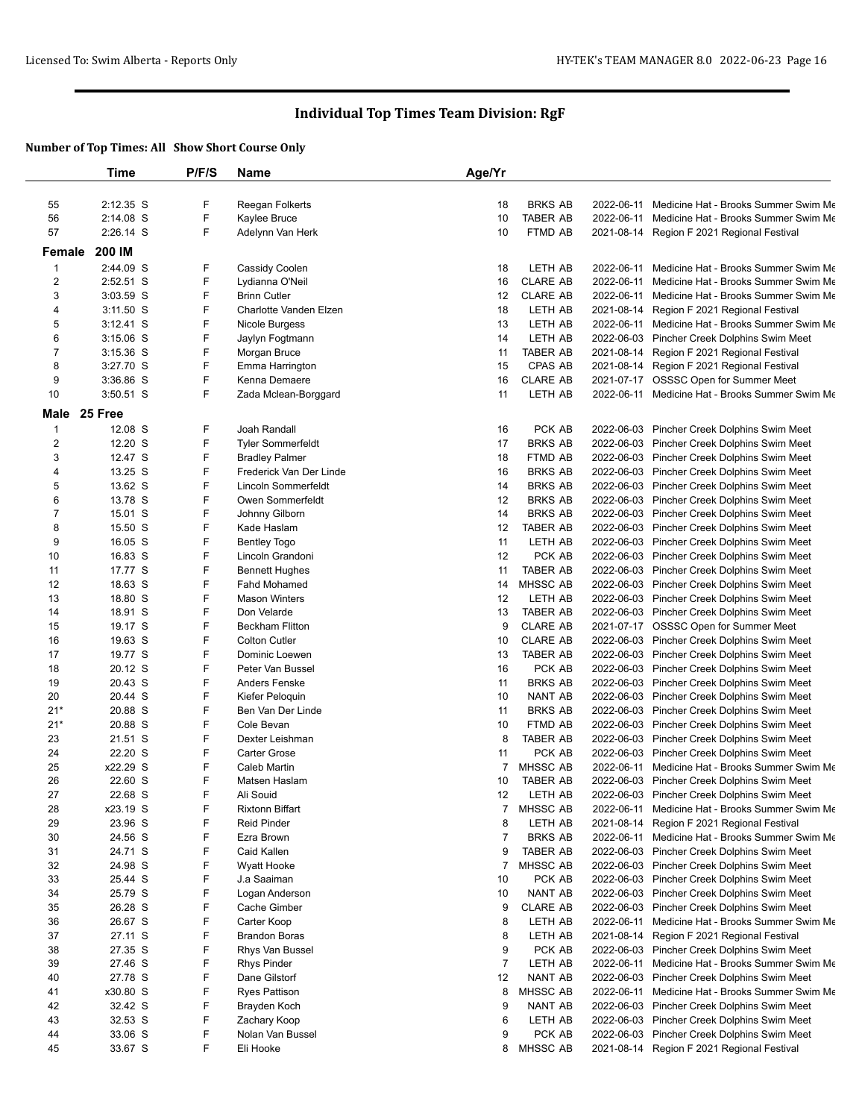|                         | Time               | P/F/S  | Name                                    | Age/Yr         |                                  |            |                                                                                            |
|-------------------------|--------------------|--------|-----------------------------------------|----------------|----------------------------------|------------|--------------------------------------------------------------------------------------------|
|                         |                    |        |                                         |                |                                  |            |                                                                                            |
| 55                      | 2:12.35 S          | F      | Reegan Folkerts                         | 18             | <b>BRKS AB</b>                   |            | 2022-06-11 Medicine Hat - Brooks Summer Swim Me                                            |
| 56                      | 2:14.08 S          | F      | Kaylee Bruce                            | 10             | TABER AB                         | 2022-06-11 | Medicine Hat - Brooks Summer Swim Me                                                       |
| 57                      | 2:26.14 S          | F      | Adelynn Van Herk                        | 10             | FTMD AB                          |            | 2021-08-14 Region F 2021 Regional Festival                                                 |
| Female                  | 200 IM             |        |                                         |                |                                  |            |                                                                                            |
| $\mathbf{1}$            | 2:44.09 S          | F      | Cassidy Coolen                          | 18             | LETH AB                          |            | 2022-06-11 Medicine Hat - Brooks Summer Swim Me                                            |
| $\overline{c}$          | 2:52.51 S          | F      | Lydianna O'Neil                         | 16             | CLARE AB                         |            | 2022-06-11 Medicine Hat - Brooks Summer Swim Me                                            |
| 3                       | 3:03.59 S          | F      | <b>Brinn Cutler</b>                     | 12             | <b>CLARE AB</b>                  |            | 2022-06-11 Medicine Hat - Brooks Summer Swim Me                                            |
| 4                       | $3:11.50$ S        | F      | Charlotte Vanden Elzen                  | 18             | LETH AB                          |            | 2021-08-14 Region F 2021 Regional Festival                                                 |
| 5                       | $3:12.41$ S        | F      | Nicole Burgess                          | 13             | LETH AB                          |            | 2022-06-11 Medicine Hat - Brooks Summer Swim Me                                            |
| 6                       | $3:15.06$ S        | F      | Jaylyn Fogtmann                         | 14             | LETH AB                          |            | 2022-06-03 Pincher Creek Dolphins Swim Meet                                                |
| $\overline{7}$          | $3:15.36$ S        | F      | Morgan Bruce                            | 11             | TABER AB                         |            | 2021-08-14 Region F 2021 Regional Festival                                                 |
| 8                       | 3:27.70 S          | F      | Emma Harrington                         | 15             | CPAS AB                          |            | 2021-08-14 Region F 2021 Regional Festival                                                 |
| 9                       | 3:36.86 S          | F<br>F | Kenna Demaere                           | 16             | <b>CLARE AB</b><br>LETH AB       |            | 2021-07-17 OSSSC Open for Summer Meet                                                      |
| 10                      | 3:50.51 S          |        | Zada Mclean-Borggard                    | 11             |                                  |            | 2022-06-11 Medicine Hat - Brooks Summer Swim Me                                            |
| Male                    | 25 Free            |        |                                         |                |                                  |            |                                                                                            |
| $\mathbf{1}$            | 12.08 S            | F      | Joah Randall                            | 16             | PCK AB                           |            | 2022-06-03 Pincher Creek Dolphins Swim Meet                                                |
| $\overline{\mathbf{c}}$ | 12.20 S            | F      | <b>Tyler Sommerfeldt</b>                | 17             | <b>BRKS AB</b>                   |            | 2022-06-03 Pincher Creek Dolphins Swim Meet                                                |
| 3                       | 12.47 S            | F<br>F | <b>Bradley Palmer</b>                   | 18             | FTMD AB                          |            | 2022-06-03 Pincher Creek Dolphins Swim Meet                                                |
| 4                       | 13.25 S            | F      | Frederick Van Der Linde                 | 16             | <b>BRKS AB</b>                   |            | 2022-06-03 Pincher Creek Dolphins Swim Meet                                                |
| 5                       | 13.62 S            | F      | Lincoln Sommerfeldt                     | 14             | <b>BRKS AB</b>                   |            | 2022-06-03 Pincher Creek Dolphins Swim Meet                                                |
| 6                       | 13.78 S            | F      | Owen Sommerfeldt                        | 12             | <b>BRKS AB</b><br><b>BRKS AB</b> |            | 2022-06-03 Pincher Creek Dolphins Swim Meet                                                |
| 7                       | 15.01 S            | F      | Johnny Gilborn                          | 14             |                                  |            | 2022-06-03 Pincher Creek Dolphins Swim Meet                                                |
| 8<br>9                  | 15.50 S<br>16.05 S | F      | Kade Haslam                             | 12<br>11       | TABER AB<br>LETH AB              |            | 2022-06-03 Pincher Creek Dolphins Swim Meet<br>2022-06-03 Pincher Creek Dolphins Swim Meet |
|                         | 16.83 S            | F      | <b>Bentley Togo</b><br>Lincoln Grandoni | 12             | PCK AB                           |            | 2022-06-03 Pincher Creek Dolphins Swim Meet                                                |
| 10<br>11                | 17.77 S            | F      | <b>Bennett Hughes</b>                   | 11             | <b>TABER AB</b>                  |            | 2022-06-03 Pincher Creek Dolphins Swim Meet                                                |
| 12                      | 18.63 S            | F      | <b>Fahd Mohamed</b>                     | 14             | MHSSC AB                         |            | 2022-06-03 Pincher Creek Dolphins Swim Meet                                                |
| 13                      | 18.80 S            | F      | <b>Mason Winters</b>                    | 12             | LETH AB                          |            | 2022-06-03 Pincher Creek Dolphins Swim Meet                                                |
| 14                      | 18.91 S            | F      | Don Velarde                             | 13             | TABER AB                         |            | 2022-06-03 Pincher Creek Dolphins Swim Meet                                                |
| 15                      | 19.17 S            | F      | <b>Beckham Flitton</b>                  | 9              | <b>CLARE AB</b>                  |            | 2021-07-17 OSSSC Open for Summer Meet                                                      |
| 16                      | 19.63 S            | F      | <b>Colton Cutler</b>                    | 10             | <b>CLARE AB</b>                  |            | 2022-06-03 Pincher Creek Dolphins Swim Meet                                                |
| 17                      | 19.77 S            | F      | Dominic Loewen                          | 13             | <b>TABER AB</b>                  |            | 2022-06-03 Pincher Creek Dolphins Swim Meet                                                |
| 18                      | 20.12 S            | F      | Peter Van Bussel                        | 16             | PCK AB                           |            | 2022-06-03 Pincher Creek Dolphins Swim Meet                                                |
| 19                      | 20.43 S            | F      | Anders Fenske                           | 11             | <b>BRKS AB</b>                   |            | 2022-06-03 Pincher Creek Dolphins Swim Meet                                                |
| 20                      | 20.44 S            | F      | Kiefer Peloquin                         | 10             | NANT AB                          |            | 2022-06-03 Pincher Creek Dolphins Swim Meet                                                |
| $21*$                   | 20.88 S            | F      | Ben Van Der Linde                       | 11             | <b>BRKS AB</b>                   |            | 2022-06-03 Pincher Creek Dolphins Swim Meet                                                |
| $21*$                   | 20.88 S            | F      | Cole Bevan                              | 10             | FTMD AB                          |            | 2022-06-03 Pincher Creek Dolphins Swim Meet                                                |
| 23                      | 21.51 S            | F      | Dexter Leishman                         | 8              | <b>TABER AB</b>                  |            | 2022-06-03 Pincher Creek Dolphins Swim Meet                                                |
| 24                      | 22.20 S            | F      | Carter Grose                            | 11             | PCK AB                           |            | 2022-06-03 Pincher Creek Dolphins Swim Meet                                                |
| 25                      | x22.29 S           | F      | Caleb Martin                            | 7              | MHSSC AB                         |            | 2022-06-11 Medicine Hat - Brooks Summer Swim Me                                            |
| 26                      | 22.60 S            | F      | Matsen Haslam                           | 10             | <b>TABER AB</b>                  |            | 2022-06-03 Pincher Creek Dolphins Swim Meet                                                |
| 27                      | 22.68 S            | F      | Ali Souid                               | 12             | LETH AB                          |            | 2022-06-03 Pincher Creek Dolphins Swim Meet                                                |
| 28                      | x23.19 S           | F      | <b>Rixtonn Biffart</b>                  | 7              | MHSSC AB                         |            | 2022-06-11 Medicine Hat - Brooks Summer Swim Me                                            |
| 29                      | 23.96 S            | F      | <b>Reid Pinder</b>                      | 8              | LETH AB                          |            | 2021-08-14 Region F 2021 Regional Festival                                                 |
| 30                      | 24.56 S            | F      | Ezra Brown                              | 7              | <b>BRKS AB</b>                   |            | 2022-06-11 Medicine Hat - Brooks Summer Swim Me                                            |
| 31                      | 24.71 S            | F      | Caid Kallen                             | 9              | TABER AB                         |            | 2022-06-03 Pincher Creek Dolphins Swim Meet                                                |
| 32                      | 24.98 S            | F      | Wyatt Hooke                             | 7              | MHSSC AB                         |            | 2022-06-03 Pincher Creek Dolphins Swim Meet                                                |
| 33                      | 25.44 S            | F      | J.a Saaiman                             | 10             | PCK AB                           |            | 2022-06-03 Pincher Creek Dolphins Swim Meet                                                |
| 34                      | 25.79 S            | F      | Logan Anderson                          | 10             | NANT AB                          |            | 2022-06-03 Pincher Creek Dolphins Swim Meet                                                |
| 35                      | 26.28 S            | F      | Cache Gimber                            | 9              | <b>CLARE AB</b>                  |            | 2022-06-03 Pincher Creek Dolphins Swim Meet                                                |
| 36                      | 26.67 S            | F      | Carter Koop                             | 8              | LETH AB                          |            | 2022-06-11 Medicine Hat - Brooks Summer Swim Me                                            |
| 37                      | 27.11 S            | F      | <b>Brandon Boras</b>                    | 8              | LETH AB                          |            | 2021-08-14 Region F 2021 Regional Festival                                                 |
| 38                      | 27.35 S            | F      | Rhys Van Bussel                         | 9              | PCK AB                           |            | 2022-06-03 Pincher Creek Dolphins Swim Meet                                                |
| 39                      | 27.46 S            | F      | Rhys Pinder                             | $\overline{7}$ | LETH AB                          |            | 2022-06-11 Medicine Hat - Brooks Summer Swim Me                                            |
| 40                      | 27.78 S            | F      | Dane Gilstorf                           | 12             | NANT AB                          |            | 2022-06-03 Pincher Creek Dolphins Swim Meet                                                |
| 41                      | x30.80 S           | F      | Ryes Pattison                           | 8              | MHSSC AB                         |            | 2022-06-11 Medicine Hat - Brooks Summer Swim Me                                            |
| 42                      | 32.42 S            | F      | Brayden Koch                            | 9              | NANT AB                          |            | 2022-06-03 Pincher Creek Dolphins Swim Meet                                                |
| 43                      | 32.53 S            | F      | Zachary Koop                            | 6              | LETH AB                          |            | 2022-06-03 Pincher Creek Dolphins Swim Meet                                                |
| 44                      | 33.06 S            | F      | Nolan Van Bussel                        | 9              | PCK AB                           |            | 2022-06-03 Pincher Creek Dolphins Swim Meet                                                |
| 45                      | 33.67 S            | F.     | Eli Hooke                               | 8              | <b>MHSSC AB</b>                  |            | 2021-08-14 Region F 2021 Regional Festival                                                 |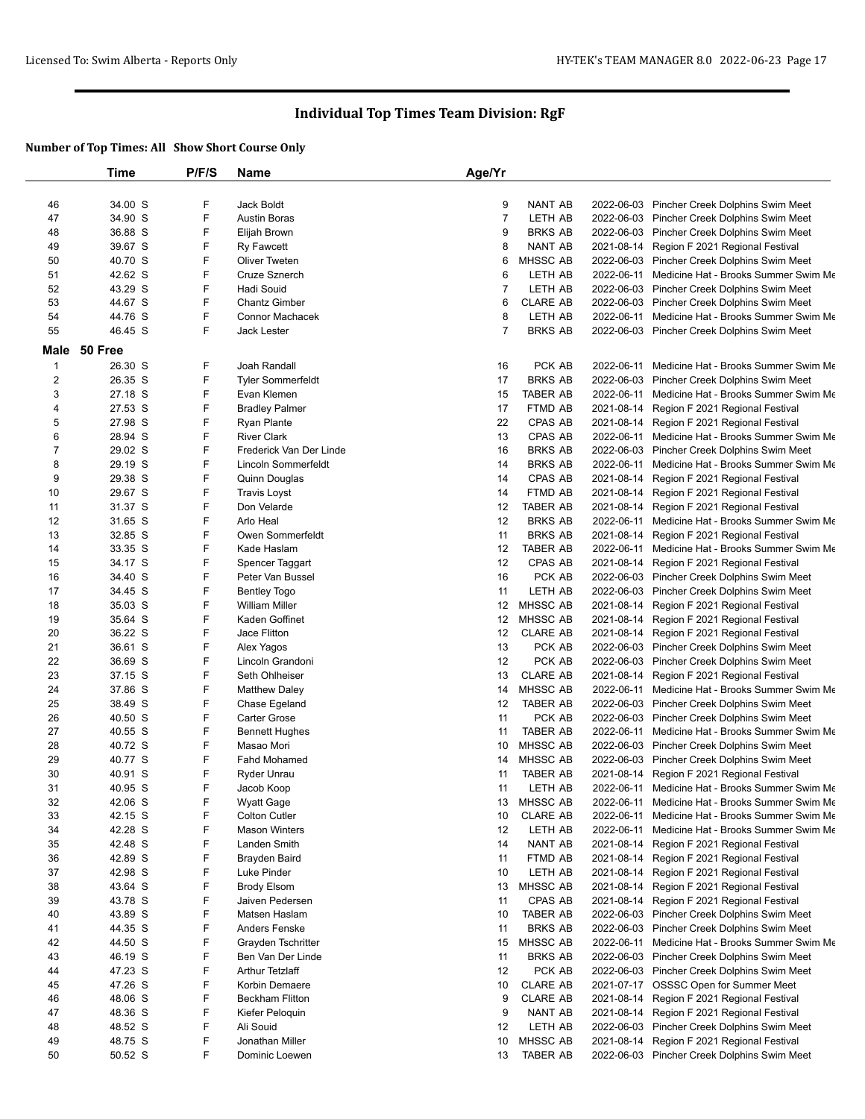|                | Time    | P/F/S | Name                     | Age/Yr         |                 |            |                                                 |
|----------------|---------|-------|--------------------------|----------------|-----------------|------------|-------------------------------------------------|
|                |         |       |                          |                |                 |            |                                                 |
| 46             | 34.00 S | F     | Jack Boldt               | 9              | NANT AB         |            | 2022-06-03 Pincher Creek Dolphins Swim Meet     |
| 47             | 34.90 S | F     | <b>Austin Boras</b>      | $\overline{7}$ | LETH AB         |            | 2022-06-03 Pincher Creek Dolphins Swim Meet     |
| 48             | 36.88 S | F     | Elijah Brown             | 9              | <b>BRKS AB</b>  |            | 2022-06-03 Pincher Creek Dolphins Swim Meet     |
| 49             | 39.67 S | F     | Ry Fawcett               | 8              | NANT AB         | 2021-08-14 | Region F 2021 Regional Festival                 |
| 50             | 40.70 S | F     | <b>Oliver Tweten</b>     | 6              | MHSSC AB        |            | 2022-06-03 Pincher Creek Dolphins Swim Meet     |
| 51             | 42.62 S | F     | Cruze Sznerch            | 6              | LETH AB         | 2022-06-11 | Medicine Hat - Brooks Summer Swim Me            |
| 52             | 43.29 S | F     | Hadi Souid               | $\overline{7}$ | LETH AB         |            | 2022-06-03 Pincher Creek Dolphins Swim Meet     |
| 53             | 44.67 S | F     | <b>Chantz Gimber</b>     | 6              | <b>CLARE AB</b> |            | 2022-06-03 Pincher Creek Dolphins Swim Meet     |
| 54             | 44.76 S | F     | Connor Machacek          | 8              | <b>LETH AB</b>  | 2022-06-11 | Medicine Hat - Brooks Summer Swim Me            |
| 55             | 46.45 S | F     | <b>Jack Lester</b>       | $\overline{7}$ | <b>BRKS AB</b>  |            | 2022-06-03 Pincher Creek Dolphins Swim Meet     |
| Male           | 50 Free |       |                          |                |                 |            |                                                 |
| $\mathbf{1}$   | 26.30 S | F     | Joah Randall             | 16             | PCK AB          |            | 2022-06-11 Medicine Hat - Brooks Summer Swim Me |
| 2              | 26.35 S | F     | <b>Tyler Sommerfeldt</b> | 17             | <b>BRKS AB</b>  | 2022-06-03 | Pincher Creek Dolphins Swim Meet                |
| 3              | 27.18 S | F     | Evan Klemen              | 15             | TABER AB        | 2022-06-11 | Medicine Hat - Brooks Summer Swim Me            |
| 4              | 27.53 S | F     | <b>Bradley Palmer</b>    | 17             | FTMD AB         | 2021-08-14 | Region F 2021 Regional Festival                 |
| 5              | 27.98 S | F     | <b>Ryan Plante</b>       | 22             | CPAS AB         | 2021-08-14 | Region F 2021 Regional Festival                 |
| 6              | 28.94 S | F     | <b>River Clark</b>       | 13             | <b>CPAS AB</b>  | 2022-06-11 | Medicine Hat - Brooks Summer Swim Me            |
| $\overline{7}$ | 29.02 S | F     | Frederick Van Der Linde  | 16             | <b>BRKS AB</b>  | 2022-06-03 | Pincher Creek Dolphins Swim Meet                |
| 8              | 29.19 S | F     | Lincoln Sommerfeldt      | 14             | <b>BRKS AB</b>  |            | 2022-06-11 Medicine Hat - Brooks Summer Swim Me |
| 9              | 29.38 S | F     | Quinn Douglas            | 14             | CPAS AB         | 2021-08-14 | Region F 2021 Regional Festival                 |
| 10             | 29.67 S | F     | <b>Travis Loyst</b>      | 14             | FTMD AB         | 2021-08-14 | Region F 2021 Regional Festival                 |
| 11             | 31.37 S | F     | Don Velarde              | 12             | <b>TABER AB</b> | 2021-08-14 | Region F 2021 Regional Festival                 |
| 12             | 31.65 S | F     | Arlo Heal                | 12             | <b>BRKS AB</b>  | 2022-06-11 | Medicine Hat - Brooks Summer Swim Me            |
| 13             | 32.85 S | F     | Owen Sommerfeldt         | 11             | <b>BRKS AB</b>  | 2021-08-14 | Region F 2021 Regional Festival                 |
| 14             | 33.35 S | F     | Kade Haslam              | 12             | <b>TABER AB</b> | 2022-06-11 | Medicine Hat - Brooks Summer Swim Me            |
| 15             | 34.17 S | F     | Spencer Taggart          | 12             | CPAS AB         | 2021-08-14 | Region F 2021 Regional Festival                 |
| 16             | 34.40 S | F     | Peter Van Bussel         | 16             | PCK AB          |            | 2022-06-03 Pincher Creek Dolphins Swim Meet     |
| 17             | 34.45 S | F     | <b>Bentley Togo</b>      | 11             | LETH AB         |            | 2022-06-03 Pincher Creek Dolphins Swim Meet     |
| 18             | 35.03 S | F     | <b>William Miller</b>    | 12             | <b>MHSSC AB</b> |            | 2021-08-14 Region F 2021 Regional Festival      |
| 19             | 35.64 S | F     | Kaden Goffinet           | 12             | MHSSC AB        | 2021-08-14 | Region F 2021 Regional Festival                 |
| 20             | 36.22 S | F     | Jace Flitton             | 12             | <b>CLARE AB</b> | 2021-08-14 | Region F 2021 Regional Festival                 |
| 21             | 36.61 S | F     | Alex Yagos               | 13             | PCK AB          |            | 2022-06-03 Pincher Creek Dolphins Swim Meet     |
| 22             | 36.69 S | F     | Lincoln Grandoni         | 12             | PCK AB          |            | 2022-06-03 Pincher Creek Dolphins Swim Meet     |
| 23             | 37.15 S | F     | Seth Ohlheiser           | 13             | <b>CLARE AB</b> | 2021-08-14 | Region F 2021 Regional Festival                 |
| 24             | 37.86 S | F     | <b>Matthew Daley</b>     | 14             | MHSSC AB        |            | 2022-06-11 Medicine Hat - Brooks Summer Swim Me |
| 25             | 38.49 S | F     | Chase Egeland            | 12             | <b>TABER AB</b> |            | 2022-06-03 Pincher Creek Dolphins Swim Meet     |
| 26             | 40.50 S | F     | <b>Carter Grose</b>      | 11             | PCK AB          |            | 2022-06-03 Pincher Creek Dolphins Swim Meet     |
| 27             | 40.55 S | F     | <b>Bennett Hughes</b>    | 11             | <b>TABER AB</b> |            | 2022-06-11 Medicine Hat - Brooks Summer Swim Me |
| 28             | 40.72 S | F     | Masao Mori               | 10             | MHSSC AB        |            | 2022-06-03 Pincher Creek Dolphins Swim Meet     |
| 29             | 40.77 S | F     | <b>Fahd Mohamed</b>      | 14             | MHSSC AB        |            | 2022-06-03 Pincher Creek Dolphins Swim Meet     |
| 30             | 40.91 S | F     | Ryder Unrau              | 11             | <b>TABER AB</b> | 2021-08-14 | Region F 2021 Regional Festival                 |
| 31             | 40.95 S | F     | Jacob Koop               | 11             | LETH AB         |            | 2022-06-11 Medicine Hat - Brooks Summer Swim Me |
| 32             | 42.06 S | F     | <b>Wyatt Gage</b>        |                | 13 MHSSC AB     |            | 2022-06-11 Medicine Hat - Brooks Summer Swim Me |
| 33             | 42.15 S | F     | Colton Cutler            | 10             | <b>CLARE AB</b> |            | 2022-06-11 Medicine Hat - Brooks Summer Swim Me |
| 34             | 42.28 S | F     | <b>Mason Winters</b>     | 12             | LETH AB         | 2022-06-11 | Medicine Hat - Brooks Summer Swim Me            |
| 35             | 42.48 S | F     | Landen Smith             | 14             | NANT AB         | 2021-08-14 | Region F 2021 Regional Festival                 |
| 36             | 42.89 S | F     | Brayden Baird            | 11             | FTMD AB         |            | 2021-08-14 Region F 2021 Regional Festival      |
| 37             | 42.98 S | F     | Luke Pinder              | 10             | LETH AB         |            | 2021-08-14 Region F 2021 Regional Festival      |
| 38             | 43.64 S | F     | <b>Brody Elsom</b>       | 13             | MHSSC AB        | 2021-08-14 | Region F 2021 Regional Festival                 |
| 39             | 43.78 S | F     | Jaiven Pedersen          | 11             | CPAS AB         |            | 2021-08-14 Region F 2021 Regional Festival      |
| 40             | 43.89 S | F     | Matsen Haslam            | 10             | <b>TABER AB</b> |            | 2022-06-03 Pincher Creek Dolphins Swim Meet     |
| 41             | 44.35 S | F     | Anders Fenske            | 11             | <b>BRKS AB</b>  |            | 2022-06-03 Pincher Creek Dolphins Swim Meet     |
| 42             | 44.50 S | F     | Grayden Tschritter       | 15             | MHSSC AB        |            | 2022-06-11 Medicine Hat - Brooks Summer Swim Me |
| 43             | 46.19 S | F     | Ben Van Der Linde        | 11             | <b>BRKS AB</b>  |            | 2022-06-03 Pincher Creek Dolphins Swim Meet     |
| 44             | 47.23 S | F     | Arthur Tetzlaff          | 12             | PCK AB          |            | 2022-06-03 Pincher Creek Dolphins Swim Meet     |
| 45             | 47.26 S | F     | Korbin Demaere           | 10             | <b>CLARE AB</b> |            | 2021-07-17 OSSSC Open for Summer Meet           |
| 46             | 48.06 S | F     | <b>Beckham Flitton</b>   | 9              | <b>CLARE AB</b> |            | 2021-08-14 Region F 2021 Regional Festival      |
| 47             | 48.36 S | F     | Kiefer Peloquin          | 9              | NANT AB         | 2021-08-14 | Region F 2021 Regional Festival                 |
| 48             | 48.52 S | F     | Ali Souid                | 12             | LETH AB         |            | 2022-06-03 Pincher Creek Dolphins Swim Meet     |
| 49             | 48.75 S | F     | Jonathan Miller          | 10             | MHSSC AB        | 2021-08-14 | Region F 2021 Regional Festival                 |
| 50             | 50.52 S | F     | Dominic Loewen           | 13             | <b>TABER AB</b> |            | 2022-06-03 Pincher Creek Dolphins Swim Meet     |
|                |         |       |                          |                |                 |            |                                                 |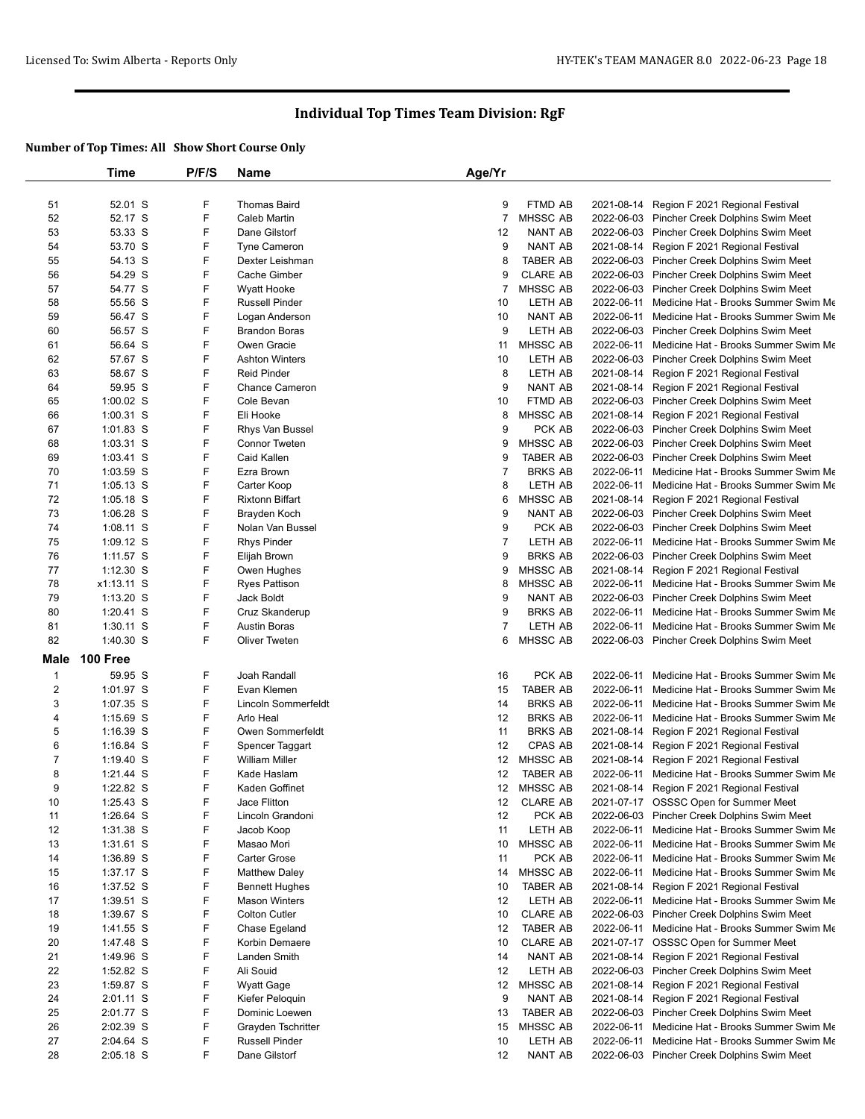|                | Time            | P/F/S | Name                   | Age/Yr         |                 |                                                 |
|----------------|-----------------|-------|------------------------|----------------|-----------------|-------------------------------------------------|
|                |                 |       |                        |                |                 |                                                 |
| 51             | 52.01 S         | F     | <b>Thomas Baird</b>    | 9              | FTMD AB         | 2021-08-14 Region F 2021 Regional Festival      |
| 52             | 52.17 S         | F     | Caleb Martin           | $\overline{7}$ | <b>MHSSC AB</b> | 2022-06-03 Pincher Creek Dolphins Swim Meet     |
| 53             | 53.33 S         | F     | Dane Gilstorf          | 12             | <b>NANT AB</b>  | 2022-06-03 Pincher Creek Dolphins Swim Meet     |
| 54             | 53.70 S         | F     | <b>Tyne Cameron</b>    | 9              | NANT AB         | 2021-08-14 Region F 2021 Regional Festival      |
| 55             | 54.13 S         | F     | Dexter Leishman        | 8              | <b>TABER AB</b> | 2022-06-03 Pincher Creek Dolphins Swim Meet     |
| 56             | 54.29 S         | F     | Cache Gimber           | 9              | <b>CLARE AB</b> | 2022-06-03 Pincher Creek Dolphins Swim Meet     |
| 57             | 54.77 S         | F     | <b>Wyatt Hooke</b>     | 7              | MHSSC AB        | 2022-06-03 Pincher Creek Dolphins Swim Meet     |
| 58             | 55.56 S         | F     | <b>Russell Pinder</b>  | 10             | LETH AB         | 2022-06-11 Medicine Hat - Brooks Summer Swim Me |
| 59             | 56.47 S         | F     | Logan Anderson         | 10             | NANT AB         | 2022-06-11 Medicine Hat - Brooks Summer Swim Me |
| 60             | 56.57 S         | F     | <b>Brandon Boras</b>   | 9              | LETH AB         | 2022-06-03 Pincher Creek Dolphins Swim Meet     |
| 61             | 56.64 S         | F     | Owen Gracie            | 11             | <b>MHSSC AB</b> | 2022-06-11 Medicine Hat - Brooks Summer Swim Me |
| 62             | 57.67 S         | F     | <b>Ashton Winters</b>  | 10             | LETH AB         | 2022-06-03 Pincher Creek Dolphins Swim Meet     |
| 63             | 58.67 S         | F     | <b>Reid Pinder</b>     | 8              | LETH AB         | 2021-08-14 Region F 2021 Regional Festival      |
| 64             | 59.95 S         | F     | <b>Chance Cameron</b>  | 9              | <b>NANT AB</b>  | 2021-08-14 Region F 2021 Regional Festival      |
| 65             | $1:00.02$ S     | F     | Cole Bevan             | 10             | FTMD AB         | 2022-06-03 Pincher Creek Dolphins Swim Meet     |
| 66             | 1:00.31 S       | F     | Eli Hooke              | 8              | MHSSC AB        | 2021-08-14 Region F 2021 Regional Festival      |
| 67             | 1:01.83 S       | F     | Rhys Van Bussel        | 9              | PCK AB          | 2022-06-03 Pincher Creek Dolphins Swim Meet     |
| 68             | 1:03.31 S       | F     | Connor Tweten          | 9              | MHSSC AB        | 2022-06-03 Pincher Creek Dolphins Swim Meet     |
| 69             | $1:03.41$ S     | F     | Caid Kallen            | 9              | <b>TABER AB</b> | 2022-06-03 Pincher Creek Dolphins Swim Meet     |
| 70             | 1:03.59 S       | F     | Ezra Brown             | $\overline{7}$ | <b>BRKS AB</b>  | 2022-06-11 Medicine Hat - Brooks Summer Swim Me |
| 71             | $1:05.13$ S     | F     | Carter Koop            | 8              | LETH AB         | 2022-06-11 Medicine Hat - Brooks Summer Swim Me |
| 72             | $1:05.18$ S     | F     | <b>Rixtonn Biffart</b> | 6              | MHSSC AB        | 2021-08-14 Region F 2021 Regional Festival      |
| 73             | $1:06.28$ S     | F     | Brayden Koch           | 9              | <b>NANT AB</b>  | 2022-06-03 Pincher Creek Dolphins Swim Meet     |
| 74             | 1:08.11 S       | F     | Nolan Van Bussel       | 9              | PCK AB          | 2022-06-03 Pincher Creek Dolphins Swim Meet     |
| 75             | 1:09.12 S       | F     | <b>Rhys Pinder</b>     | $\overline{7}$ | LETH AB         | 2022-06-11 Medicine Hat - Brooks Summer Swim Me |
| 76             | $1:11.57$ S     | F     | Elijah Brown           | 9              | <b>BRKS AB</b>  | 2022-06-03 Pincher Creek Dolphins Swim Meet     |
| 77             | $1:12.30$ S     | F     | Owen Hughes            | 9              | MHSSC AB        | 2021-08-14 Region F 2021 Regional Festival      |
| 78             | x1:13.11 S      | F     | <b>Ryes Pattison</b>   | 8              | <b>MHSSC AB</b> | 2022-06-11 Medicine Hat - Brooks Summer Swim Me |
| 79             | $1:13.20$ S     | F     | Jack Boldt             | 9              | NANT AB         | 2022-06-03 Pincher Creek Dolphins Swim Meet     |
| 80             | $1:20.41$ S     | F     | Cruz Skanderup         | 9              | <b>BRKS AB</b>  | 2022-06-11 Medicine Hat - Brooks Summer Swim Me |
| 81             | 1:30.11 S       | F     | <b>Austin Boras</b>    | 7              | LETH AB         | 2022-06-11 Medicine Hat - Brooks Summer Swim Me |
| 82             | 1:40.30 S       | F     | <b>Oliver Tweten</b>   | 6              | <b>MHSSC AB</b> | 2022-06-03 Pincher Creek Dolphins Swim Meet     |
| Male           | <b>100 Free</b> |       |                        |                |                 |                                                 |
| $\mathbf{1}$   | 59.95 S         | F     | Joah Randall           | 16             | PCK AB          | 2022-06-11 Medicine Hat - Brooks Summer Swim Me |
| $\overline{2}$ | 1:01.97 S       | F     | Evan Klemen            | 15             | <b>TABER AB</b> | 2022-06-11 Medicine Hat - Brooks Summer Swim Me |
| 3              | 1:07.35 S       | F     | Lincoln Sommerfeldt    | 14             | <b>BRKS AB</b>  | 2022-06-11 Medicine Hat - Brooks Summer Swim Me |
| 4              | $1:15.69$ S     | F     | Arlo Heal              | 12             | <b>BRKS AB</b>  | 2022-06-11 Medicine Hat - Brooks Summer Swim Me |
| 5              | 1:16.39 S       | F     | Owen Sommerfeldt       | 11             | <b>BRKS AB</b>  | 2021-08-14 Region F 2021 Regional Festival      |
| 6              | $1:16.84$ S     | F     | Spencer Taggart        | 12             | CPAS AB         | 2021-08-14 Region F 2021 Regional Festival      |
| $\overline{7}$ | $1:19.40$ S     | F     | <b>William Miller</b>  | 12             | MHSSC AB        | 2021-08-14 Region F 2021 Regional Festival      |
| 8              | $1:21.44$ S     | F     | Kade Haslam            | 12             | <b>TABER AB</b> | 2022-06-11 Medicine Hat - Brooks Summer Swim Me |
| 9              | 1:22.82 S       | F     | Kaden Goffinet         |                | 12 MHSSC AB     | 2021-08-14 Region F 2021 Regional Festival      |
| 10             | 1:25.43 S       | F     | Jace Flitton           |                | 12 CLARE AB     | 2021-07-17 OSSSC Open for Summer Meet           |
| 11             | 1:26.64 S       | F     | Lincoln Grandoni       | 12             | PCK AB          | 2022-06-03 Pincher Creek Dolphins Swim Meet     |
| 12             | 1:31.38 S       | F     | Jacob Koop             | 11             | LETH AB         | 2022-06-11 Medicine Hat - Brooks Summer Swim Me |
| 13             | $1:31.61$ S     | F     | Masao Mori             | 10             | MHSSC AB        | 2022-06-11 Medicine Hat - Brooks Summer Swim Me |
| 14             | 1:36.89 S       | F     | Carter Grose           | 11             | PCK AB          | 2022-06-11 Medicine Hat - Brooks Summer Swim Me |
| 15             | 1:37.17 S       | F     | <b>Matthew Daley</b>   | 14             | MHSSC AB        | 2022-06-11 Medicine Hat - Brooks Summer Swim Me |
| 16             | 1:37.52 S       | F     | <b>Bennett Hughes</b>  | 10             | <b>TABER AB</b> | 2021-08-14 Region F 2021 Regional Festival      |
| 17             | $1:39.51$ S     | F     | <b>Mason Winters</b>   | 12             | LETH AB         | 2022-06-11 Medicine Hat - Brooks Summer Swim Me |
| 18             | 1:39.67 S       | F     | <b>Colton Cutler</b>   | 10             | <b>CLARE AB</b> | 2022-06-03 Pincher Creek Dolphins Swim Meet     |
| 19             | 1:41.55 S       | F     | Chase Egeland          | 12             | <b>TABER AB</b> | 2022-06-11 Medicine Hat - Brooks Summer Swim Me |
| 20             | 1:47.48 S       | F     | Korbin Demaere         | 10             | <b>CLARE AB</b> | 2021-07-17 OSSSC Open for Summer Meet           |
| 21             | 1:49.96 S       | F     | Landen Smith           | 14             | NANT AB         | 2021-08-14 Region F 2021 Regional Festival      |
| 22             | 1:52.82 S       | F     | Ali Souid              | 12             | LETH AB         | 2022-06-03 Pincher Creek Dolphins Swim Meet     |
| 23             | 1:59.87 S       | F     | <b>Wyatt Gage</b>      | 12             | MHSSC AB        | 2021-08-14 Region F 2021 Regional Festival      |
| 24             | 2:01.11 S       | F     | Kiefer Peloquin        | 9              | NANT AB         | 2021-08-14 Region F 2021 Regional Festival      |
| 25             | 2:01.77 S       | F     | Dominic Loewen         | 13             | <b>TABER AB</b> | 2022-06-03 Pincher Creek Dolphins Swim Meet     |
| 26             | 2:02.39 S       | F     | Grayden Tschritter     | 15             | MHSSC AB        | 2022-06-11 Medicine Hat - Brooks Summer Swim Me |
| 27             | 2:04.64 S       | F     | Russell Pinder         | 10             | LETH AB         | 2022-06-11 Medicine Hat - Brooks Summer Swim Me |
| 28             | 2:05.18 S       | F     | Dane Gilstorf          | 12             | NANT AB         | 2022-06-03 Pincher Creek Dolphins Swim Meet     |
|                |                 |       |                        |                |                 |                                                 |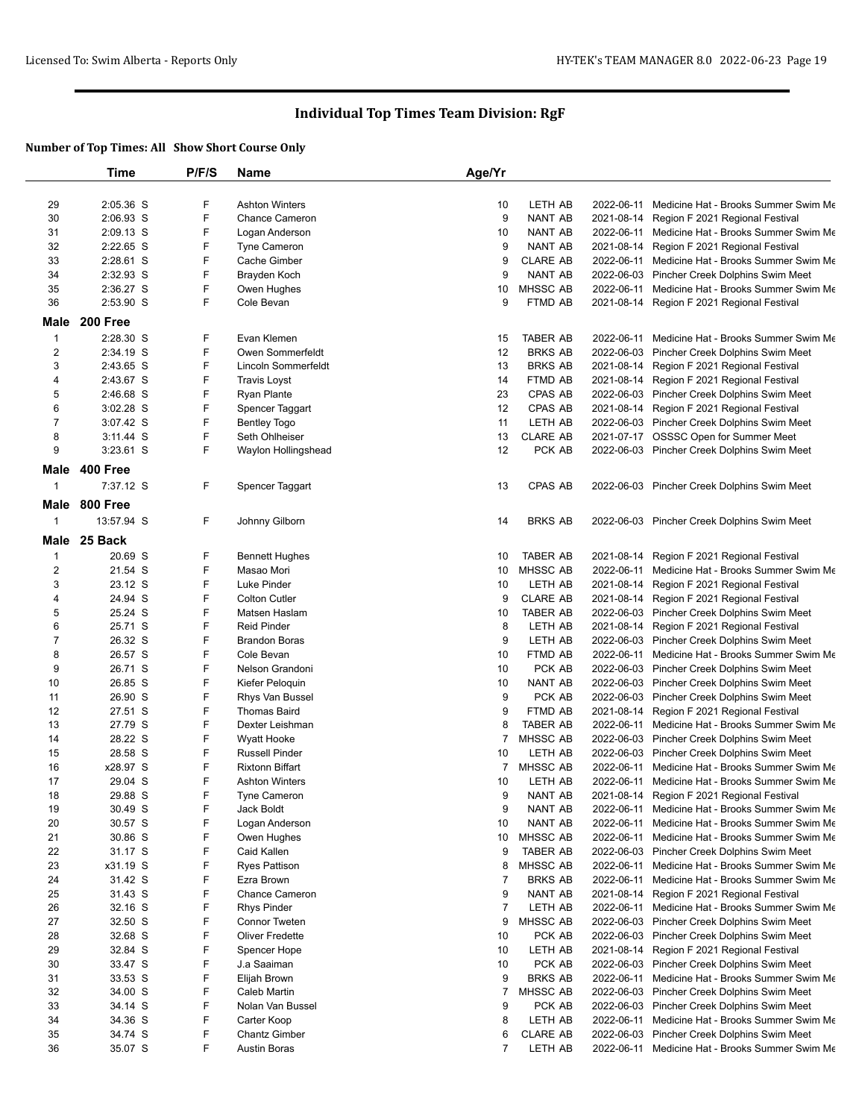|                         | Time            | P/F/S | Name                   | Age/Yr         |                 |            |                                                 |
|-------------------------|-----------------|-------|------------------------|----------------|-----------------|------------|-------------------------------------------------|
|                         |                 |       |                        |                |                 |            |                                                 |
| 29                      | 2:05.36 S       | F     | <b>Ashton Winters</b>  | 10             | LETH AB         | 2022-06-11 | Medicine Hat - Brooks Summer Swim Me            |
| 30                      | 2:06.93 S       | F     | <b>Chance Cameron</b>  | 9              | <b>NANT AB</b>  | 2021-08-14 | Region F 2021 Regional Festival                 |
| 31                      | 2:09.13 S       | F     | Logan Anderson         | 10             | <b>NANT AB</b>  | 2022-06-11 | Medicine Hat - Brooks Summer Swim Me            |
| 32                      | 2:22.65 S       | F     | Tyne Cameron           | 9              | <b>NANT AB</b>  | 2021-08-14 | Region F 2021 Regional Festival                 |
| 33                      | 2:28.61 S       | F     | Cache Gimber           | 9              | <b>CLARE AB</b> | 2022-06-11 | Medicine Hat - Brooks Summer Swim Me            |
| 34                      | 2:32.93 S       | F     | Brayden Koch           | 9              | <b>NANT AB</b>  |            | 2022-06-03 Pincher Creek Dolphins Swim Meet     |
| 35                      | 2:36.27 S       | F     | Owen Hughes            | 10             | MHSSC AB        | 2022-06-11 | Medicine Hat - Brooks Summer Swim Me            |
| 36                      | 2:53.90 S       | F.    | Cole Bevan             | 9              | FTMD AB         |            | 2021-08-14 Region F 2021 Regional Festival      |
| Male                    | 200 Free        |       |                        |                |                 |            |                                                 |
| $\mathbf{1}$            | 2:28.30 S       | F     | Evan Klemen            | 15             | <b>TABER AB</b> | 2022-06-11 | Medicine Hat - Brooks Summer Swim Me            |
| $\overline{\mathbf{c}}$ | 2:34.19 S       | F     | Owen Sommerfeldt       | 12             | <b>BRKS AB</b>  | 2022-06-03 | Pincher Creek Dolphins Swim Meet                |
| 3                       | 2:43.65 S       | F     | Lincoln Sommerfeldt    | 13             | <b>BRKS AB</b>  | 2021-08-14 | Region F 2021 Regional Festival                 |
| 4                       | 2:43.67 S       | F     | <b>Travis Loyst</b>    | 14             | FTMD AB         |            | 2021-08-14 Region F 2021 Regional Festival      |
| 5                       | 2:46.68 S       | F     | Ryan Plante            | 23             | CPAS AB         | 2022-06-03 | Pincher Creek Dolphins Swim Meet                |
| 6                       | $3:02.28$ S     | F     | Spencer Taggart        | 12             | CPAS AB         | 2021-08-14 | Region F 2021 Regional Festival                 |
| 7                       | 3:07.42 S       | F     | <b>Bentley Togo</b>    | 11             | LETH AB         |            | 2022-06-03 Pincher Creek Dolphins Swim Meet     |
| 8                       | $3:11.44$ S     | F     | Seth Ohlheiser         | 13             | <b>CLARE AB</b> |            | 2021-07-17 OSSSC Open for Summer Meet           |
| 9                       | $3:23.61$ S     | F     | Waylon Hollingshead    | 12             | PCK AB          |            | 2022-06-03 Pincher Creek Dolphins Swim Meet     |
|                         |                 |       |                        |                |                 |            |                                                 |
| Male                    | <b>400 Free</b> |       |                        |                |                 |            |                                                 |
| $\mathbf{1}$            | 7:37.12 S       | F     | Spencer Taggart        | 13             | <b>CPAS AB</b>  |            | 2022-06-03 Pincher Creek Dolphins Swim Meet     |
| Male                    | <b>800 Free</b> |       |                        |                |                 |            |                                                 |
| 1                       | 13:57.94 S      | F     | Johnny Gilborn         | 14             | <b>BRKS AB</b>  |            | 2022-06-03 Pincher Creek Dolphins Swim Meet     |
|                         |                 |       |                        |                |                 |            |                                                 |
| Male                    | 25 Back         |       |                        |                |                 |            |                                                 |
| $\mathbf{1}$            | 20.69 S         | F     | <b>Bennett Hughes</b>  | 10             | <b>TABER AB</b> | 2021-08-14 | Region F 2021 Regional Festival                 |
| $\overline{\mathbf{c}}$ | 21.54 S         | F     | Masao Mori             | 10             | MHSSC AB        | 2022-06-11 | Medicine Hat - Brooks Summer Swim Me            |
| 3                       | 23.12 S         | F     | Luke Pinder            | 10             | LETH AB         | 2021-08-14 | Region F 2021 Regional Festival                 |
| 4                       | 24.94 S         | F     | <b>Colton Cutler</b>   | 9              | <b>CLARE AB</b> |            | 2021-08-14 Region F 2021 Regional Festival      |
| 5                       | 25.24 S         | F     | Matsen Haslam          | 10             | <b>TABER AB</b> |            | 2022-06-03 Pincher Creek Dolphins Swim Meet     |
| 6                       | 25.71 S         | F     | <b>Reid Pinder</b>     | 8              | LETH AB         | 2021-08-14 | Region F 2021 Regional Festival                 |
| $\boldsymbol{7}$        | 26.32 S         | F     | <b>Brandon Boras</b>   | 9              | LETH AB         |            | 2022-06-03 Pincher Creek Dolphins Swim Meet     |
| 8                       | 26.57 S         | F     | Cole Bevan             | 10             | FTMD AB         |            | 2022-06-11 Medicine Hat - Brooks Summer Swim Me |
| 9                       | 26.71 S         | F     | Nelson Grandoni        | 10             | PCK AB          |            | 2022-06-03 Pincher Creek Dolphins Swim Meet     |
| 10                      | 26.85 S         | F     | Kiefer Peloquin        | 10             | <b>NANT AB</b>  |            | 2022-06-03 Pincher Creek Dolphins Swim Meet     |
| 11                      | 26.90 S         | F     | Rhys Van Bussel        | 9              | PCK AB          |            | 2022-06-03 Pincher Creek Dolphins Swim Meet     |
| 12                      | 27.51 S         | F     | <b>Thomas Baird</b>    | 9              | FTMD AB         | 2021-08-14 | Region F 2021 Regional Festival                 |
| 13                      | 27.79 S         | F     | Dexter Leishman        | 8              | <b>TABER AB</b> | 2022-06-11 | Medicine Hat - Brooks Summer Swim Me            |
| 14                      | 28.22 S         | F     | Wyatt Hooke            | $\overline{7}$ | MHSSC AB        |            | 2022-06-03 Pincher Creek Dolphins Swim Meet     |
| 15                      | 28.58 S         | F     | <b>Russell Pinder</b>  | 10             | LETH AB         |            | 2022-06-03 Pincher Creek Dolphins Swim Meet     |
| 16                      | x28.97 S        | F     | <b>Rixtonn Biffart</b> | 7              | MHSSC AB        | 2022-06-11 | Medicine Hat - Brooks Summer Swim Me            |
| 17                      | 29.04 S         | F     | <b>Ashton Winters</b>  | 10             | LETH AB         |            | 2022-06-11 Medicine Hat - Brooks Summer Swim Me |
| 18                      | 29.88 S         | F     | Tyne Cameron           | 9              | NANT AB         |            | 2021-08-14 Region F 2021 Regional Festival      |
| 19                      | 30.49 S         | F     | Jack Boldt             | 9              | NANT AB         | 2022-06-11 | Medicine Hat - Brooks Summer Swim Me            |
| 20                      | 30.57 S         | F     | Logan Anderson         | 10             | NANT AB         | 2022-06-11 | Medicine Hat - Brooks Summer Swim Me            |
| 21                      | 30.86 S         | F     | Owen Hughes            | 10             | MHSSC AB        | 2022-06-11 | Medicine Hat - Brooks Summer Swim Me            |
| 22                      | 31.17 S         | F     | Caid Kallen            | 9              | <b>TABER AB</b> | 2022-06-03 | Pincher Creek Dolphins Swim Meet                |
| 23                      | x31.19 S        | F     | <b>Ryes Pattison</b>   | 8              | MHSSC AB        |            | 2022-06-11 Medicine Hat - Brooks Summer Swim Me |
| 24                      | 31.42 S         | F     | Ezra Brown             | 7              | <b>BRKS AB</b>  | 2022-06-11 | Medicine Hat - Brooks Summer Swim Me            |
| 25                      | 31.43 S         | F     | <b>Chance Cameron</b>  | 9              | NANT AB         | 2021-08-14 | Region F 2021 Regional Festival                 |
| 26                      | 32.16 S         | F     | <b>Rhys Pinder</b>     | $\overline{7}$ | LETH AB         | 2022-06-11 | Medicine Hat - Brooks Summer Swim Me            |
| 27                      | 32.50 S         | F     | <b>Connor Tweten</b>   | 9              | MHSSC AB        | 2022-06-03 | Pincher Creek Dolphins Swim Meet                |
| 28                      | 32.68 S         | F     | <b>Oliver Fredette</b> | 10             | PCK AB          | 2022-06-03 | Pincher Creek Dolphins Swim Meet                |
| 29                      | 32.84 S         | F     | Spencer Hope           | 10             | LETH AB         | 2021-08-14 | Region F 2021 Regional Festival                 |
| 30                      | 33.47 S         | F     | J.a Saaiman            | 10             | PCK AB          | 2022-06-03 | Pincher Creek Dolphins Swim Meet                |
| 31                      | 33.53 S         | F     | Elijah Brown           | 9              | <b>BRKS AB</b>  | 2022-06-11 | Medicine Hat - Brooks Summer Swim Me            |
| 32                      | 34.00 S         | F     | Caleb Martin           | 7              | MHSSC AB        |            | 2022-06-03 Pincher Creek Dolphins Swim Meet     |
| 33                      | 34.14 S         | F     | Nolan Van Bussel       | 9              | PCK AB          |            | 2022-06-03 Pincher Creek Dolphins Swim Meet     |
| 34                      | 34.36 S         | F     | Carter Koop            | 8              | LETH AB         | 2022-06-11 | Medicine Hat - Brooks Summer Swim Me            |
| 35                      | 34.74 S         | F     | <b>Chantz Gimber</b>   | 6              | <b>CLARE AB</b> | 2022-06-03 | Pincher Creek Dolphins Swim Meet                |
| 36                      | 35.07 S         | F     | <b>Austin Boras</b>    | $\overline{7}$ | LETH AB         |            | 2022-06-11 Medicine Hat - Brooks Summer Swim Me |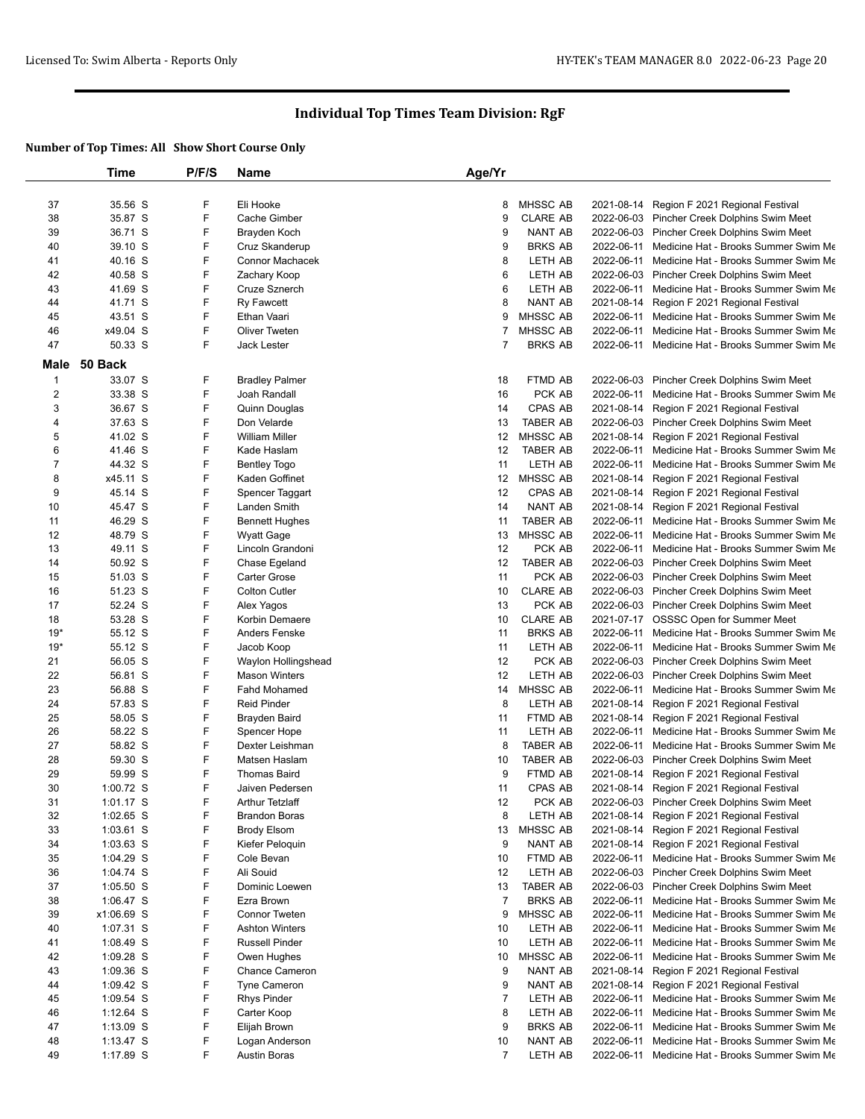|                         | Time        | P/F/S | Name                  | Age/Yr         |                 |            |                                                 |
|-------------------------|-------------|-------|-----------------------|----------------|-----------------|------------|-------------------------------------------------|
|                         |             |       |                       |                |                 |            |                                                 |
| 37                      | 35.56 S     | F     | Eli Hooke             | 8              | <b>MHSSC AB</b> | 2021-08-14 | Region F 2021 Regional Festival                 |
| 38                      | 35.87 S     | F     | Cache Gimber          | 9              | <b>CLARE AB</b> |            | 2022-06-03 Pincher Creek Dolphins Swim Meet     |
| 39                      | 36.71 S     | F     | Brayden Koch          | 9              | <b>NANT AB</b>  |            | 2022-06-03 Pincher Creek Dolphins Swim Meet     |
| 40                      | 39.10 S     | F     | Cruz Skanderup        | 9              | <b>BRKS AB</b>  |            | 2022-06-11 Medicine Hat - Brooks Summer Swim Me |
| 41                      | 40.16 S     | F     | Connor Machacek       | 8              | LETH AB         | 2022-06-11 | Medicine Hat - Brooks Summer Swim Me            |
| 42                      | 40.58 S     | F     | Zachary Koop          | 6              | LETH AB         |            | 2022-06-03 Pincher Creek Dolphins Swim Meet     |
| 43                      | 41.69 S     | F     | Cruze Sznerch         | 6              | LETH AB         | 2022-06-11 | Medicine Hat - Brooks Summer Swim Me            |
| 44                      | 41.71 S     | F     | <b>Ry Fawcett</b>     | 8              | <b>NANT AB</b>  | 2021-08-14 | Region F 2021 Regional Festival                 |
| 45                      | 43.51 S     | F     | Ethan Vaari           | 9              | MHSSC AB        | 2022-06-11 | Medicine Hat - Brooks Summer Swim Me            |
| 46                      | x49.04 S    | F     | <b>Oliver Tweten</b>  | 7              | MHSSC AB        | 2022-06-11 | Medicine Hat - Brooks Summer Swim Me            |
| 47                      | 50.33 S     | F     | Jack Lester           | 7              | <b>BRKS AB</b>  | 2022-06-11 | Medicine Hat - Brooks Summer Swim Me            |
| Male                    | 50 Back     |       |                       |                |                 |            |                                                 |
| $\mathbf{1}$            | 33.07 S     | F     | <b>Bradley Palmer</b> | 18             | FTMD AB         |            | 2022-06-03 Pincher Creek Dolphins Swim Meet     |
| $\overline{\mathbf{c}}$ | 33.38 S     | F     | Joah Randall          | 16             | PCK AB          | 2022-06-11 | Medicine Hat - Brooks Summer Swim Me            |
| 3                       | 36.67 S     | F     | Quinn Douglas         | 14             | <b>CPAS AB</b>  | 2021-08-14 | Region F 2021 Regional Festival                 |
| 4                       | 37.63 S     | F     | Don Velarde           | 13             | <b>TABER AB</b> |            | 2022-06-03 Pincher Creek Dolphins Swim Meet     |
| 5                       | 41.02 S     | F     | <b>William Miller</b> | 12             | MHSSC AB        | 2021-08-14 | Region F 2021 Regional Festival                 |
| 6                       | 41.46 S     | F     | Kade Haslam           | 12             | <b>TABER AB</b> | 2022-06-11 | Medicine Hat - Brooks Summer Swim Me            |
| $\boldsymbol{7}$        | 44.32 S     | F     | <b>Bentley Togo</b>   | 11             | LETH AB         |            | 2022-06-11 Medicine Hat - Brooks Summer Swim Me |
| 8                       | x45.11 S    | F     | Kaden Goffinet        | 12             | MHSSC AB        | 2021-08-14 | Region F 2021 Regional Festival                 |
| 9                       | 45.14 S     | F     | Spencer Taggart       | 12             | CPAS AB         | 2021-08-14 | Region F 2021 Regional Festival                 |
| 10                      | 45.47 S     | F     | <b>Landen Smith</b>   | 14             | <b>NANT AB</b>  | 2021-08-14 | Region F 2021 Regional Festival                 |
| 11                      | 46.29 S     | F     | <b>Bennett Hughes</b> | 11             | <b>TABER AB</b> | 2022-06-11 | Medicine Hat - Brooks Summer Swim Me            |
| 12                      | 48.79 S     | F     | Wyatt Gage            | 13             | MHSSC AB        | 2022-06-11 | Medicine Hat - Brooks Summer Swim Me            |
| 13                      | 49.11 S     | F     | Lincoln Grandoni      | 12             | PCK AB          | 2022-06-11 | Medicine Hat - Brooks Summer Swim Me            |
| 14                      | 50.92 S     | F     | Chase Egeland         | 12             | <b>TABER AB</b> |            | 2022-06-03 Pincher Creek Dolphins Swim Meet     |
| 15                      | 51.03 S     | F     | <b>Carter Grose</b>   | 11             | PCK AB          |            | 2022-06-03 Pincher Creek Dolphins Swim Meet     |
| 16                      | 51.23 S     | F     | <b>Colton Cutler</b>  | 10             | <b>CLARE AB</b> |            | 2022-06-03 Pincher Creek Dolphins Swim Meet     |
| 17                      | 52.24 S     | F     | Alex Yagos            | 13             | PCK AB          |            | 2022-06-03 Pincher Creek Dolphins Swim Meet     |
|                         |             | F     |                       | 10             |                 |            |                                                 |
| 18                      | 53.28 S     | F     | Korbin Demaere        |                | <b>CLARE AB</b> |            | 2021-07-17 OSSSC Open for Summer Meet           |
| $19*$                   | 55.12 S     | F     | Anders Fenske         | 11             | <b>BRKS AB</b>  | 2022-06-11 | Medicine Hat - Brooks Summer Swim Me            |
| $19*$                   | 55.12 S     | F     | Jacob Koop            | 11             | LETH AB         |            | 2022-06-11 Medicine Hat - Brooks Summer Swim Me |
| 21                      | 56.05 S     |       | Waylon Hollingshead   | 12             | PCK AB          |            | 2022-06-03 Pincher Creek Dolphins Swim Meet     |
| 22                      | 56.81 S     | F     | <b>Mason Winters</b>  | 12             | LETH AB         |            | 2022-06-03 Pincher Creek Dolphins Swim Meet     |
| 23                      | 56.88 S     | F     | <b>Fahd Mohamed</b>   | 14             | MHSSC AB        | 2022-06-11 | Medicine Hat - Brooks Summer Swim Me            |
| 24                      | 57.83 S     | F     | <b>Reid Pinder</b>    | 8              | LETH AB         | 2021-08-14 | Region F 2021 Regional Festival                 |
| 25                      | 58.05 S     | F     | Brayden Baird         | 11             | FTMD AB         |            | 2021-08-14 Region F 2021 Regional Festival      |
| 26                      | 58.22 S     | F     | Spencer Hope          | 11             | LETH AB         |            | 2022-06-11 Medicine Hat - Brooks Summer Swim Me |
| 27                      | 58.82 S     | F     | Dexter Leishman       | 8              | <b>TABER AB</b> | 2022-06-11 | Medicine Hat - Brooks Summer Swim Me            |
| 28                      | 59.30 S     | F     | Matsen Haslam         | 10             | <b>TABER AB</b> |            | 2022-06-03 Pincher Creek Dolphins Swim Meet     |
| 29                      | 59.99 S     | F     | <b>Thomas Baird</b>   | 9              | FTMD AB         | 2021-08-14 | Region F 2021 Regional Festival                 |
| 30                      | $1:00.72$ S | F     | Jaiven Pedersen       | 11             | CPAS AB         |            | 2021-08-14 Region F 2021 Regional Festival      |
| 31                      | 1:01.17 S   | F     | Arthur Tetzlaff       | 12             | PCK AB          |            | 2022-06-03 Pincher Creek Dolphins Swim Meet     |
| 32                      | $1:02.65$ S | F     | <b>Brandon Boras</b>  | 8              | LETH AB         |            | 2021-08-14 Region F 2021 Regional Festival      |
| 33                      | 1:03.61 S   | F     | <b>Brody Elsom</b>    | 13             | MHSSC AB        |            | 2021-08-14 Region F 2021 Regional Festival      |
| 34                      | $1:03.63$ S | F     | Kiefer Peloquin       | 9              | NANT AB         |            | 2021-08-14 Region F 2021 Regional Festival      |
| 35                      | 1:04.29 S   | F     | Cole Bevan            | 10             | FTMD AB         |            | 2022-06-11 Medicine Hat - Brooks Summer Swim Me |
| 36                      | $1:04.74$ S | F     | Ali Souid             | 12             | LETH AB         |            | 2022-06-03 Pincher Creek Dolphins Swim Meet     |
| 37                      | $1:05.50$ S | F     | Dominic Loewen        | 13             | <b>TABER AB</b> |            | 2022-06-03 Pincher Creek Dolphins Swim Meet     |
| 38                      | 1:06.47 S   | F     | Ezra Brown            | $\overline{7}$ | <b>BRKS AB</b>  |            | 2022-06-11 Medicine Hat - Brooks Summer Swim Me |
| 39                      | x1:06.69 S  | F     | Connor Tweten         | 9              | MHSSC AB        | 2022-06-11 | Medicine Hat - Brooks Summer Swim Me            |
| 40                      | $1:07.31$ S | F     | <b>Ashton Winters</b> | 10             | LETH AB         | 2022-06-11 | Medicine Hat - Brooks Summer Swim Me            |
| 41                      | 1:08.49 S   | F     | <b>Russell Pinder</b> | 10             | LETH AB         | 2022-06-11 | Medicine Hat - Brooks Summer Swim Me            |
| 42                      | 1:09.28 S   | F     | Owen Hughes           | 10             | MHSSC AB        |            | 2022-06-11 Medicine Hat - Brooks Summer Swim Me |
| 43                      | 1:09.36 S   | F     | <b>Chance Cameron</b> | 9              | NANT AB         | 2021-08-14 | Region F 2021 Regional Festival                 |
| 44                      | 1:09.42 S   | F     | <b>Tyne Cameron</b>   | 9              | NANT AB         |            | 2021-08-14 Region F 2021 Regional Festival      |
| 45                      | $1:09.54$ S | F     | <b>Rhys Pinder</b>    | $\overline{7}$ | LETH AB         | 2022-06-11 | Medicine Hat - Brooks Summer Swim Me            |
| 46                      | $1:12.64$ S | F     | Carter Koop           | 8              | LETH AB         | 2022-06-11 | Medicine Hat - Brooks Summer Swim Me            |
| 47                      | $1:13.09$ S | F     | Elijah Brown          | 9              | <b>BRKS AB</b>  | 2022-06-11 | Medicine Hat - Brooks Summer Swim Me            |
| 48                      | $1:13.47$ S | F     | Logan Anderson        | 10             | NANT AB         | 2022-06-11 | Medicine Hat - Brooks Summer Swim Me            |
| 49                      | 1:17.89 S   | F     | <b>Austin Boras</b>   | $\overline{7}$ | LETH AB         |            | 2022-06-11 Medicine Hat - Brooks Summer Swim Me |
|                         |             |       |                       |                |                 |            |                                                 |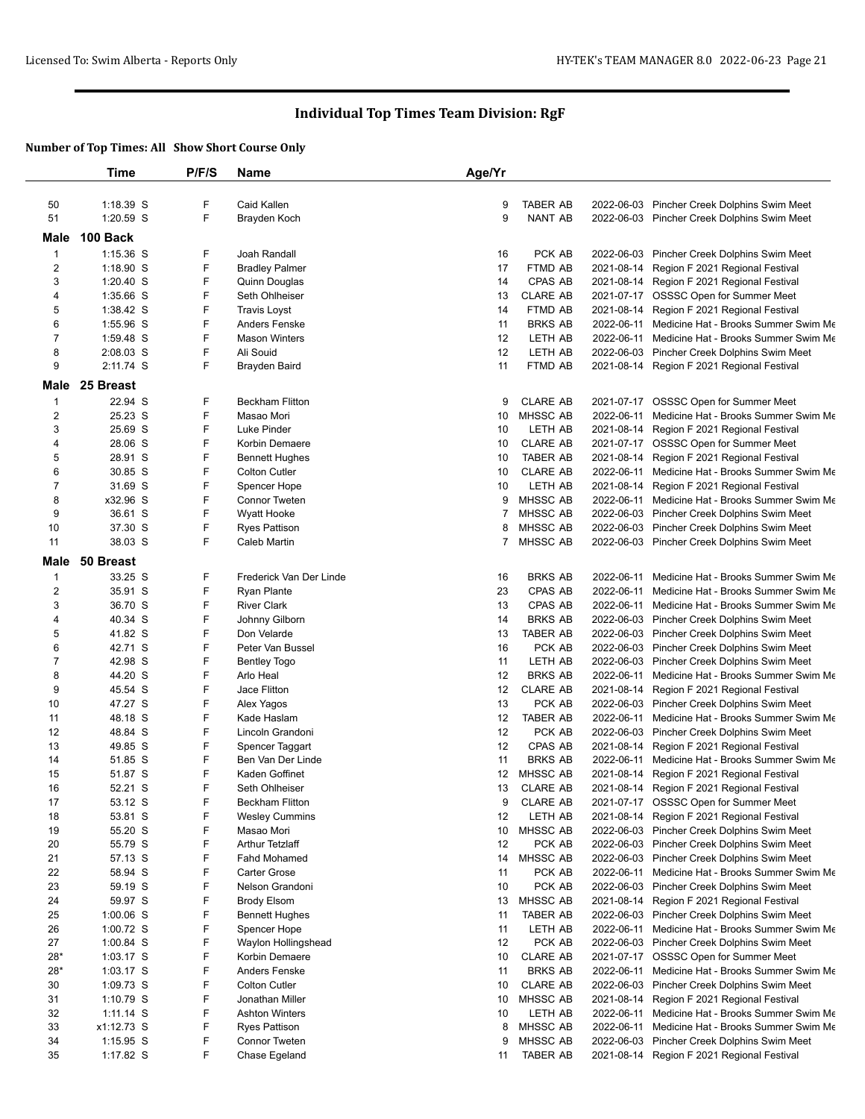|                         | Time        | P/F/S | Name                    | Age/Yr |                 |                                                 |
|-------------------------|-------------|-------|-------------------------|--------|-----------------|-------------------------------------------------|
|                         |             |       |                         |        |                 |                                                 |
| 50                      | 1:18.39 S   | F     | Caid Kallen             | 9      | <b>TABER AB</b> | 2022-06-03 Pincher Creek Dolphins Swim Meet     |
| 51                      | 1:20.59 S   | F     | Brayden Koch            | 9      | NANT AB         | 2022-06-03 Pincher Creek Dolphins Swim Meet     |
| Male                    | 100 Back    |       |                         |        |                 |                                                 |
| $\mathbf{1}$            | $1:15.36$ S | F     | Joah Randall            | 16     | PCK AB          | 2022-06-03 Pincher Creek Dolphins Swim Meet     |
| 2                       | $1:18.90$ S | F     | <b>Bradley Palmer</b>   | 17     | <b>FTMD AB</b>  | 2021-08-14 Region F 2021 Regional Festival      |
| 3                       | 1:20.40 S   | F     | Quinn Douglas           | 14     | CPAS AB         | 2021-08-14 Region F 2021 Regional Festival      |
| 4                       | 1:35.66 S   | F     | Seth Ohlheiser          | 13     | <b>CLARE AB</b> | 2021-07-17 OSSSC Open for Summer Meet           |
| 5                       | 1:38.42 S   | F     | <b>Travis Loyst</b>     | 14     | FTMD AB         | 2021-08-14 Region F 2021 Regional Festival      |
| 6                       | 1:55.96 S   | F     | <b>Anders Fenske</b>    | 11     | <b>BRKS AB</b>  | 2022-06-11 Medicine Hat - Brooks Summer Swim Me |
| 7                       | 1:59.48 S   | F     | <b>Mason Winters</b>    | 12     | LETH AB         | 2022-06-11 Medicine Hat - Brooks Summer Swim Me |
| 8                       | 2:08.03 S   | F     | Ali Souid               | 12     | LETH AB         | 2022-06-03 Pincher Creek Dolphins Swim Meet     |
| 9                       | 2:11.74 S   | F     | Brayden Baird           | 11     | FTMD AB         | 2021-08-14 Region F 2021 Regional Festival      |
| Male                    | 25 Breast   |       |                         |        |                 |                                                 |
| $\mathbf{1}$            | 22.94 S     | F     | Beckham Flitton         | 9      | <b>CLARE AB</b> | 2021-07-17 OSSSC Open for Summer Meet           |
| $\overline{\mathbf{c}}$ | 25.23 S     | F     | Masao Mori              | 10     | MHSSC AB        | 2022-06-11 Medicine Hat - Brooks Summer Swim Me |
| 3                       | 25.69 S     | F     | Luke Pinder             | 10     | LETH AB         | 2021-08-14 Region F 2021 Regional Festival      |
| 4                       | 28.06 S     | F     | Korbin Demaere          | 10     | <b>CLARE AB</b> | 2021-07-17 OSSSC Open for Summer Meet           |
| 5                       | 28.91 S     | F     | <b>Bennett Hughes</b>   | 10     | <b>TABER AB</b> | 2021-08-14 Region F 2021 Regional Festival      |
| 6                       | 30.85 S     | F     | <b>Colton Cutler</b>    | 10     | <b>CLARE AB</b> | 2022-06-11 Medicine Hat - Brooks Summer Swim Me |
| 7                       | 31.69 S     | F     | Spencer Hope            | 10     | LETH AB         | 2021-08-14 Region F 2021 Regional Festival      |
| 8                       | x32.96 S    | F     | <b>Connor Tweten</b>    | 9      | MHSSC AB        | 2022-06-11 Medicine Hat - Brooks Summer Swim Me |
| 9                       | 36.61 S     | F     | <b>Wyatt Hooke</b>      | 7      | MHSSC AB        | 2022-06-03 Pincher Creek Dolphins Swim Meet     |
| 10                      | 37.30 S     | F     | <b>Ryes Pattison</b>    | 8      | <b>MHSSC AB</b> | 2022-06-03 Pincher Creek Dolphins Swim Meet     |
| 11                      | 38.03 S     | F     | Caleb Martin            | 7      | MHSSC AB        | 2022-06-03 Pincher Creek Dolphins Swim Meet     |
| Male                    | 50 Breast   |       |                         |        |                 |                                                 |
| 1                       | 33.25 S     | F     | Frederick Van Der Linde | 16     | <b>BRKS AB</b>  | 2022-06-11 Medicine Hat - Brooks Summer Swim Me |
| 2                       | 35.91 S     | F     | <b>Ryan Plante</b>      | 23     | CPAS AB         | 2022-06-11 Medicine Hat - Brooks Summer Swim Me |
| 3                       | 36.70 S     | F     | <b>River Clark</b>      | 13     | CPAS AB         | 2022-06-11 Medicine Hat - Brooks Summer Swim Me |
| 4                       | 40.34 S     | F     | Johnny Gilborn          | 14     | <b>BRKS AB</b>  | 2022-06-03 Pincher Creek Dolphins Swim Meet     |
| 5                       | 41.82 S     | F     | Don Velarde             | 13     | <b>TABER AB</b> | 2022-06-03 Pincher Creek Dolphins Swim Meet     |
| 6                       | 42.71 S     | F     | Peter Van Bussel        | 16     | PCK AB          | 2022-06-03 Pincher Creek Dolphins Swim Meet     |
| 7                       | 42.98 S     | F     | <b>Bentley Togo</b>     | 11     | LETH AB         | 2022-06-03 Pincher Creek Dolphins Swim Meet     |
| 8                       | 44.20 S     | F     | Arlo Heal               | 12     | <b>BRKS AB</b>  | 2022-06-11 Medicine Hat - Brooks Summer Swim Me |
| 9                       | 45.54 S     | F     | Jace Flitton            | 12     | <b>CLARE AB</b> | 2021-08-14 Region F 2021 Regional Festival      |
| 10                      | 47.27 S     | F     | Alex Yagos              | 13     | PCK AB          | 2022-06-03 Pincher Creek Dolphins Swim Meet     |
| 11                      | 48.18 S     | F     | Kade Haslam             | 12     | <b>TABER AB</b> | 2022-06-11 Medicine Hat - Brooks Summer Swim Me |
| 12                      | 48.84 S     | F     | Lincoln Grandoni        | 12     | PCK AB          | 2022-06-03 Pincher Creek Dolphins Swim Meet     |
| 13                      | 49.85 S     | F     | Spencer Taggart         | 12     | CPAS AB         | 2021-08-14 Region F 2021 Regional Festival      |
| 14                      | 51.85 S     | F     | Ben Van Der Linde       | 11     | <b>BRKS AB</b>  | 2022-06-11 Medicine Hat - Brooks Summer Swim Me |
| 15                      | 51.87 S     | F     | Kaden Goffinet          | 12     | MHSSC AB        | 2021-08-14 Region F 2021 Regional Festival      |
| 16                      | 52.21 S     | F     | Seth Ohlheiser          | 13     | <b>CLARE AB</b> | 2021-08-14 Region F 2021 Regional Festival      |
| 17                      | 53.12 S     | F     | <b>Beckham Flitton</b>  | 9      | <b>CLARE AB</b> | 2021-07-17 OSSSC Open for Summer Meet           |
| 18                      | 53.81 S     | F     | <b>Wesley Cummins</b>   | 12     | LETH AB         | 2021-08-14 Region F 2021 Regional Festival      |
| 19                      | 55.20 S     | F     | Masao Mori              | 10     | MHSSC AB        | 2022-06-03 Pincher Creek Dolphins Swim Meet     |
| 20                      | 55.79 S     | F     | <b>Arthur Tetzlaff</b>  | 12     | PCK AB          | 2022-06-03 Pincher Creek Dolphins Swim Meet     |
| 21                      | 57.13 S     | F     | Fahd Mohamed            | 14     | MHSSC AB        | 2022-06-03 Pincher Creek Dolphins Swim Meet     |
| 22                      | 58.94 S     | F     | Carter Grose            | 11     | PCK AB          | 2022-06-11 Medicine Hat - Brooks Summer Swim Me |
| 23                      | 59.19 S     | F     | Nelson Grandoni         | 10     | PCK AB          | 2022-06-03 Pincher Creek Dolphins Swim Meet     |
| 24                      | 59.97 S     | F     | <b>Brody Elsom</b>      | 13     | MHSSC AB        | 2021-08-14 Region F 2021 Regional Festival      |
| 25                      | $1:00.06$ S | F     | <b>Bennett Hughes</b>   | 11     | TABER AB        | 2022-06-03 Pincher Creek Dolphins Swim Meet     |
| 26                      | 1:00.72 S   | F     | Spencer Hope            | 11     | LETH AB         | 2022-06-11 Medicine Hat - Brooks Summer Swim Me |
| 27                      | 1:00.84 S   | F     | Waylon Hollingshead     | 12     | PCK AB          | 2022-06-03 Pincher Creek Dolphins Swim Meet     |
| $28*$                   | $1:03.17$ S | F     | Korbin Demaere          | 10     | <b>CLARE AB</b> | 2021-07-17 OSSSC Open for Summer Meet           |
| $28*$                   | $1:03.17$ S | F     | Anders Fenske           | 11     | <b>BRKS AB</b>  | 2022-06-11 Medicine Hat - Brooks Summer Swim Me |
| 30                      | 1:09.73 S   | F     | <b>Colton Cutler</b>    | 10     | <b>CLARE AB</b> | 2022-06-03 Pincher Creek Dolphins Swim Meet     |
| 31                      | $1:10.79$ S | F     | Jonathan Miller         | 10     | MHSSC AB        | 2021-08-14 Region F 2021 Regional Festival      |
| 32                      | $1:11.14$ S | F     | <b>Ashton Winters</b>   | 10     | LETH AB         | 2022-06-11 Medicine Hat - Brooks Summer Swim Me |
| 33                      | x1:12.73 S  | F     | <b>Ryes Pattison</b>    | 8      | MHSSC AB        | 2022-06-11 Medicine Hat - Brooks Summer Swim Me |
| 34                      | $1:15.95$ S | F     | <b>Connor Tweten</b>    | 9      | MHSSC AB        | 2022-06-03 Pincher Creek Dolphins Swim Meet     |
| 35                      | 1:17.82 S   | F.    | Chase Egeland           | 11     | <b>TABER AB</b> | 2021-08-14 Region F 2021 Regional Festival      |
|                         |             |       |                         |        |                 |                                                 |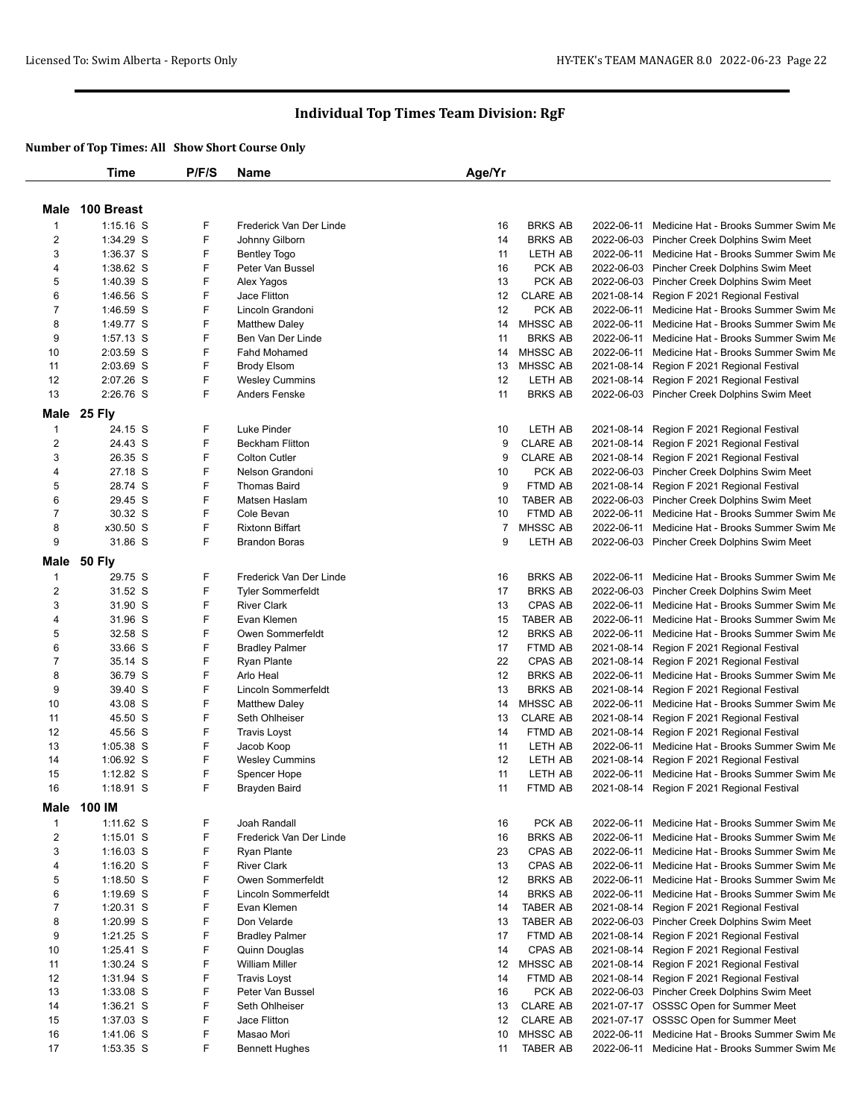|                | <b>Time</b>   | P/F/S | Name                     | Age/Yr          |                 |            |                                                                                      |
|----------------|---------------|-------|--------------------------|-----------------|-----------------|------------|--------------------------------------------------------------------------------------|
|                |               |       |                          |                 |                 |            |                                                                                      |
| Male           | 100 Breast    |       |                          |                 |                 |            |                                                                                      |
| $\mathbf{1}$   | $1:15.16$ S   | F     | Frederick Van Der Linde  | 16              | <b>BRKS AB</b>  | 2022-06-11 | Medicine Hat - Brooks Summer Swim Me                                                 |
| 2              | 1:34.29 S     | F     | Johnny Gilborn           | 14              | <b>BRKS AB</b>  |            | 2022-06-03 Pincher Creek Dolphins Swim Meet                                          |
| 3              | 1:36.37 S     | F     | <b>Bentley Togo</b>      | 11              | LETH AB         |            | 2022-06-11 Medicine Hat - Brooks Summer Swim Me                                      |
| 4              | 1:38.62 S     | F     | Peter Van Bussel         | 16              | PCK AB          |            | 2022-06-03 Pincher Creek Dolphins Swim Meet                                          |
| 5              | 1:40.39 S     | F     | Alex Yagos               | 13              | PCK AB          |            | 2022-06-03 Pincher Creek Dolphins Swim Meet                                          |
| 6              | 1:46.56 S     | F     | Jace Flitton             | 12              | <b>CLARE AB</b> |            | 2021-08-14 Region F 2021 Regional Festival                                           |
| $\overline{7}$ | 1:46.59 S     | F     | Lincoln Grandoni         | 12              | PCK AB          |            | 2022-06-11 Medicine Hat - Brooks Summer Swim Me                                      |
| 8              | 1:49.77 S     | F     | <b>Matthew Daley</b>     | 14              | MHSSC AB        |            | 2022-06-11 Medicine Hat - Brooks Summer Swim Me                                      |
| 9              | 1:57.13 S     | F     | Ben Van Der Linde        | 11              | <b>BRKS AB</b>  |            | 2022-06-11 Medicine Hat - Brooks Summer Swim Me                                      |
| 10             | 2:03.59 S     | F     | <b>Fahd Mohamed</b>      | 14              | <b>MHSSC AB</b> |            | 2022-06-11 Medicine Hat - Brooks Summer Swim Me                                      |
| 11             | 2:03.69 S     | F     | <b>Brody Elsom</b>       | 13              | MHSSC AB        |            | 2021-08-14 Region F 2021 Regional Festival                                           |
| 12             | 2:07.26 S     | F     | <b>Wesley Cummins</b>    | 12              | LETH AB         |            | 2021-08-14 Region F 2021 Regional Festival                                           |
| 13             | 2:26.76 S     | F     | Anders Fenske            | 11              | <b>BRKS AB</b>  |            | 2022-06-03 Pincher Creek Dolphins Swim Meet                                          |
| Male           | <b>25 Fly</b> |       |                          |                 |                 |            |                                                                                      |
| $\mathbf{1}$   | 24.15 S       | F     | Luke Pinder              | 10              | LETH AB         |            | 2021-08-14 Region F 2021 Regional Festival                                           |
| 2              | 24.43 S       | F     | <b>Beckham Flitton</b>   | 9               | <b>CLARE AB</b> |            | 2021-08-14 Region F 2021 Regional Festival                                           |
| 3              | 26.35 S       | F     | <b>Colton Cutler</b>     | 9               | <b>CLARE AB</b> |            | 2021-08-14 Region F 2021 Regional Festival                                           |
| 4              | 27.18 S       | F     | Nelson Grandoni          | 10              | PCK AB          |            | 2022-06-03 Pincher Creek Dolphins Swim Meet                                          |
| 5              | 28.74 S       | F     | <b>Thomas Baird</b>      | 9               | FTMD AB         |            | 2021-08-14 Region F 2021 Regional Festival                                           |
| 6              | 29.45 S       | F     | Matsen Haslam            | 10              | <b>TABER AB</b> |            | 2022-06-03 Pincher Creek Dolphins Swim Meet                                          |
| $\overline{7}$ | 30.32 S       | F     | Cole Bevan               | 10              | FTMD AB         |            | 2022-06-11 Medicine Hat - Brooks Summer Swim Me                                      |
| 8              | x30.50 S      | F     | <b>Rixtonn Biffart</b>   | $\overline{7}$  | <b>MHSSC AB</b> |            | 2022-06-11 Medicine Hat - Brooks Summer Swim Me                                      |
| 9              | 31.86 S       | F     | <b>Brandon Boras</b>     | 9               | LETH AB         |            | 2022-06-03 Pincher Creek Dolphins Swim Meet                                          |
|                |               |       |                          |                 |                 |            |                                                                                      |
| Male           | <b>50 Fly</b> |       |                          |                 |                 |            |                                                                                      |
| $\mathbf{1}$   | 29.75 S       | F     | Frederick Van Der Linde  | 16              | <b>BRKS AB</b>  |            | 2022-06-11 Medicine Hat - Brooks Summer Swim Me                                      |
| 2              | 31.52 S       | F     | <b>Tyler Sommerfeldt</b> | 17              | <b>BRKS AB</b>  |            | 2022-06-03 Pincher Creek Dolphins Swim Meet                                          |
| 3              | 31.90 S       | F     | <b>River Clark</b>       | 13              | CPAS AB         |            | 2022-06-11 Medicine Hat - Brooks Summer Swim Me                                      |
| 4              | 31.96 S       | F     | Evan Klemen              | 15              | <b>TABER AB</b> |            | 2022-06-11 Medicine Hat - Brooks Summer Swim Me                                      |
| 5              | 32.58 S       | F     | Owen Sommerfeldt         | 12              | <b>BRKS AB</b>  |            | 2022-06-11 Medicine Hat - Brooks Summer Swim Me                                      |
| 6              | 33.66 S       | F     | <b>Bradley Palmer</b>    | 17              | FTMD AB         |            | 2021-08-14 Region F 2021 Regional Festival                                           |
| 7              | 35.14 S       | F     | Ryan Plante              | 22              | CPAS AB         |            | 2021-08-14 Region F 2021 Regional Festival                                           |
| 8              | 36.79 S       | F     | Arlo Heal                | 12              | <b>BRKS AB</b>  | 2022-06-11 | Medicine Hat - Brooks Summer Swim Me                                                 |
| 9              | 39.40 S       | F     | Lincoln Sommerfeldt      | 13              | <b>BRKS AB</b>  |            | 2021-08-14 Region F 2021 Regional Festival                                           |
| 10             | 43.08 S       | F     | <b>Matthew Daley</b>     | 14              | MHSSC AB        |            | 2022-06-11 Medicine Hat - Brooks Summer Swim Me                                      |
| 11             | 45.50 S       | F     | Seth Ohlheiser           | 13              | <b>CLARE AB</b> |            | 2021-08-14 Region F 2021 Regional Festival                                           |
| 12             | 45.56 S       | F     | <b>Travis Loyst</b>      | 14              | FTMD AB         |            | 2021-08-14 Region F 2021 Regional Festival                                           |
| 13             | 1:05.38 S     | F     | Jacob Koop               | 11              | LETH AB         |            | 2022-06-11 Medicine Hat - Brooks Summer Swim Me                                      |
| 14             | $1:06.92$ S   | F     | <b>Wesley Cummins</b>    | 12              | LETH AB         |            | 2021-08-14 Region F 2021 Regional Festival                                           |
| 15             | $1:12.82$ S   | F     | Spencer Hope             | 11              | <b>LETH AB</b>  |            | 2022-06-11 Medicine Hat - Brooks Summer Swim Me                                      |
| 16             | $1:18.91$ S   | F     | Brayden Baird            | 11              | FTMD AB         |            | 2021-08-14 Region F 2021 Regional Festival                                           |
| Male           | 100 IM        |       |                          |                 |                 |            |                                                                                      |
| $\mathbf{1}$   | $1:11.62$ S   | F     | Joah Randall             | 16              | PCK AB          |            | 2022-06-11 Medicine Hat - Brooks Summer Swim Me                                      |
| 2              | $1:15.01$ S   | F     | Frederick Van Der Linde  | 16              | <b>BRKS AB</b>  |            | 2022-06-11 Medicine Hat - Brooks Summer Swim Me                                      |
| 3              | $1:16.03$ S   | F     | Ryan Plante              | 23              | CPAS AB         |            | 2022-06-11 Medicine Hat - Brooks Summer Swim Me                                      |
| 4              | $1:16.20$ S   | F     | <b>River Clark</b>       | 13              | CPAS AB         |            | 2022-06-11 Medicine Hat - Brooks Summer Swim Me                                      |
| 5              | $1:18.50$ S   | F     | Owen Sommerfeldt         | 12              | <b>BRKS AB</b>  | 2022-06-11 | Medicine Hat - Brooks Summer Swim Me                                                 |
| 6              | 1:19.69 S     | F     | Lincoln Sommerfeldt      | 14              | <b>BRKS AB</b>  |            | 2022-06-11 Medicine Hat - Brooks Summer Swim Me                                      |
| 7              | 1:20.31 S     | F     | Evan Klemen              | 14              | TABER AB        |            | 2021-08-14 Region F 2021 Regional Festival                                           |
| 8              | 1:20.99 S     | F     | Don Velarde              | 13              | TABER AB        |            | 2022-06-03 Pincher Creek Dolphins Swim Meet                                          |
| 9              | $1:21.25$ S   | F     | <b>Bradley Palmer</b>    | 17              | FTMD AB         |            | 2021-08-14 Region F 2021 Regional Festival                                           |
| 10             | 1:25.41 S     | F     | Quinn Douglas            | 14              | CPAS AB         |            | 2021-08-14 Region F 2021 Regional Festival                                           |
| 11             | 1:30.24 S     | F     | William Miller           | 12 <sub>2</sub> | MHSSC AB        |            | 2021-08-14 Region F 2021 Regional Festival                                           |
| 12             | 1:31.94 S     | F     | <b>Travis Loyst</b>      | 14              | FTMD AB         |            | 2021-08-14 Region F 2021 Regional Festival                                           |
|                |               | F     | Peter Van Bussel         |                 |                 |            |                                                                                      |
| 13             | 1:33.08 S     | F     |                          | 16              | PCK AB          |            | 2022-06-03 Pincher Creek Dolphins Swim Meet<br>2021-07-17 OSSSC Open for Summer Meet |
| 14             | $1:36.21$ S   |       | Seth Ohlheiser           | 13              | <b>CLARE AB</b> |            |                                                                                      |
| 15             | 1:37.03 S     | F     | Jace Flitton             | 12              | <b>CLARE AB</b> |            | 2021-07-17 OSSSC Open for Summer Meet                                                |
| 16             | 1:41.06 S     | F     | Masao Mori               | 10              | MHSSC AB        |            | 2022-06-11 Medicine Hat - Brooks Summer Swim Me                                      |
| 17             | 1:53.35 S     | F     | <b>Bennett Hughes</b>    | 11              | <b>TABER AB</b> |            | 2022-06-11 Medicine Hat - Brooks Summer Swim Me                                      |